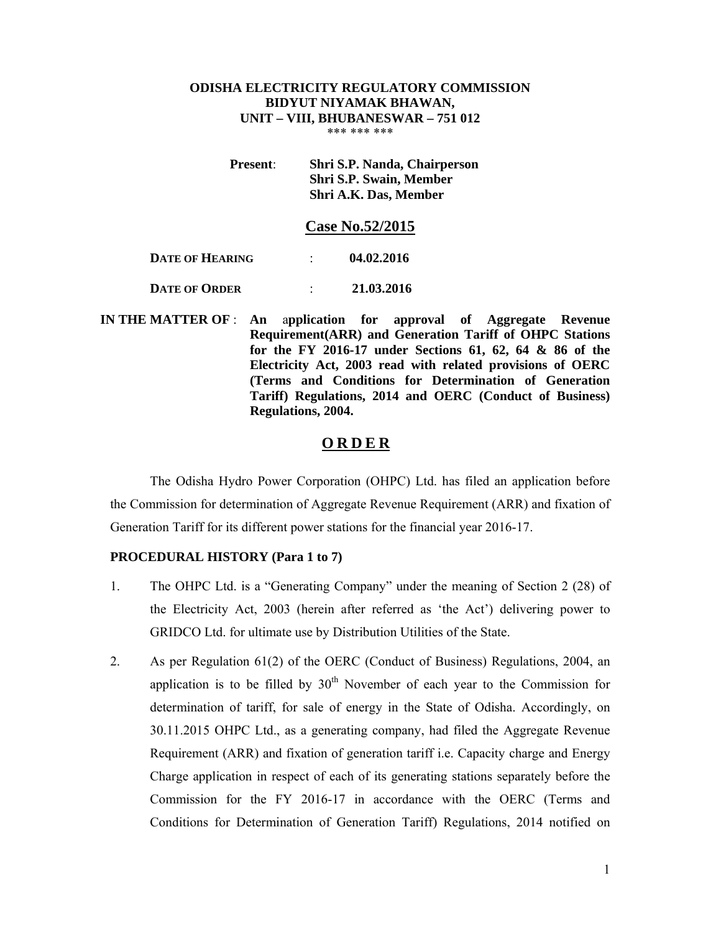#### **ODISHA ELECTRICITY REGULATORY COMMISSION BIDYUT NIYAMAK BHAWAN, UNIT – VIII, BHUBANESWAR – 751 012**  \*\*\* \*\*\* \*\*\*

**Present**: **Shri S.P. Nanda, Chairperson** 

|                        | Shri S.P. Swain, Member<br>Shri A.K. Das, Member |
|------------------------|--------------------------------------------------|
|                        | <b>Case No.52/2015</b>                           |
| <b>DATE OF HEARING</b> | 04.02.2016                                       |
| <b>DATE OF ORDER</b>   | 21.03.2016                                       |

 **IN THE MATTER OF** : **An** a**pplication for approval of Aggregate Revenue Requirement(ARR) and Generation Tariff of OHPC Stations for the FY 2016-17 under Sections 61, 62, 64 & 86 of the Electricity Act, 2003 read with related provisions of OERC (Terms and Conditions for Determination of Generation Tariff) Regulations, 2014 and OERC (Conduct of Business) Regulations, 2004.** 

## **O R D E R**

The Odisha Hydro Power Corporation (OHPC) Ltd. has filed an application before the Commission for determination of Aggregate Revenue Requirement (ARR) and fixation of Generation Tariff for its different power stations for the financial year 2016-17.

## **PROCEDURAL HISTORY (Para 1 to 7)**

- 1. The OHPC Ltd. is a "Generating Company" under the meaning of Section 2 (28) of the Electricity Act, 2003 (herein after referred as 'the Act') delivering power to GRIDCO Ltd. for ultimate use by Distribution Utilities of the State.
- 2. As per Regulation 61(2) of the OERC (Conduct of Business) Regulations, 2004, an application is to be filled by  $30<sup>th</sup>$  November of each year to the Commission for determination of tariff, for sale of energy in the State of Odisha. Accordingly, on 30.11.2015 OHPC Ltd., as a generating company, had filed the Aggregate Revenue Requirement (ARR) and fixation of generation tariff i.e. Capacity charge and Energy Charge application in respect of each of its generating stations separately before the Commission for the FY 2016-17 in accordance with the OERC (Terms and Conditions for Determination of Generation Tariff) Regulations, 2014 notified on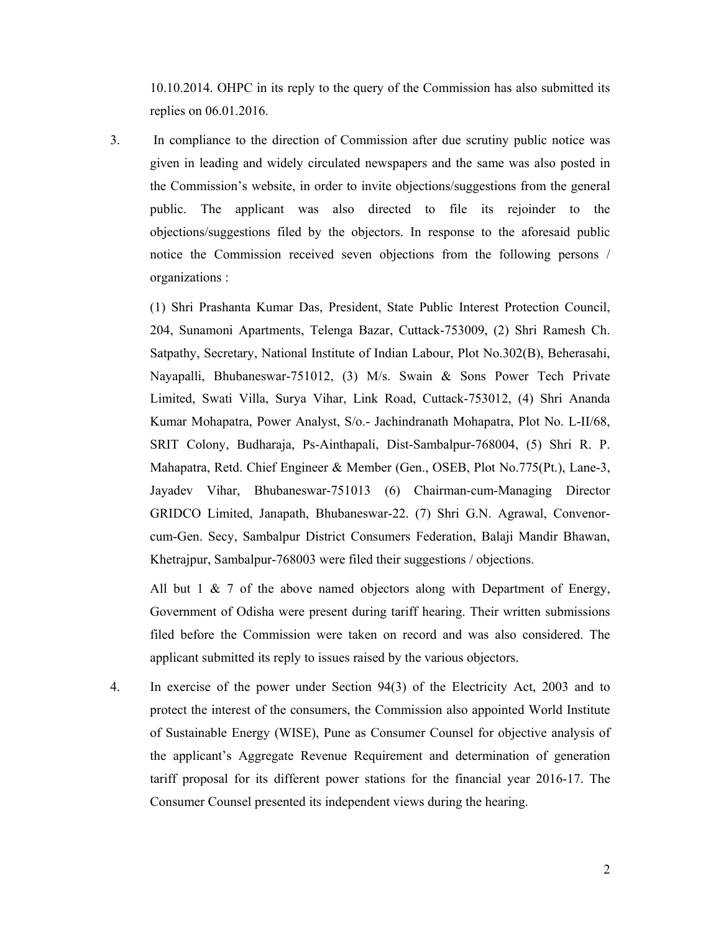10.10.2014. OHPC in its reply to the query of the Commission has also submitted its replies on 06.01.2016.

3. In compliance to the direction of Commission after due scrutiny public notice was given in leading and widely circulated newspapers and the same was also posted in the Commission's website, in order to invite objections/suggestions from the general public. The applicant was also directed to file its rejoinder to the objections/suggestions filed by the objectors. In response to the aforesaid public notice the Commission received seven objections from the following persons / organizations :

(1) Shri Prashanta Kumar Das, President, State Public Interest Protection Council, 204, Sunamoni Apartments, Telenga Bazar, Cuttack-753009, (2) Shri Ramesh Ch. Satpathy, Secretary, National Institute of Indian Labour, Plot No.302(B), Beherasahi, Nayapalli, Bhubaneswar-751012, (3) M/s. Swain & Sons Power Tech Private Limited, Swati Villa, Surya Vihar, Link Road, Cuttack-753012, (4) Shri Ananda Kumar Mohapatra, Power Analyst, S/o.- Jachindranath Mohapatra, Plot No. L-II/68, SRIT Colony, Budharaja, Ps-Ainthapali, Dist-Sambalpur-768004, (5) Shri R. P. Mahapatra, Retd. Chief Engineer & Member (Gen., OSEB, Plot No.775(Pt.), Lane-3, Jayadev Vihar, Bhubaneswar-751013 (6) Chairman-cum-Managing Director GRIDCO Limited, Janapath, Bhubaneswar-22. (7) Shri G.N. Agrawal, Convenorcum-Gen. Secy, Sambalpur District Consumers Federation, Balaji Mandir Bhawan, Khetrajpur, Sambalpur-768003 were filed their suggestions / objections.

All but 1  $\&$  7 of the above named objectors along with Department of Energy, Government of Odisha were present during tariff hearing. Their written submissions filed before the Commission were taken on record and was also considered. The applicant submitted its reply to issues raised by the various objectors.

4. In exercise of the power under Section 94(3) of the Electricity Act, 2003 and to protect the interest of the consumers, the Commission also appointed World Institute of Sustainable Energy (WISE), Pune as Consumer Counsel for objective analysis of the applicant's Aggregate Revenue Requirement and determination of generation tariff proposal for its different power stations for the financial year 2016-17. The Consumer Counsel presented its independent views during the hearing.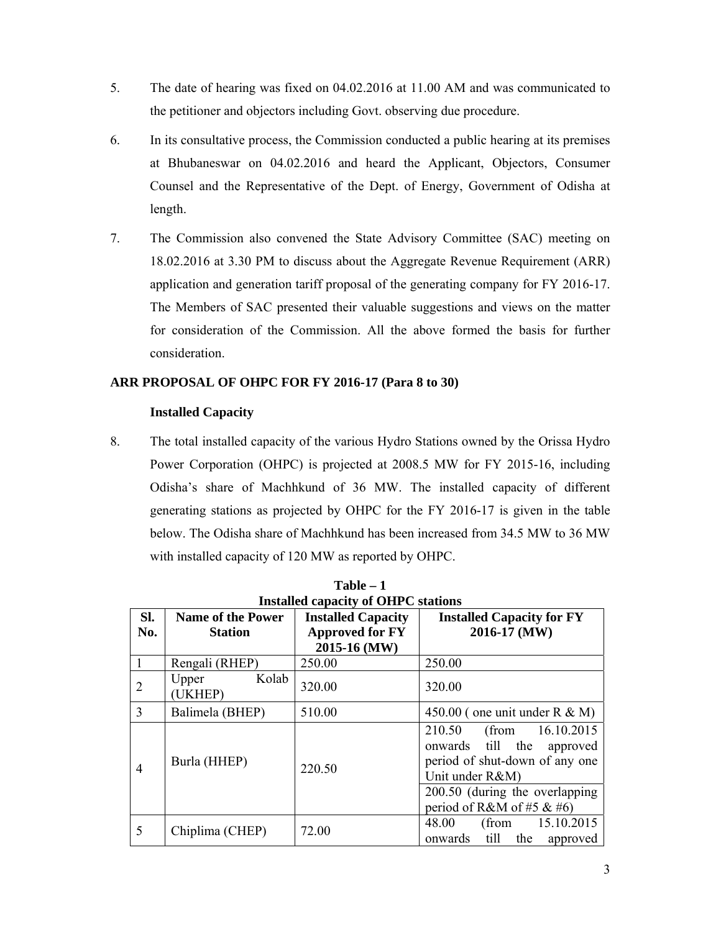- 5. The date of hearing was fixed on 04.02.2016 at 11.00 AM and was communicated to the petitioner and objectors including Govt. observing due procedure.
- 6. In its consultative process, the Commission conducted a public hearing at its premises at Bhubaneswar on 04.02.2016 and heard the Applicant, Objectors, Consumer Counsel and the Representative of the Dept. of Energy, Government of Odisha at length.
- 7. The Commission also convened the State Advisory Committee (SAC) meeting on 18.02.2016 at 3.30 PM to discuss about the Aggregate Revenue Requirement (ARR) application and generation tariff proposal of the generating company for FY 2016-17. The Members of SAC presented their valuable suggestions and views on the matter for consideration of the Commission. All the above formed the basis for further consideration.

# **ARR PROPOSAL OF OHPC FOR FY 2016-17 (Para 8 to 30)**

# **Installed Capacity**

8. The total installed capacity of the various Hydro Stations owned by the Orissa Hydro Power Corporation (OHPC) is projected at 2008.5 MW for FY 2015-16, including Odisha's share of Machhkund of 36 MW. The installed capacity of different generating stations as projected by OHPC for the FY 2016-17 is given in the table below. The Odisha share of Machhkund has been increased from 34.5 MW to 36 MW with installed capacity of 120 MW as reported by OHPC.

|                                                          | <b>Installed capacity of OHPC stations</b> |                                                                     |                                                                                                                                                                                   |  |
|----------------------------------------------------------|--------------------------------------------|---------------------------------------------------------------------|-----------------------------------------------------------------------------------------------------------------------------------------------------------------------------------|--|
| Sl.<br><b>Name of the Power</b><br>No.<br><b>Station</b> |                                            | <b>Installed Capacity</b><br><b>Approved for FY</b><br>2015-16 (MW) | <b>Installed Capacity for FY</b><br>2016-17 (MW)                                                                                                                                  |  |
|                                                          | Rengali (RHEP)                             | 250.00                                                              | 250.00                                                                                                                                                                            |  |
| 2                                                        | Kolab<br>Upper<br>(UKHEP)                  | 320.00                                                              | 320.00                                                                                                                                                                            |  |
| 3                                                        | Balimela (BHEP)                            | 510.00                                                              | 450.00 (one unit under R $\&$ M)                                                                                                                                                  |  |
| $\overline{4}$                                           | Burla (HHEP)                               | 220.50                                                              | 210.50<br>16.10.2015<br>(from<br>onwards till the<br>approved<br>period of shut-down of any one<br>Unit under R&M)<br>200.50 (during the overlapping<br>period of R&M of #5 & #6) |  |
| 5                                                        | Chiplima (CHEP)                            | 72.00                                                               | 15.10.2015<br>48.00<br>(from<br>till<br>the<br>onwards<br>approved                                                                                                                |  |

**Table – 1**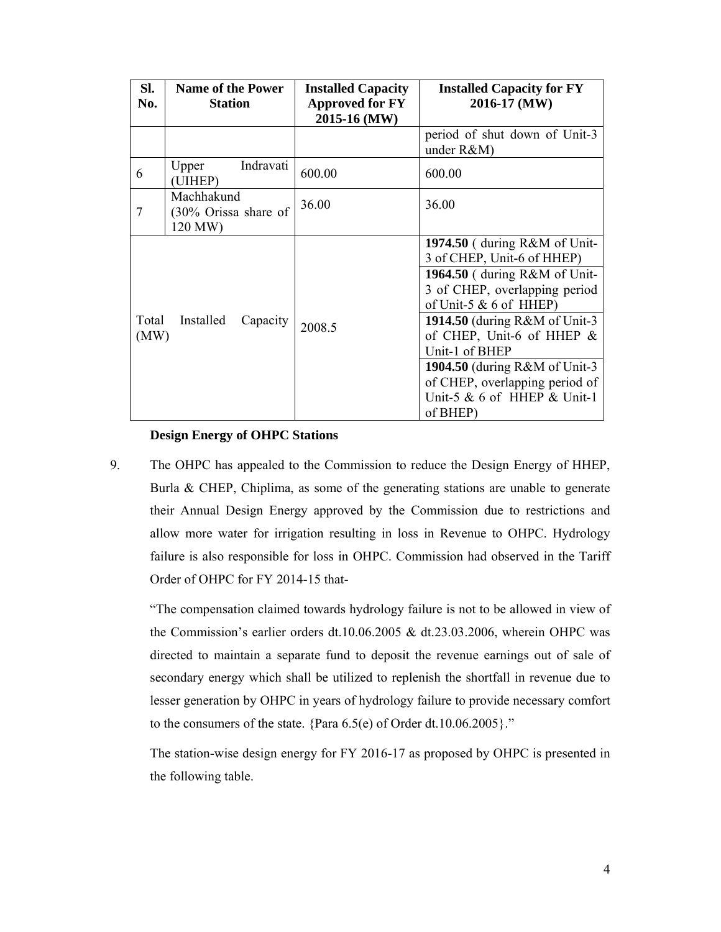| SI.<br><b>Name of the Power</b><br>No.<br><b>Station</b> |                                                  | <b>Installed Capacity</b><br><b>Approved for FY</b><br>2015-16 (MW) | <b>Installed Capacity for FY</b><br>2016-17 (MW)                                                                                                                                                                                                                                                                                                                       |
|----------------------------------------------------------|--------------------------------------------------|---------------------------------------------------------------------|------------------------------------------------------------------------------------------------------------------------------------------------------------------------------------------------------------------------------------------------------------------------------------------------------------------------------------------------------------------------|
|                                                          |                                                  |                                                                     | period of shut down of Unit-3<br>under $R&M$ )                                                                                                                                                                                                                                                                                                                         |
| 6                                                        | Indravati<br>Upper<br>(UIHEP)                    | 600.00                                                              | 600.00                                                                                                                                                                                                                                                                                                                                                                 |
| 7                                                        | Machhakund<br>$(30\%$ Orissa share of<br>120 MW) | 36.00                                                               | 36.00                                                                                                                                                                                                                                                                                                                                                                  |
| Total<br>(MW)                                            | Installed<br>Capacity                            | 2008.5                                                              | 1974.50 (during R&M of Unit-<br>3 of CHEP, Unit-6 of HHEP)<br>1964.50 (during R&M of Unit-<br>3 of CHEP, overlapping period<br>of Unit-5 $& 6$ of HHEP)<br>1914.50 (during R&M of Unit-3)<br>of CHEP, Unit-6 of HHEP $\&$<br>Unit-1 of BHEP<br><b>1904.50</b> (during R&M of Unit-3)<br>of CHEP, overlapping period of<br>Unit-5 $& 6$ of HHEP $& $ Unit-1<br>of BHEP) |

## **Design Energy of OHPC Stations**

9. The OHPC has appealed to the Commission to reduce the Design Energy of HHEP, Burla & CHEP, Chiplima, as some of the generating stations are unable to generate their Annual Design Energy approved by the Commission due to restrictions and allow more water for irrigation resulting in loss in Revenue to OHPC. Hydrology failure is also responsible for loss in OHPC. Commission had observed in the Tariff Order of OHPC for FY 2014-15 that-

"The compensation claimed towards hydrology failure is not to be allowed in view of the Commission's earlier orders dt.10.06.2005 & dt.23.03.2006, wherein OHPC was directed to maintain a separate fund to deposit the revenue earnings out of sale of secondary energy which shall be utilized to replenish the shortfall in revenue due to lesser generation by OHPC in years of hydrology failure to provide necessary comfort to the consumers of the state. {Para 6.5(e) of Order dt.10.06.2005}."

The station-wise design energy for FY 2016-17 as proposed by OHPC is presented in the following table.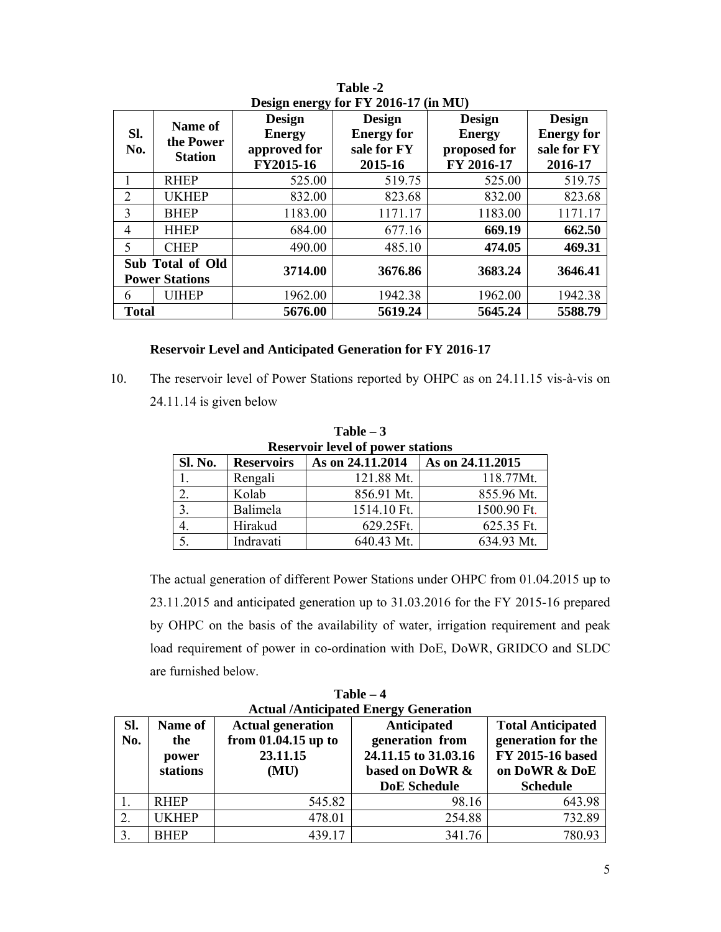|                         | Name of        | <b>Design</b> | <b>Design</b>     | <b>Design</b> | <b>Design</b>     |
|-------------------------|----------------|---------------|-------------------|---------------|-------------------|
| SI.                     | the Power      | <b>Energy</b> | <b>Energy for</b> | <b>Energy</b> | <b>Energy for</b> |
| No.                     | <b>Station</b> | approved for  | sale for FY       | proposed for  | sale for FY       |
|                         |                | FY2015-16     | 2015-16           | FY 2016-17    | 2016-17           |
|                         | <b>RHEP</b>    | 525.00        | 519.75            | 525.00        | 519.75            |
| $\overline{2}$          | <b>UKHEP</b>   | 832.00        | 823.68            | 832.00        | 823.68            |
| 3                       | <b>BHEP</b>    | 1183.00       | 1171.17           | 1183.00       | 1171.17           |
| 4                       | <b>HHEP</b>    | 684.00        | 677.16            | 669.19        | 662.50            |
| 5                       | <b>CHEP</b>    | 490.00        | 485.10            | 474.05        | 469.31            |
| <b>Sub Total of Old</b> |                | 3714.00       | 3676.86           | 3683.24       | 3646.41           |
| <b>Power Stations</b>   |                |               |                   |               |                   |
| 6                       | <b>UIHEP</b>   | 1962.00       | 1942.38           | 1962.00       | 1942.38           |
| <b>Total</b>            |                | 5676.00       | 5619.24           | 5645.24       | 5588.79           |

**Table -2 Design energy for FY 2016-17 (in MU)** 

# **Reservoir Level and Anticipated Generation for FY 2016-17**

10. The reservoir level of Power Stations reported by OHPC as on 24.11.15 vis-à-vis on 24.11.14 is given below

**Table – 3** 

|         |                   | <b>Reservoir level of power stations</b> |                  |
|---------|-------------------|------------------------------------------|------------------|
| Sl. No. | <b>Reservoirs</b> | As on 24.11.2014                         | As on 24.11.2015 |
|         | Rengali           | 121.88 Mt.                               | 118.77Mt.        |
|         | Kolab             | 856.91 Mt.                               | 855.96 Mt.       |
| 3       | Balimela          | 1514.10 Ft.                              | 1500.90 Ft.      |
| 4       | Hirakud           | 629.25Ft.                                | 625.35 Ft.       |
|         | Indravati         | 640.43 Mt.                               | 634.93 Mt.       |

The actual generation of different Power Stations under OHPC from 01.04.2015 up to 23.11.2015 and anticipated generation up to 31.03.2016 for the FY 2015-16 prepared by OHPC on the basis of the availability of water, irrigation requirement and peak load requirement of power in co-ordination with DoE, DoWR, GRIDCO and SLDC are furnished below.

**Actual /Anticipated Energy Generation Sl. No. Name of the power stations Actual generation from 01.04.15 up to 23.11.15 (MU) Anticipated generation from 24.11.15 to 31.03.16 based on DoWR & DoE Schedule Total Anticipated generation for the FY 2015-16 based on DoWR & DoE Schedule**  1. RHEP | 545.82 98.16 98.16 643.98 2. UKHEP | 478.01 | 254.88 | 732.89 3. BHEP | 439.17 | 341.76 780.93

**Table – 4**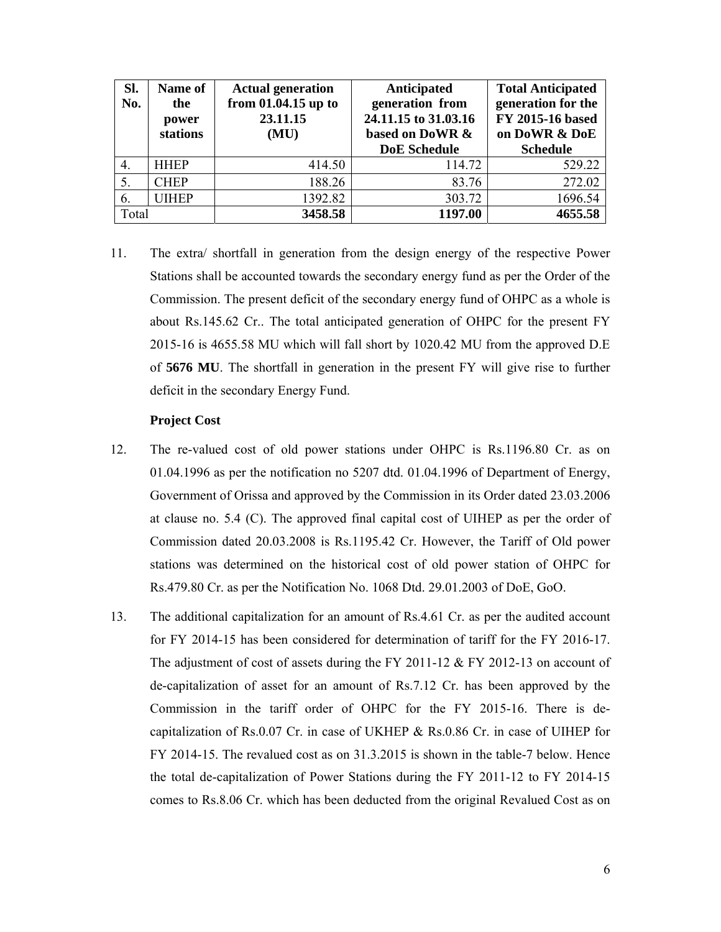| SI.<br>No.       | Name of<br>the<br>power<br>stations | <b>Actual generation</b><br>from $01.04.15$ up to<br>23.11.15<br>(MU) | Anticipated<br>generation from<br>24.11.15 to 31.03.16<br>based on DoWR &<br><b>DoE</b> Schedule | <b>Total Anticipated</b><br>generation for the<br>FY 2015-16 based<br>on DoWR & DoE<br><b>Schedule</b> |
|------------------|-------------------------------------|-----------------------------------------------------------------------|--------------------------------------------------------------------------------------------------|--------------------------------------------------------------------------------------------------------|
| $\overline{4}$ . | <b>HHEP</b>                         | 414.50                                                                | 114.72                                                                                           | 529.22                                                                                                 |
| 5.               | <b>CHEP</b>                         | 188.26                                                                | 83.76                                                                                            | 272.02                                                                                                 |
| 6.               | <b>JIHEP</b>                        | 1392.82                                                               | 303.72                                                                                           | 1696.54                                                                                                |
| Total            |                                     | 3458.58                                                               | 1197.00                                                                                          | 4655.58                                                                                                |

11. The extra/ shortfall in generation from the design energy of the respective Power Stations shall be accounted towards the secondary energy fund as per the Order of the Commission. The present deficit of the secondary energy fund of OHPC as a whole is about Rs.145.62 Cr.. The total anticipated generation of OHPC for the present FY 2015-16 is 4655.58 MU which will fall short by 1020.42 MU from the approved D.E of **5676 MU**. The shortfall in generation in the present FY will give rise to further deficit in the secondary Energy Fund.

## **Project Cost**

- 12. The re-valued cost of old power stations under OHPC is Rs.1196.80 Cr. as on 01.04.1996 as per the notification no 5207 dtd. 01.04.1996 of Department of Energy, Government of Orissa and approved by the Commission in its Order dated 23.03.2006 at clause no. 5.4 (C). The approved final capital cost of UIHEP as per the order of Commission dated 20.03.2008 is Rs.1195.42 Cr. However, the Tariff of Old power stations was determined on the historical cost of old power station of OHPC for Rs.479.80 Cr. as per the Notification No. 1068 Dtd. 29.01.2003 of DoE, GoO.
- 13. The additional capitalization for an amount of Rs.4.61 Cr. as per the audited account for FY 2014-15 has been considered for determination of tariff for the FY 2016-17. The adjustment of cost of assets during the FY 2011-12 & FY 2012-13 on account of de-capitalization of asset for an amount of Rs.7.12 Cr. has been approved by the Commission in the tariff order of OHPC for the FY 2015-16. There is decapitalization of Rs.0.07 Cr. in case of UKHEP & Rs.0.86 Cr. in case of UIHEP for FY 2014-15. The revalued cost as on 31.3.2015 is shown in the table-7 below. Hence the total de-capitalization of Power Stations during the FY 2011-12 to FY 2014-15 comes to Rs.8.06 Cr. which has been deducted from the original Revalued Cost as on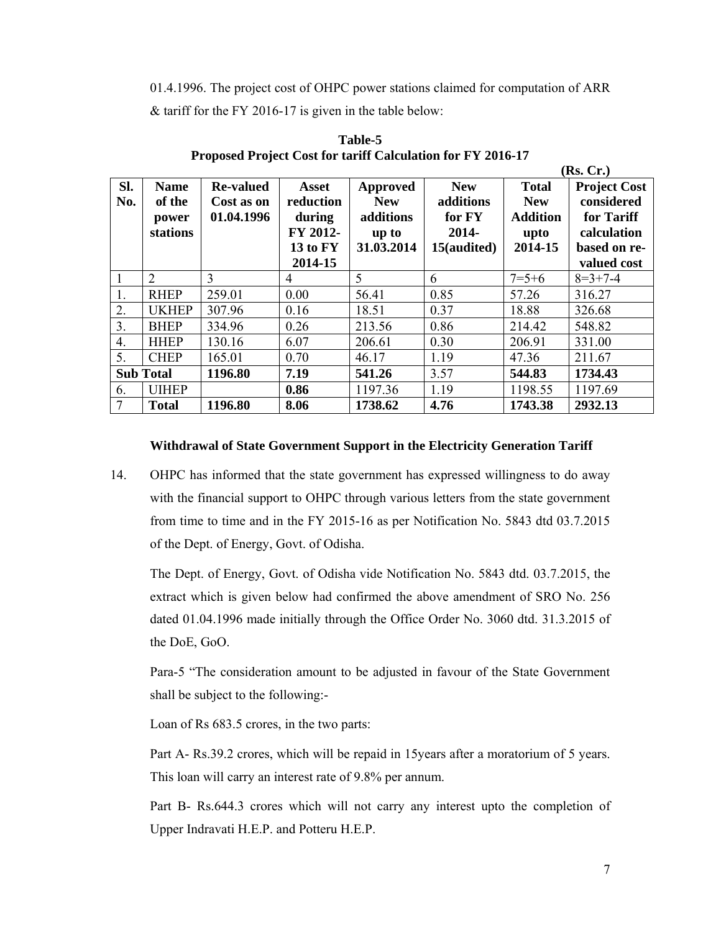01.4.1996. The project cost of OHPC power stations claimed for computation of ARR & tariff for the FY 2016-17 is given in the table below:

|                  |                  |                  |           |                 |             |                 | <b>KS. Cr.)</b>     |
|------------------|------------------|------------------|-----------|-----------------|-------------|-----------------|---------------------|
| SI.              | <b>Name</b>      | <b>Re-valued</b> | Asset     | <b>Approved</b> | <b>New</b>  | <b>Total</b>    | <b>Project Cost</b> |
| No.              | of the           | Cost as on       | reduction | <b>New</b>      | additions   | <b>New</b>      | considered          |
|                  | power            | 01.04.1996       | during    | additions       | for FY      | <b>Addition</b> | for Tariff          |
|                  | stations         |                  | FY 2012-  | up to           | 2014-       | upto            | calculation         |
|                  |                  |                  | 13 to FY  | 31.03.2014      | 15(audited) | 2014-15         | based on re-        |
|                  |                  |                  | 2014-15   |                 |             |                 | valued cost         |
| 1                | $\overline{2}$   | 3                | 4         | 5               | 6           | $7=5+6$         | $8=3+7-4$           |
| 1.               | <b>RHEP</b>      | 259.01           | 0.00      | 56.41           | 0.85        | 57.26           | 316.27              |
| 2.               | <b>UKHEP</b>     | 307.96           | 0.16      | 18.51           | 0.37        | 18.88           | 326.68              |
| 3.               | <b>BHEP</b>      | 334.96           | 0.26      | 213.56          | 0.86        | 214.42          | 548.82              |
| $\overline{4}$ . | <b>HHEP</b>      | 130.16           | 6.07      | 206.61          | 0.30        | 206.91          | 331.00              |
| 5.               | <b>CHEP</b>      | 165.01           | 0.70      | 46.17           | 1.19        | 47.36           | 211.67              |
|                  | <b>Sub Total</b> | 1196.80          | 7.19      | 541.26          | 3.57        | 544.83          | 1734.43             |
| 6.               | <b>UIHEP</b>     |                  | 0.86      | 1197.36         | 1.19        | 1198.55         | 1197.69             |
| $\overline{7}$   | <b>Total</b>     | 1196.80          | 8.06      | 1738.62         | 4.76        | 1743.38         | 2932.13             |

**Table-5 Proposed Project Cost for tariff Calculation for FY 2016-17** 

## **Withdrawal of State Government Support in the Electricity Generation Tariff**

14. OHPC has informed that the state government has expressed willingness to do away with the financial support to OHPC through various letters from the state government from time to time and in the FY 2015-16 as per Notification No. 5843 dtd 03.7.2015 of the Dept. of Energy, Govt. of Odisha.

The Dept. of Energy, Govt. of Odisha vide Notification No. 5843 dtd. 03.7.2015, the extract which is given below had confirmed the above amendment of SRO No. 256 dated 01.04.1996 made initially through the Office Order No. 3060 dtd. 31.3.2015 of the DoE, GoO.

Para-5 "The consideration amount to be adjusted in favour of the State Government shall be subject to the following:-

Loan of Rs 683.5 crores, in the two parts:

Part A- Rs.39.2 crores, which will be repaid in 15years after a moratorium of 5 years. This loan will carry an interest rate of 9.8% per annum.

Part B- Rs.644.3 crores which will not carry any interest upto the completion of Upper Indravati H.E.P. and Potteru H.E.P.

 $\mathbb{R}$   $\mathbb{R}$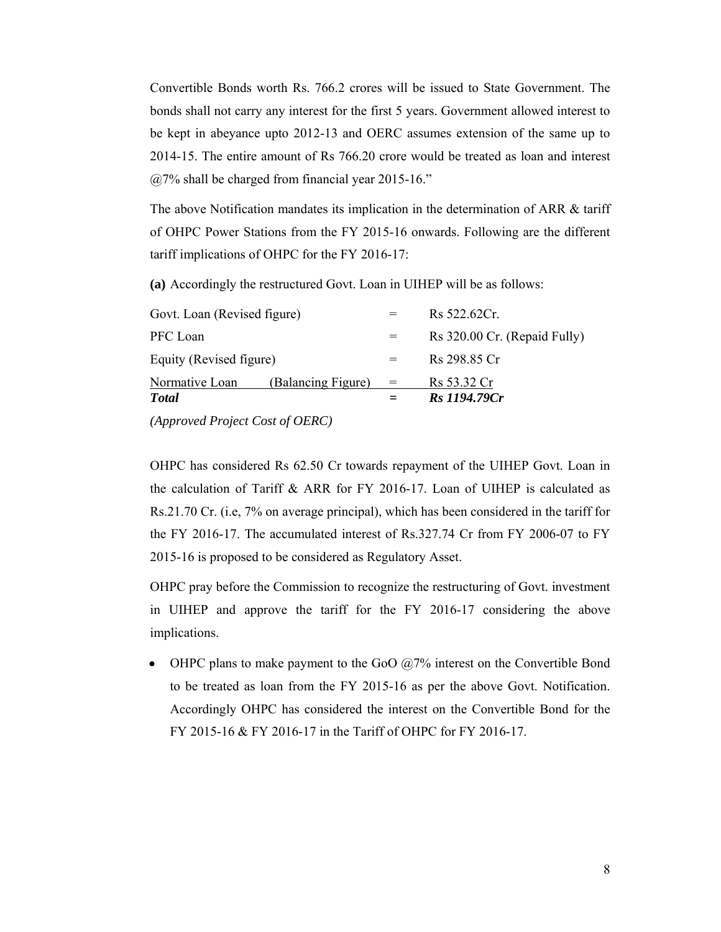Convertible Bonds worth Rs. 766.2 crores will be issued to State Government. The bonds shall not carry any interest for the first 5 years. Government allowed interest to be kept in abeyance upto 2012-13 and OERC assumes extension of the same up to 2014-15. The entire amount of Rs 766.20 crore would be treated as loan and interest @7% shall be charged from financial year 2015-16."

The above Notification mandates its implication in the determination of ARR & tariff of OHPC Power Stations from the FY 2015-16 onwards. Following are the different tariff implications of OHPC for the FY 2016-17:

**(a)** Accordingly the restructured Govt. Loan in UIHEP will be as follows:

| <b>Total</b>                |                    |     | Rs 1194.79Cr                 |
|-----------------------------|--------------------|-----|------------------------------|
| Normative Loan              | (Balancing Figure) | $=$ | Rs 53.32 Cr                  |
| Equity (Revised figure)     |                    |     | Rs 298.85 Cr                 |
| PFC Loan                    |                    |     | Rs 320.00 Cr. (Repaid Fully) |
| Govt. Loan (Revised figure) |                    |     | Rs 522.62Cr.                 |

*(Approved Project Cost of OERC)* 

OHPC has considered Rs 62.50 Cr towards repayment of the UIHEP Govt. Loan in the calculation of Tariff  $\&$  ARR for FY 2016-17. Loan of UIHEP is calculated as Rs.21.70 Cr. (i.e, 7% on average principal), which has been considered in the tariff for the FY 2016-17. The accumulated interest of Rs.327.74 Cr from FY 2006-07 to FY 2015-16 is proposed to be considered as Regulatory Asset.

OHPC pray before the Commission to recognize the restructuring of Govt. investment in UIHEP and approve the tariff for the FY 2016-17 considering the above implications.

• OHPC plans to make payment to the GoO  $\omega$ 7% interest on the Convertible Bond to be treated as loan from the FY 2015-16 as per the above Govt. Notification. Accordingly OHPC has considered the interest on the Convertible Bond for the FY 2015-16 & FY 2016-17 in the Tariff of OHPC for FY 2016-17.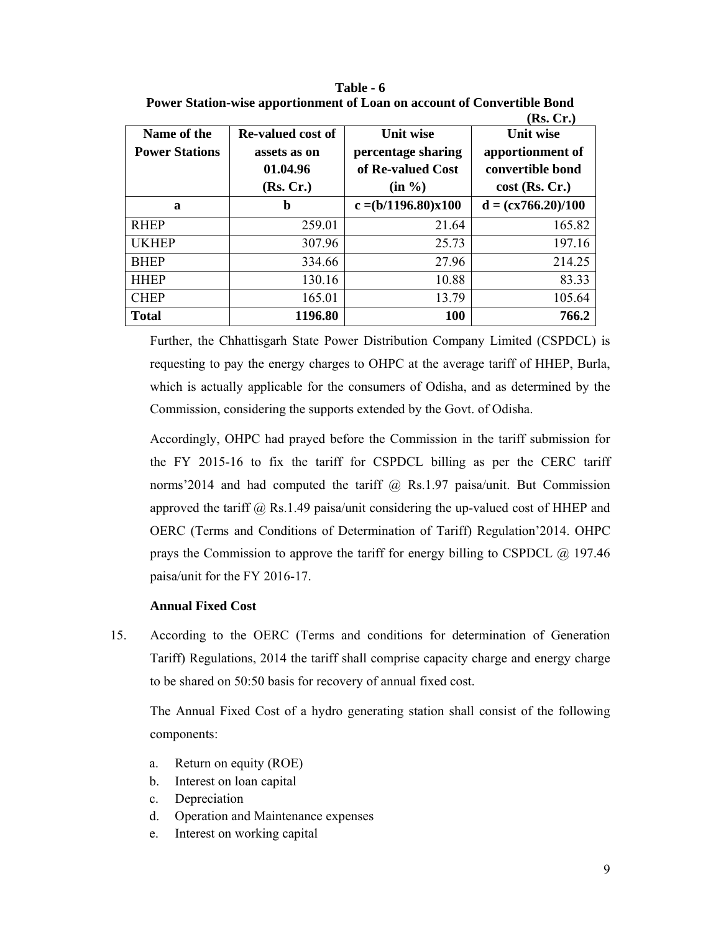|                       |                          |                       | (Rs. Cr.)            |
|-----------------------|--------------------------|-----------------------|----------------------|
| Name of the           | <b>Re-valued cost of</b> | <b>Unit wise</b>      | <b>Unit wise</b>     |
| <b>Power Stations</b> | assets as on             | percentage sharing    | apportionment of     |
|                       | 01.04.96                 | of Re-valued Cost     | convertible bond     |
|                       | (Rs, Cr.)                | $(in \%)$             | $cost$ (Rs. Cr.)     |
| $\mathbf a$           | b                        | $c = (b/1196.80)x100$ | $d = (cx766.20)/100$ |
| <b>RHEP</b>           | 259.01                   | 21.64                 | 165.82               |
| <b>UKHEP</b>          | 307.96                   | 25.73                 | 197.16               |
| <b>BHEP</b>           | 334.66                   | 27.96                 | 214.25               |
| <b>HHEP</b>           | 130.16                   | 10.88                 | 83.33                |
| <b>CHEP</b>           | 165.01                   | 13.79                 | 105.64               |
| <b>Total</b>          | 1196.80                  | <b>100</b>            | 766.2                |

**Table - 6 Power Station-wise apportionment of Loan on account of Convertible Bond** 

Further, the Chhattisgarh State Power Distribution Company Limited (CSPDCL) is requesting to pay the energy charges to OHPC at the average tariff of HHEP, Burla, which is actually applicable for the consumers of Odisha, and as determined by the Commission, considering the supports extended by the Govt. of Odisha.

Accordingly, OHPC had prayed before the Commission in the tariff submission for the FY 2015-16 to fix the tariff for CSPDCL billing as per the CERC tariff norms'2014 and had computed the tariff  $\omega$  Rs.1.97 paisa/unit. But Commission approved the tariff  $\omega$  Rs.1.49 paisa/unit considering the up-valued cost of HHEP and OERC (Terms and Conditions of Determination of Tariff) Regulation'2014. OHPC prays the Commission to approve the tariff for energy billing to CSPDCL @ 197.46 paisa/unit for the FY 2016-17.

## **Annual Fixed Cost**

15. According to the OERC (Terms and conditions for determination of Generation Tariff) Regulations, 2014 the tariff shall comprise capacity charge and energy charge to be shared on 50:50 basis for recovery of annual fixed cost.

The Annual Fixed Cost of a hydro generating station shall consist of the following components:

- a. Return on equity (ROE)
- b. Interest on loan capital
- c. Depreciation
- d. Operation and Maintenance expenses
- e. Interest on working capital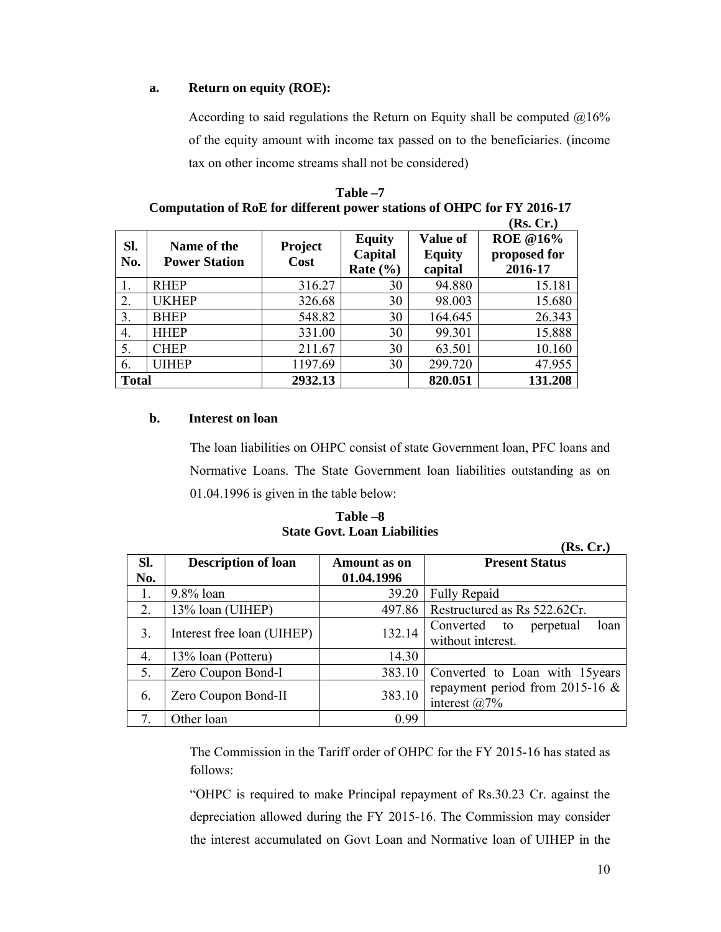#### **a. Return on equity (ROE):**

According to said regulations the Return on Equity shall be computed  $@16\%$ of the equity amount with income tax passed on to the beneficiaries. (income tax on other income streams shall not be considered)

|              |                                     |                        |                                          |                                             | (Rs, Cr.)                                  |
|--------------|-------------------------------------|------------------------|------------------------------------------|---------------------------------------------|--------------------------------------------|
| SI.<br>No.   | Name of the<br><b>Power Station</b> | <b>Project</b><br>Cost | <b>Equity</b><br>Capital<br>Rate $(\% )$ | <b>Value of</b><br><b>Equity</b><br>capital | <b>ROE</b> @16%<br>proposed for<br>2016-17 |
|              | <b>RHEP</b>                         | 316.27                 | 30                                       | 94.880                                      | 15.181                                     |
| 2.           | <b>UKHEP</b>                        | 326.68                 | 30                                       | 98.003                                      | 15.680                                     |
| 3.           | <b>BHEP</b>                         | 548.82                 | 30                                       | 164.645                                     | 26.343                                     |
| 4.           | <b>HHEP</b>                         | 331.00                 | 30                                       | 99.301                                      | 15.888                                     |
| 5.           | <b>CHEP</b>                         | 211.67                 | 30                                       | 63.501                                      | 10.160                                     |
| 6.           | <b>UIHEP</b>                        | 1197.69                | 30                                       | 299.720                                     | 47.955                                     |
| <b>Total</b> |                                     | 2932.13                |                                          | 820.051                                     | 131.208                                    |

**Table –7 Computation of RoE for different power stations of OHPC for FY 2016-17** 

#### **b. Interest on loan**

The loan liabilities on OHPC consist of state Government loan, PFC loans and Normative Loans. The State Government loan liabilities outstanding as on 01.04.1996 is given in the table below:

**Table –8 State Govt. Loan Liabilities** 

**(Rs. Cr.)** 

| SI. | <b>Description of loan</b> | Amount as on | <b>Present Status</b>                                   |
|-----|----------------------------|--------------|---------------------------------------------------------|
| No. |                            | 01.04.1996   |                                                         |
| 1.  | $9.8\%$ loan               | 39.20        | <b>Fully Repaid</b>                                     |
| 2.  | 13% loan (UIHEP)           | 497.86       | Restructured as Rs 522.62Cr.                            |
| 3.  | Interest free loan (UIHEP) | 132.14       | Converted to<br>perpetual<br>loan<br>without interest.  |
| 4.  | 13% loan (Potteru)         | 14.30        |                                                         |
| 5.  | Zero Coupon Bond-I         | 383.10       | Converted to Loan with 15 years                         |
| 6.  | Zero Coupon Bond-II        | 383.10       | repayment period from 2015-16 &<br>interest $\omega$ 7% |
|     | Other loan                 | 0.99         |                                                         |

 The Commission in the Tariff order of OHPC for the FY 2015-16 has stated as follows:

 "OHPC is required to make Principal repayment of Rs.30.23 Cr. against the depreciation allowed during the FY 2015-16. The Commission may consider the interest accumulated on Govt Loan and Normative loan of UIHEP in the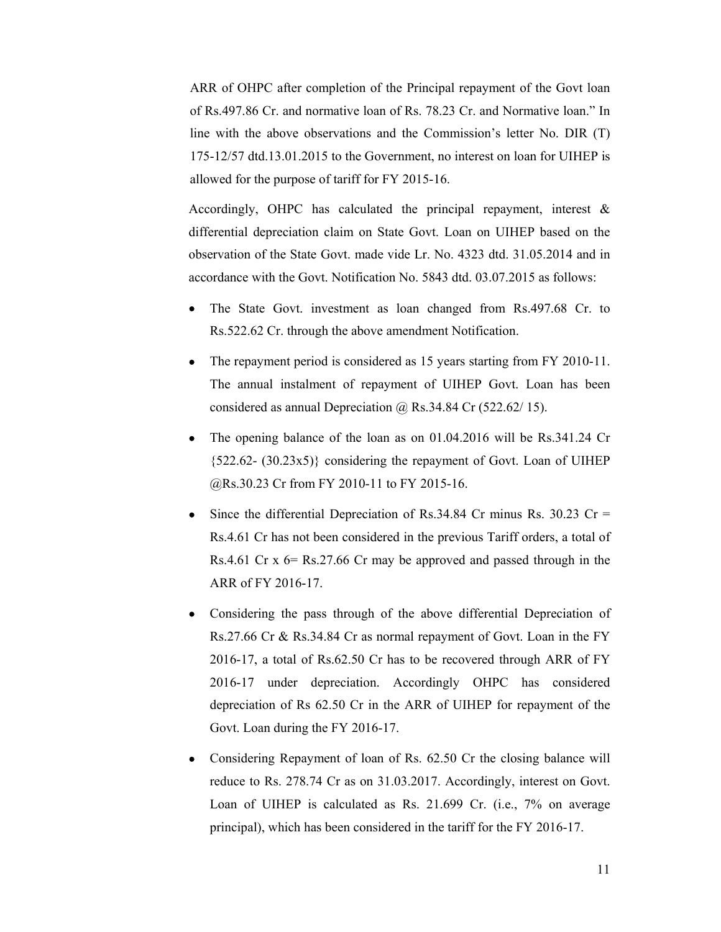ARR of OHPC after completion of the Principal repayment of the Govt loan of Rs.497.86 Cr. and normative loan of Rs. 78.23 Cr. and Normative loan." In line with the above observations and the Commission's letter No. DIR (T) 175-12/57 dtd.13.01.2015 to the Government, no interest on loan for UIHEP is allowed for the purpose of tariff for FY 2015-16.

Accordingly, OHPC has calculated the principal repayment, interest & differential depreciation claim on State Govt. Loan on UIHEP based on the observation of the State Govt. made vide Lr. No. 4323 dtd. 31.05.2014 and in accordance with the Govt. Notification No. 5843 dtd. 03.07.2015 as follows:

- The State Govt. investment as loan changed from Rs.497.68 Cr. to Rs.522.62 Cr. through the above amendment Notification.
- The repayment period is considered as 15 years starting from FY 2010-11. The annual instalment of repayment of UIHEP Govt. Loan has been considered as annual Depreciation @ Rs.34.84 Cr (522.62/ 15).
- The opening balance of the loan as on 01.04.2016 will be Rs.341.24 Cr  ${522.62} - {30.23x5}$  considering the repayment of Govt. Loan of UIHEP @Rs.30.23 Cr from FY 2010-11 to FY 2015-16.
- Since the differential Depreciation of Rs. 34.84 Cr minus Rs.  $30.23$  Cr = Rs.4.61 Cr has not been considered in the previous Tariff orders, a total of Rs.4.61 Cr x 6= Rs.27.66 Cr may be approved and passed through in the ARR of FY 2016-17.
- Considering the pass through of the above differential Depreciation of Rs.27.66 Cr & Rs.34.84 Cr as normal repayment of Govt. Loan in the FY 2016-17, a total of Rs.62.50 Cr has to be recovered through ARR of FY 2016-17 under depreciation. Accordingly OHPC has considered depreciation of Rs 62.50 Cr in the ARR of UIHEP for repayment of the Govt. Loan during the FY 2016-17.
- Considering Repayment of loan of Rs. 62.50 Cr the closing balance will reduce to Rs. 278.74 Cr as on 31.03.2017. Accordingly, interest on Govt. Loan of UIHEP is calculated as Rs. 21.699 Cr. (i.e., 7% on average principal), which has been considered in the tariff for the FY 2016-17.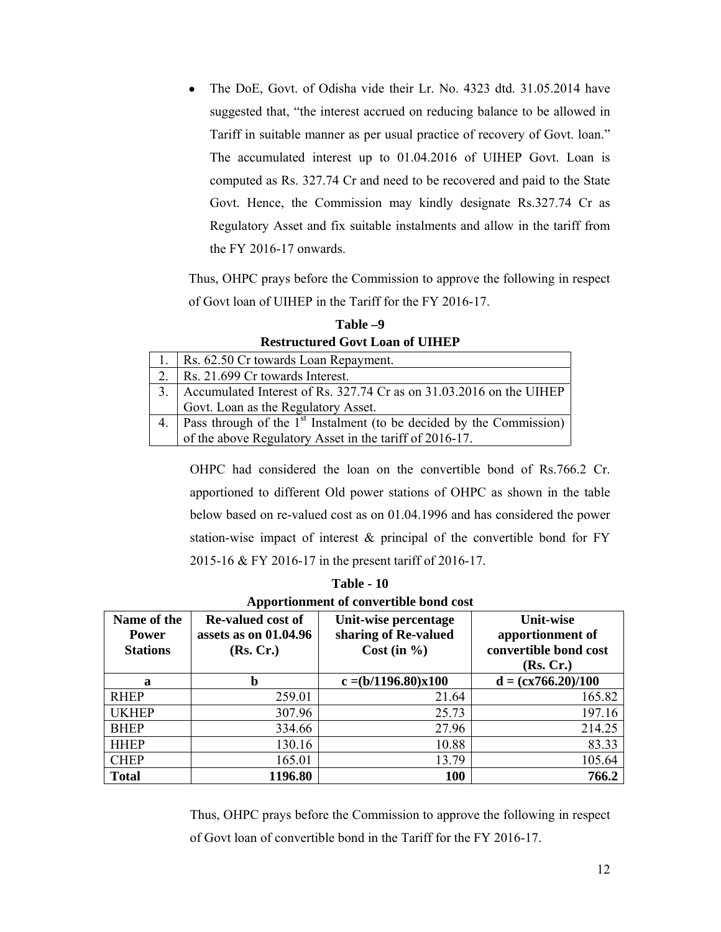• The DoE, Govt. of Odisha vide their Lr. No. 4323 dtd. 31.05.2014 have suggested that, "the interest accrued on reducing balance to be allowed in Tariff in suitable manner as per usual practice of recovery of Govt. loan." The accumulated interest up to 01.04.2016 of UIHEP Govt. Loan is computed as Rs. 327.74 Cr and need to be recovered and paid to the State Govt. Hence, the Commission may kindly designate Rs.327.74 Cr as Regulatory Asset and fix suitable instalments and allow in the tariff from the FY 2016-17 onwards.

Thus, OHPC prays before the Commission to approve the following in respect of Govt loan of UIHEP in the Tariff for the FY 2016-17.

|    | www.communical.com/                                                       |
|----|---------------------------------------------------------------------------|
|    | Rs. 62.50 Cr towards Loan Repayment.                                      |
| 2. | Rs. 21.699 Cr towards Interest.                                           |
|    | Accumulated Interest of Rs. 327.74 Cr as on 31.03.2016 on the UIHEP       |
|    | Govt. Loan as the Regulatory Asset.                                       |
|    | 4. Pass through of the $1st$ Instalment (to be decided by the Commission) |
|    | of the above Regulatory Asset in the tariff of 2016-17.                   |

**Table –9 Restructured Govt Loan of UIHEP** 

OHPC had considered the loan on the convertible bond of Rs.766.2 Cr. apportioned to different Old power stations of OHPC as shown in the table below based on re-valued cost as on 01.04.1996 and has considered the power station-wise impact of interest  $\&$  principal of the convertible bond for FY 2015-16 & FY 2016-17 in the present tariff of 2016-17.

|                                                | Apportionment of convertible bond cost                           |                                                             |                                                                            |  |  |  |  |  |  |  |
|------------------------------------------------|------------------------------------------------------------------|-------------------------------------------------------------|----------------------------------------------------------------------------|--|--|--|--|--|--|--|
| Name of the<br><b>Power</b><br><b>Stations</b> | <b>Re-valued cost of</b><br>assets as on $01.04.96$<br>(Rs, Cr.) | Unit-wise percentage<br>sharing of Re-valued<br>Cost (in %) | <b>Unit-wise</b><br>apportionment of<br>convertible bond cost<br>(Rs, Cr.) |  |  |  |  |  |  |  |
| a                                              | b                                                                | $c = (b/1196.80)x100$                                       | $d = (cx766.20)/100$                                                       |  |  |  |  |  |  |  |
| <b>RHEP</b>                                    | 259.01                                                           | 21.64                                                       | 165.82                                                                     |  |  |  |  |  |  |  |
| <b>UKHEP</b>                                   | 307.96                                                           | 25.73                                                       | 197.16                                                                     |  |  |  |  |  |  |  |
| <b>BHEP</b>                                    | 334.66                                                           | 27.96                                                       | 214.25                                                                     |  |  |  |  |  |  |  |
| <b>HHEP</b>                                    | 130.16                                                           | 10.88                                                       | 83.33                                                                      |  |  |  |  |  |  |  |
| <b>CHEP</b>                                    | 165.01                                                           | 13.79                                                       | 105.64                                                                     |  |  |  |  |  |  |  |
| <b>Total</b>                                   | 1196.80                                                          | <b>100</b>                                                  | 766.2                                                                      |  |  |  |  |  |  |  |

**Table - 10 Apportionment of convertible bond cost** 

Thus, OHPC prays before the Commission to approve the following in respect of Govt loan of convertible bond in the Tariff for the FY 2016-17.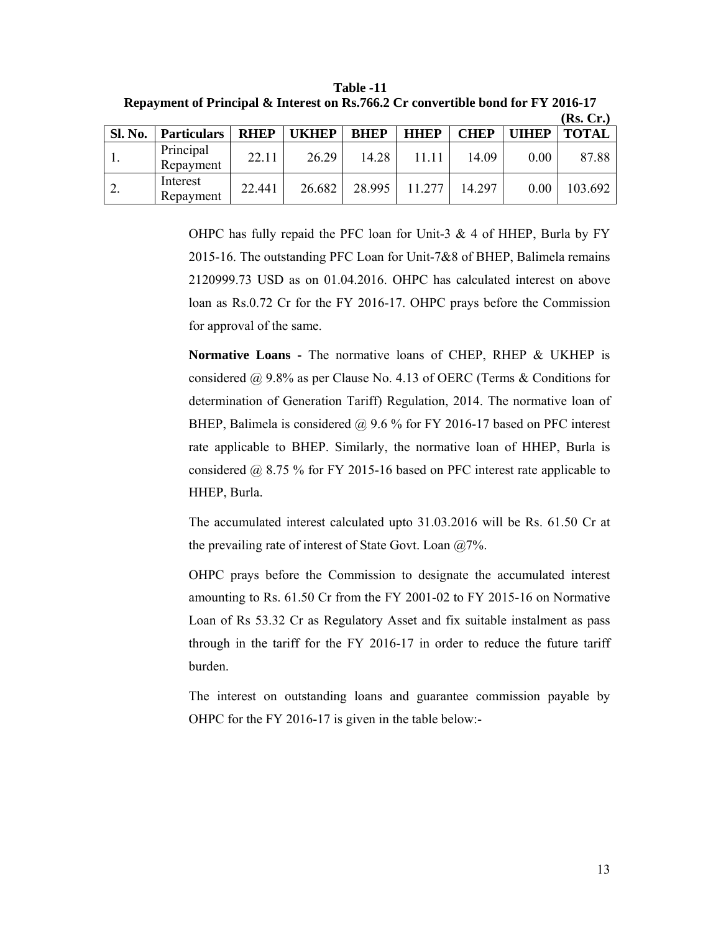|                |                        |             |              |             |             |             |              | (Rs, Cr.)    |
|----------------|------------------------|-------------|--------------|-------------|-------------|-------------|--------------|--------------|
| <b>Sl. No.</b> | <b>Particulars</b>     | <b>RHEP</b> | <b>UKHEP</b> | <b>BHEP</b> | <b>HHEP</b> | <b>CHEP</b> | <b>UIHEP</b> | <b>TOTAL</b> |
|                | Principal<br>Repayment | 22.11       | 26.29        | 14.28       | 11.11       | 14.09       | 0.00         | 87.88        |
| 2.             | Interest<br>Repayment  | 22.441      | 26.682       | 28.995      | 11 277      | 14.297      | 0.00         | 103.692      |

**Table -11 Repayment of Principal & Interest on Rs.766.2 Cr convertible bond for FY 2016-17** 

OHPC has fully repaid the PFC loan for Unit-3  $\&$  4 of HHEP, Burla by FY 2015-16. The outstanding PFC Loan for Unit-7&8 of BHEP, Balimela remains 2120999.73 USD as on 01.04.2016. OHPC has calculated interest on above loan as Rs.0.72 Cr for the FY 2016-17. OHPC prays before the Commission for approval of the same.

**Normative Loans -** The normative loans of CHEP, RHEP & UKHEP is considered @ 9.8% as per Clause No. 4.13 of OERC (Terms & Conditions for determination of Generation Tariff) Regulation, 2014. The normative loan of BHEP, Balimela is considered  $\omega$  9.6 % for FY 2016-17 based on PFC interest rate applicable to BHEP. Similarly, the normative loan of HHEP, Burla is considered @ 8.75 % for FY 2015-16 based on PFC interest rate applicable to HHEP, Burla.

The accumulated interest calculated upto 31.03.2016 will be Rs. 61.50 Cr at the prevailing rate of interest of State Govt. Loan @7%.

OHPC prays before the Commission to designate the accumulated interest amounting to Rs. 61.50 Cr from the FY 2001-02 to FY 2015-16 on Normative Loan of Rs 53.32 Cr as Regulatory Asset and fix suitable instalment as pass through in the tariff for the FY 2016-17 in order to reduce the future tariff burden.

The interest on outstanding loans and guarantee commission payable by OHPC for the FY 2016-17 is given in the table below:-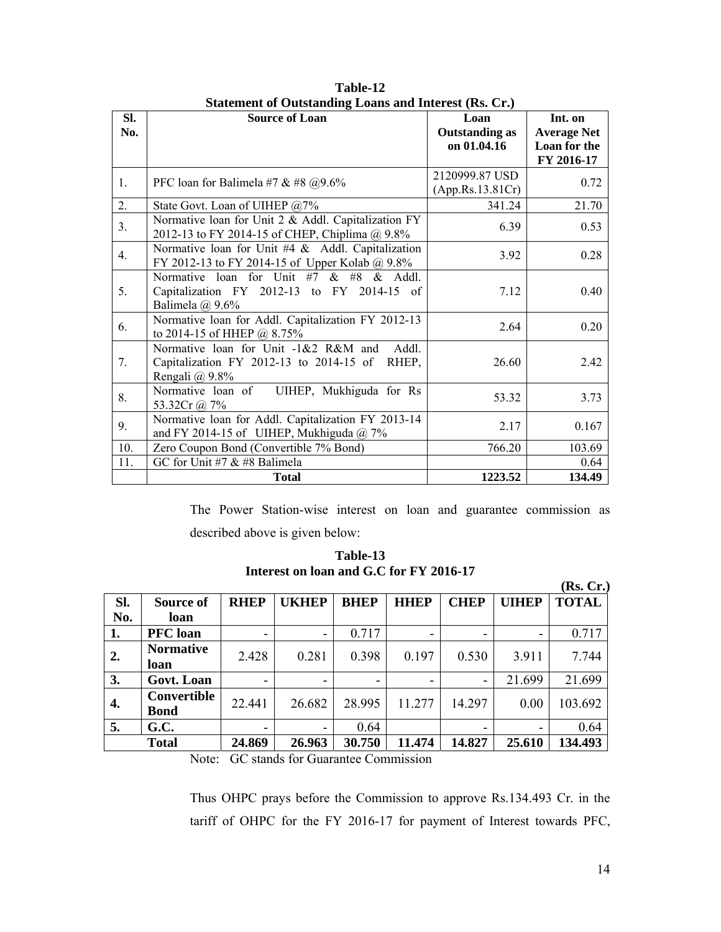| SI. | $\frac{1}{2}$<br><b>Source of Loan</b>               | Loan                  | Int. on            |
|-----|------------------------------------------------------|-----------------------|--------------------|
| No. |                                                      | <b>Outstanding as</b> | <b>Average Net</b> |
|     |                                                      | on 01.04.16           | Loan for the       |
|     |                                                      |                       | FY 2016-17         |
| 1.  | PFC loan for Balimela #7 & #8 $@9.6\%$               | 2120999.87 USD        | 0.72               |
|     |                                                      | (App.Rs.13.81Cr)      |                    |
| 2.  | State Govt. Loan of UIHEP @7%                        | 341.24                | 21.70              |
| 3.  | Normative loan for Unit 2 & Addl. Capitalization FY  | 6.39                  | 0.53               |
|     | 2012-13 to FY 2014-15 of CHEP, Chiplima @ 9.8%       |                       |                    |
| 4.  | Normative loan for Unit #4 $\&$ Addl. Capitalization | 3.92                  | 0.28               |
|     | FY 2012-13 to FY 2014-15 of Upper Kolab @ 9.8%       |                       |                    |
|     | Normative loan for Unit #7 $&$ #8 $&$ Addl.          |                       |                    |
| 5.  | Capitalization FY 2012-13 to FY 2014-15 of           | 7.12                  | 0.40               |
|     | Balimela $(a)$ 9.6%                                  |                       |                    |
| 6.  | Normative loan for Addl. Capitalization FY 2012-13   | 2.64                  | 0.20               |
|     | to 2014-15 of HHEP $@.8.75\%$                        |                       |                    |
|     | Normative loan for Unit -1&2 R&M and<br>Addl.        |                       |                    |
| 7.  | Capitalization FY 2012-13 to 2014-15 of RHEP,        | 26.60                 | 2.42               |
|     | Rengali @ 9.8%                                       |                       |                    |
| 8.  | Normative loan of UIHEP, Mukhiguda for Rs            | 53.32                 | 3.73               |
|     | 53.32Cr @ 7%                                         |                       |                    |
| 9.  | Normative loan for Addl. Capitalization FY 2013-14   | 2.17                  | 0.167              |
|     | and FY 2014-15 of UIHEP, Mukhiguda $\omega$ 7%       |                       |                    |
| 10. | Zero Coupon Bond (Convertible 7% Bond)               | 766.20                | 103.69             |
| 11. | GC for Unit #7 $&$ #8 Balimela                       |                       | 0.64               |
|     | <b>Total</b>                                         | 1223.52               | 134.49             |

**Table-12 Statement of Outstanding Loans and Interest (Rs. Cr.)** 

The Power Station-wise interest on loan and guarantee commission as described above is given below:

**Table-13 Interest on loan and G.C for FY 2016-17** 

|     |                            |               |                          |             |                          |             |                          | (Rs. Cr.)    |
|-----|----------------------------|---------------|--------------------------|-------------|--------------------------|-------------|--------------------------|--------------|
| Sl. | Source of                  | <b>RHEP</b>   | <b>UKHEP</b>             | <b>BHEP</b> | <b>HHEP</b>              | <b>CHEP</b> | <b>UIHEP</b>             | <b>TOTAL</b> |
| No. | loan                       |               |                          |             |                          |             |                          |              |
| 1.  | <b>PFC</b> loan            |               | $\overline{\phantom{0}}$ | 0.717       | $\overline{\phantom{0}}$ |             | $\overline{\phantom{0}}$ | 0.717        |
| 2.  | <b>Normative</b><br>loan   | 2.428         | 0.281                    | 0.398       | 0.197                    | 0.530       | 3.911                    | 7.744        |
| 3.  | Govt. Loan                 |               |                          |             |                          |             | 21.699                   | 21.699       |
| 4.  | Convertible<br><b>Bond</b> | 22.441        | 26.682                   | 28.995      | 11.277                   | 14.297      | 0.00                     | 103.692      |
| 5.  | G.C.                       |               | $\overline{\phantom{a}}$ | 0.64        |                          |             | -                        | 0.64         |
|     | <b>Total</b>               | 24.869        | 26.963                   | 30.750      | 11.474                   | 14.827      | 25.610                   | 134.493      |
|     | .                          | $\sim$ $\sim$ | $\sim$ $\sim$            | $\sim$      |                          |             |                          |              |

Note: GC stands for Guarantee Commission

Thus OHPC prays before the Commission to approve Rs.134.493 Cr. in the tariff of OHPC for the FY 2016-17 for payment of Interest towards PFC,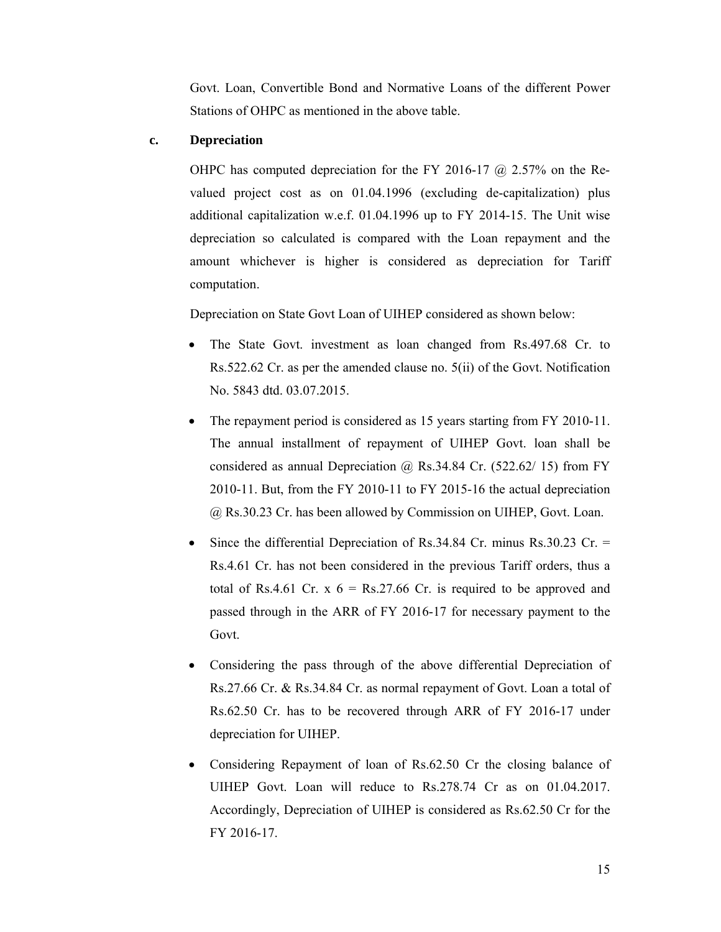Govt. Loan, Convertible Bond and Normative Loans of the different Power Stations of OHPC as mentioned in the above table.

#### **c. Depreciation**

OHPC has computed depreciation for the FY 2016-17  $\omega$  2.57% on the Revalued project cost as on 01.04.1996 (excluding de-capitalization) plus additional capitalization w.e.f. 01.04.1996 up to FY 2014-15. The Unit wise depreciation so calculated is compared with the Loan repayment and the amount whichever is higher is considered as depreciation for Tariff computation.

Depreciation on State Govt Loan of UIHEP considered as shown below:

- The State Govt. investment as loan changed from Rs.497.68 Cr. to Rs.522.62 Cr. as per the amended clause no. 5(ii) of the Govt. Notification No. 5843 dtd. 03.07.2015.
- The repayment period is considered as 15 years starting from FY 2010-11. The annual installment of repayment of UIHEP Govt. loan shall be considered as annual Depreciation  $\omega$  Rs.34.84 Cr. (522.62/ 15) from FY 2010-11. But, from the FY 2010-11 to FY 2015-16 the actual depreciation @ Rs.30.23 Cr. has been allowed by Commission on UIHEP, Govt. Loan.
- Since the differential Depreciation of Rs.34.84 Cr. minus Rs.30.23 Cr. = Rs.4.61 Cr. has not been considered in the previous Tariff orders, thus a total of Rs.4.61 Cr. x  $6 = \text{Rs.27.66}$  Cr. is required to be approved and passed through in the ARR of FY 2016-17 for necessary payment to the Govt.
- Considering the pass through of the above differential Depreciation of Rs.27.66 Cr. & Rs.34.84 Cr. as normal repayment of Govt. Loan a total of Rs.62.50 Cr. has to be recovered through ARR of FY 2016-17 under depreciation for UIHEP.
- Considering Repayment of loan of Rs.62.50 Cr the closing balance of UIHEP Govt. Loan will reduce to Rs.278.74 Cr as on 01.04.2017. Accordingly, Depreciation of UIHEP is considered as Rs.62.50 Cr for the FY 2016-17.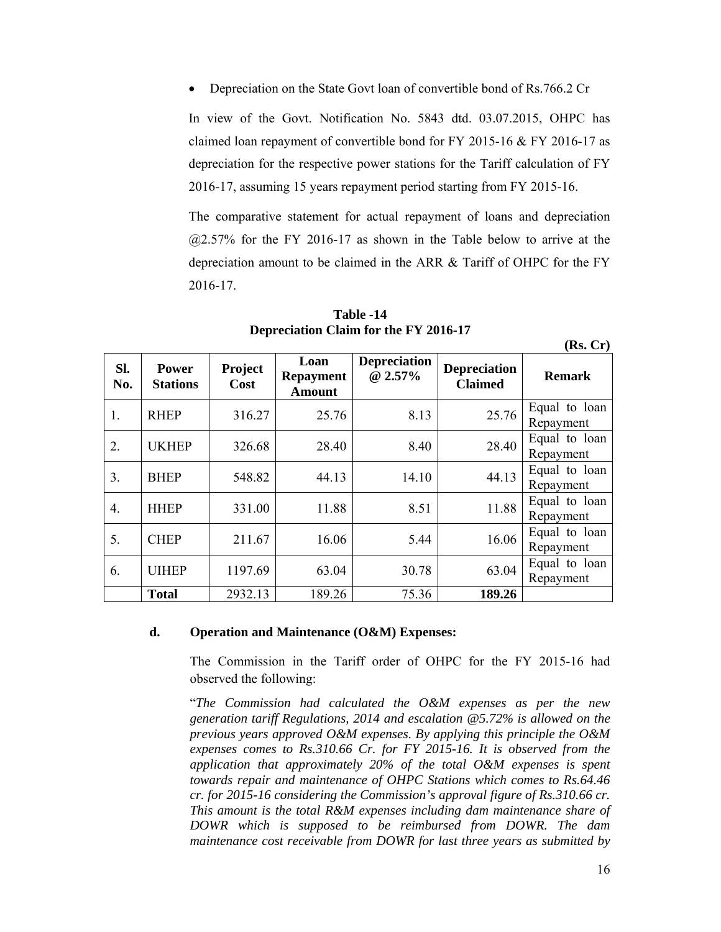• Depreciation on the State Govt loan of convertible bond of Rs.766.2 Cr

In view of the Govt. Notification No. 5843 dtd. 03.07.2015, OHPC has claimed loan repayment of convertible bond for FY 2015-16 & FY 2016-17 as depreciation for the respective power stations for the Tariff calculation of FY 2016-17, assuming 15 years repayment period starting from FY 2015-16.

The comparative statement for actual repayment of loans and depreciation  $(22.57\%$  for the FY 2016-17 as shown in the Table below to arrive at the depreciation amount to be claimed in the ARR & Tariff of OHPC for the FY 2016-17.

| SI.<br>No.       | <b>Power</b><br><b>Stations</b> | Project<br>Cost | Loan<br><b>Repayment</b><br><b>Amount</b> | <b>Depreciation</b><br>@ 2.57% | <b>Depreciation</b><br><b>Claimed</b> | <b>Remark</b>              |
|------------------|---------------------------------|-----------------|-------------------------------------------|--------------------------------|---------------------------------------|----------------------------|
| 1.               | <b>RHEP</b>                     | 316.27          | 25.76                                     | 8.13                           | 25.76                                 | Equal to loan<br>Repayment |
| 2.               | <b>UKHEP</b>                    | 326.68          | 28.40                                     | 8.40                           | 28.40                                 | Equal to loan<br>Repayment |
| 3.               | <b>BHEP</b>                     | 548.82          | 44.13                                     | 14.10                          | 44.13                                 | Equal to loan<br>Repayment |
| $\overline{4}$ . | <b>HHEP</b>                     | 331.00          | 11.88                                     | 8.51                           | 11.88                                 | Equal to loan<br>Repayment |
| 5.               | <b>CHEP</b>                     | 211.67          | 16.06                                     | 5.44                           | 16.06                                 | Equal to loan<br>Repayment |
| 6.               | <b>UIHEP</b>                    | 1197.69         | 63.04                                     | 30.78                          | 63.04                                 | Equal to loan<br>Repayment |
|                  | <b>Total</b>                    | 2932.13         | 189.26                                    | 75.36                          | 189.26                                |                            |

**Table -14 Depreciation Claim for the FY 2016-17** 

#### **d. Operation and Maintenance (O&M) Expenses:**

The Commission in the Tariff order of OHPC for the FY 2015-16 had observed the following:

"*The Commission had calculated the O&M expenses as per the new generation tariff Regulations, 2014 and escalation @5.72% is allowed on the previous years approved O&M expenses. By applying this principle the O&M expenses comes to Rs.310.66 Cr. for FY 2015-16. It is observed from the application that approximately 20% of the total O&M expenses is spent towards repair and maintenance of OHPC Stations which comes to Rs.64.46 cr. for 2015-16 considering the Commission's approval figure of Rs.310.66 cr. This amount is the total R&M expenses including dam maintenance share of DOWR which is supposed to be reimbursed from DOWR. The dam maintenance cost receivable from DOWR for last three years as submitted by* 

**(Rs. Cr)**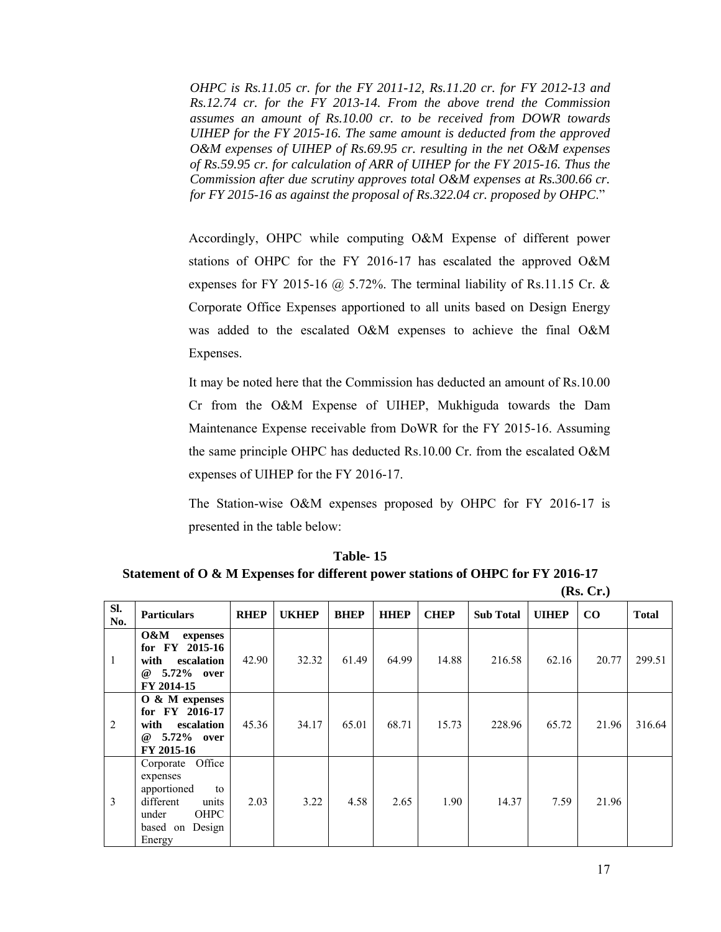*OHPC is Rs.11.05 cr. for the FY 2011-12, Rs.11.20 cr. for FY 2012-13 and Rs.12.74 cr. for the FY 2013-14. From the above trend the Commission assumes an amount of Rs.10.00 cr. to be received from DOWR towards UIHEP for the FY 2015-16. The same amount is deducted from the approved O&M expenses of UIHEP of Rs.69.95 cr. resulting in the net O&M expenses of Rs.59.95 cr. for calculation of ARR of UIHEP for the FY 2015-16. Thus the Commission after due scrutiny approves total O&M expenses at Rs.300.66 cr. for FY 2015-16 as against the proposal of Rs.322.04 cr. proposed by OHPC*."

Accordingly, OHPC while computing O&M Expense of different power stations of OHPC for the FY 2016-17 has escalated the approved O&M expenses for FY 2015-16  $\omega$  5.72%. The terminal liability of Rs.11.15 Cr. & Corporate Office Expenses apportioned to all units based on Design Energy was added to the escalated O&M expenses to achieve the final O&M Expenses.

It may be noted here that the Commission has deducted an amount of Rs.10.00 Cr from the O&M Expense of UIHEP, Mukhiguda towards the Dam Maintenance Expense receivable from DoWR for the FY 2015-16. Assuming the same principle OHPC has deducted Rs.10.00 Cr. from the escalated O&M expenses of UIHEP for the FY 2016-17.

The Station-wise O&M expenses proposed by OHPC for FY 2016-17 is presented in the table below:

**Table- 15 Statement of O & M Expenses for different power stations of OHPC for FY 2016-17** 

|                |                                                                                                                                    |             |              |             |             |             |                  |              | (KS, Cr.) |              |
|----------------|------------------------------------------------------------------------------------------------------------------------------------|-------------|--------------|-------------|-------------|-------------|------------------|--------------|-----------|--------------|
| Sl.<br>No.     | <b>Particulars</b>                                                                                                                 | <b>RHEP</b> | <b>UKHEP</b> | <b>BHEP</b> | <b>HHDP</b> | <b>CHEP</b> | <b>Sub Total</b> | <b>UIHEP</b> | $\bf CO$  | <b>Total</b> |
| $\mathbf{1}$   | 0&M<br>expenses<br>for FY 2015-16<br>escalation<br>with<br>5.72% over<br>$\omega$<br>FY 2014-15                                    | 42.90       | 32.32        | 61.49       | 64.99       | 14.88       | 216.58           | 62.16        | 20.77     | 299.51       |
| $\overline{2}$ | $\overline{O}$ & M expenses<br>for FY 2016-17<br>escalation<br>with<br>5.72% over<br>$\omega$<br>FY 2015-16                        | 45.36       | 34.17        | 65.01       | 68.71       | 15.73       | 228.96           | 65.72        | 21.96     | 316.64       |
| $\overline{3}$ | Office<br>Corporate<br>expenses<br>apportioned<br>to<br>different<br>units<br><b>OHPC</b><br>under<br>Design<br>based on<br>Energy | 2.03        | 3.22         | 4.58        | 2.65        | 1.90        | 14.37            | 7.59         | 21.96     |              |

 $(2.6)$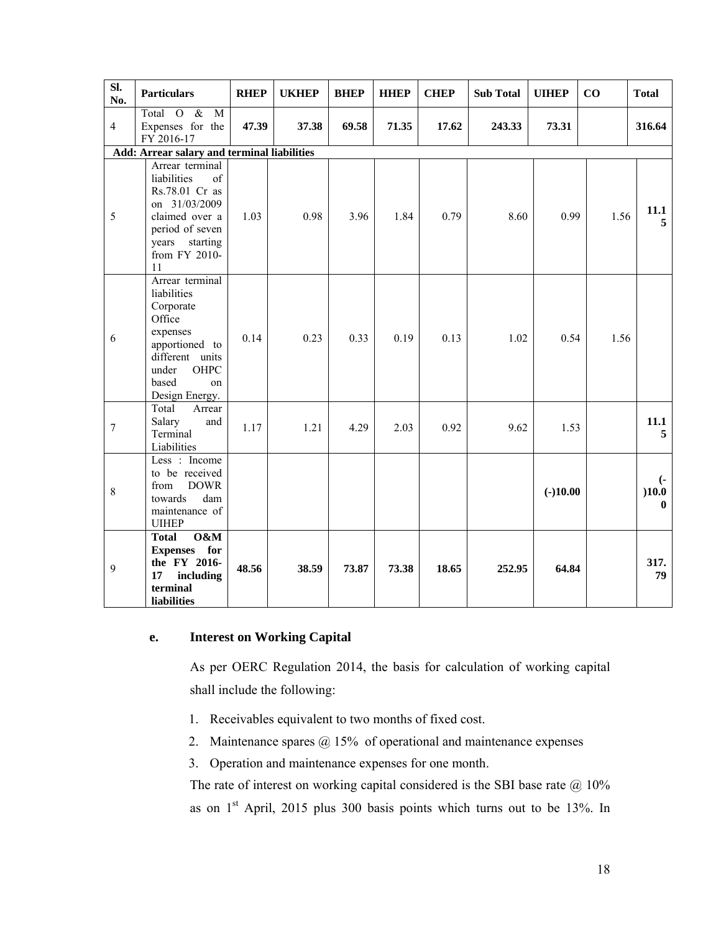| SI.<br>No.       | <b>Particulars</b>                                                                                                                                              | <b>RHEP</b> | <b>UKHEP</b> | <b>BHEP</b> | <b>HHEP</b> | <b>CHEP</b> | <b>Sub Total</b> | <b>UIHEP</b> | $\bf CO$ | <b>Total</b>                               |
|------------------|-----------------------------------------------------------------------------------------------------------------------------------------------------------------|-------------|--------------|-------------|-------------|-------------|------------------|--------------|----------|--------------------------------------------|
| $\overline{4}$   | Total O &<br>M<br>Expenses for the<br>FY 2016-17                                                                                                                | 47.39       | 37.38        | 69.58       | 71.35       | 17.62       | 243.33           | 73.31        |          | 316.64                                     |
|                  | Add: Arrear salary and terminal liabilities                                                                                                                     |             |              |             |             |             |                  |              |          |                                            |
| 5                | Arrear terminal<br>liabilities<br>of<br>Rs.78.01 Cr as<br>on 31/03/2009<br>claimed over a<br>period of seven<br>years starting<br>from FY 2010-<br>11           | 1.03        | 0.98         | 3.96        | 1.84        | 0.79        | 8.60             | 0.99         | 1.56     | 11.1<br>5                                  |
| 6                | Arrear terminal<br>liabilities<br>Corporate<br>Office<br>expenses<br>apportioned to<br>different units<br>under<br><b>OHPC</b><br>based<br>on<br>Design Energy. | 0.14        | 0.23         | 0.33        | 0.19        | 0.13        | 1.02             | 0.54         | 1.56     |                                            |
| $\boldsymbol{7}$ | Total<br>Arrear<br>Salary<br>and<br>Terminal<br>Liabilities                                                                                                     | 1.17        | 1.21         | 4.29        | 2.03        | 0.92        | 9.62             | 1.53         |          | 11.1<br>5                                  |
| 8                | Less : Income<br>to be received<br><b>DOWR</b><br>from<br>towards<br>dam<br>maintenance of<br><b>UIHEP</b>                                                      |             |              |             |             |             |                  | $(-)10.00$   |          | $\left( -\right)$<br>)10.0<br>$\mathbf{0}$ |
| 9                | O&M<br><b>Total</b><br>Expenses for<br>the FY 2016-<br>17<br>including<br>terminal<br>liabilities                                                               | 48.56       | 38.59        | 73.87       | 73.38       | 18.65       | 252.95           | 64.84        |          | 317.<br>79                                 |

## **e. Interest on Working Capital**

As per OERC Regulation 2014, the basis for calculation of working capital shall include the following:

- 1. Receivables equivalent to two months of fixed cost.
- 2. Maintenance spares @ 15% of operational and maintenance expenses
- 3. Operation and maintenance expenses for one month.

The rate of interest on working capital considered is the SBI base rate  $@$  10% as on  $1<sup>st</sup>$  April, 2015 plus 300 basis points which turns out to be 13%. In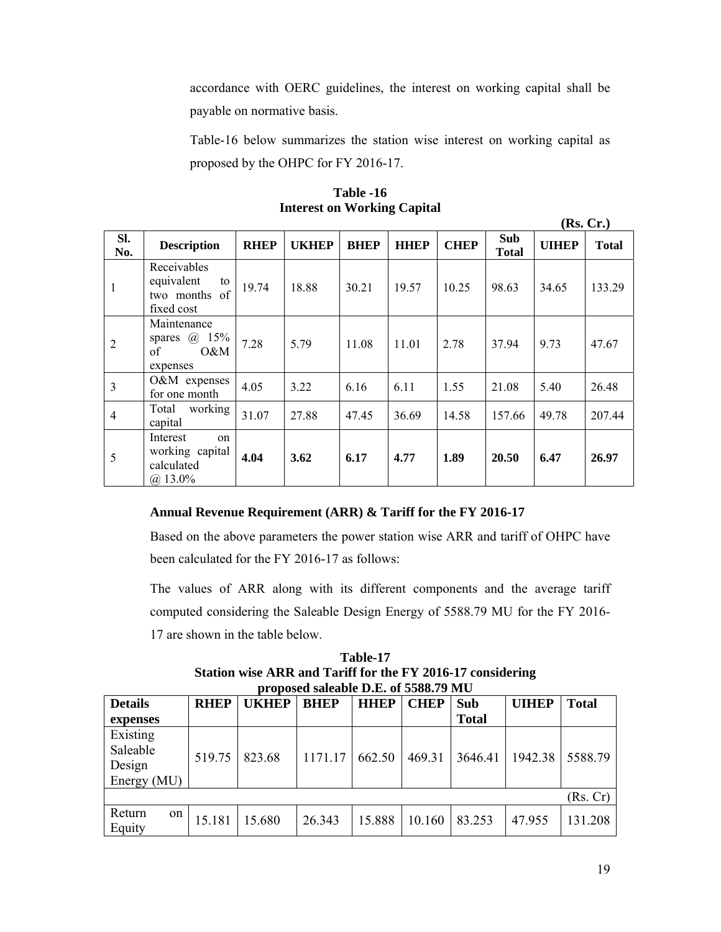accordance with OERC guidelines, the interest on working capital shall be payable on normative basis.

 Table-16 below summarizes the station wise interest on working capital as proposed by the OHPC for FY 2016-17.

|                |                                                                |             |              |             |             |             |                            |              | (KS. Cr.)    |
|----------------|----------------------------------------------------------------|-------------|--------------|-------------|-------------|-------------|----------------------------|--------------|--------------|
| SI.<br>No.     | <b>Description</b>                                             | <b>RHEP</b> | <b>UKHEP</b> | <b>BHEP</b> | <b>HHEP</b> | <b>CHEP</b> | <b>Sub</b><br><b>Total</b> | <b>UIHEP</b> | <b>Total</b> |
|                | Receivables<br>equivalent<br>to<br>two months of<br>fixed cost | 19.74       | 18.88        | 30.21       | 19.57       | 10.25       | 98.63                      | 34.65        | 133.29       |
| 2              | Maintenance<br>$(a)$ 15%<br>spares<br>0&M<br>of<br>expenses    | 7.28        | 5.79         | 11.08       | 11.01       | 2.78        | 37.94                      | 9.73         | 47.67        |
| $\overline{3}$ | O&M expenses<br>for one month                                  | 4.05        | 3.22         | 6.16        | 6.11        | 1.55        | 21.08                      | 5.40         | 26.48        |
| 4              | working<br>Total<br>capital                                    | 31.07       | 27.88        | 47.45       | 36.69       | 14.58       | 157.66                     | 49.78        | 207.44       |
| 5              | Interest<br>on<br>working capital<br>calculated<br>$(a)$ 13.0% | 4.04        | 3.62         | 6.17        | 4.77        | 1.89        | 20.50                      | 6.47         | 26.97        |

**Table -16 Interest on Working Capital** 

# **Annual Revenue Requirement (ARR) & Tariff for the FY 2016-17**

Based on the above parameters the power station wise ARR and tariff of OHPC have been calculated for the FY 2016-17 as follows:

The values of ARR along with its different components and the average tariff computed considering the Saleable Design Energy of 5588.79 MU for the FY 2016- 17 are shown in the table below.

**Table-17 Station wise ARR and Tariff for the FY 2016-17 considering proposed saleable D.E. of 5588.79 MU** 

| <b>Details</b> | <b>RHEP</b> | <b>UKHEP</b> | игоровса вакавне рада от есовту нте<br><b>BHEP</b> | <b>HHEP</b> | <b>CHEP</b> | Sub          | <b>UIHEP</b> | <b>Total</b> |
|----------------|-------------|--------------|----------------------------------------------------|-------------|-------------|--------------|--------------|--------------|
| expenses       |             |              |                                                    |             |             | <b>Total</b> |              |              |
| Existing       |             |              |                                                    |             |             |              |              |              |
| Saleable       | 519.75      | 823.68       | 1171.17                                            | 662.50      | 469.31      | 3646.41      | 1942.38      | 5588.79      |
| Design         |             |              |                                                    |             |             |              |              |              |
| Energy (MU)    |             |              |                                                    |             |             |              |              |              |
|                |             |              |                                                    |             |             |              |              | (Rs, Cr)     |
| Return<br>on   | 15.181      | 15.680       | 26.343                                             | 15.888      | 10.160      | 83.253       | 47.955       | 131.208      |
| Equity         |             |              |                                                    |             |             |              |              |              |

 $(2)$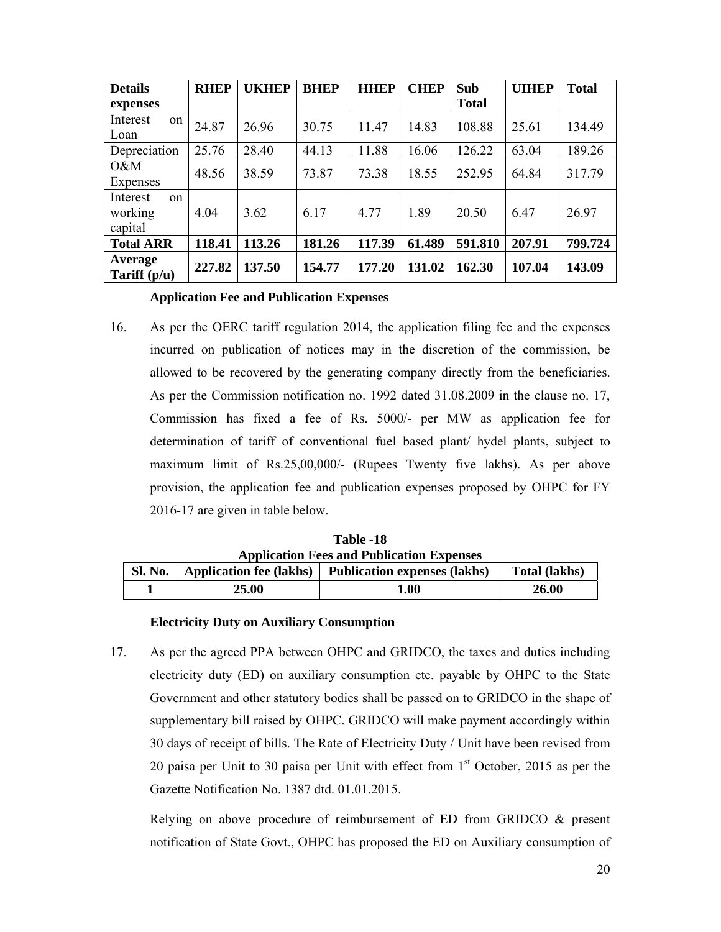| <b>Details</b>                             | <b>RHEP</b> | <b>UKHEP</b> | <b>BHEP</b> | <b>HHEP</b> | <b>CHEP</b> | Sub          | <b>UIHEP</b> | <b>Total</b> |
|--------------------------------------------|-------------|--------------|-------------|-------------|-------------|--------------|--------------|--------------|
| expenses                                   |             |              |             |             |             | <b>Total</b> |              |              |
| Interest<br>on<br>Loan                     | 24.87       | 26.96        | 30.75       | 11.47       | 14.83       | 108.88       | 25.61        | 134.49       |
| Depreciation                               | 25.76       | 28.40        | 44.13       | 11.88       | 16.06       | 126.22       | 63.04        | 189.26       |
| $O\&M$<br>Expenses                         | 48.56       | 38.59        | 73.87       | 73.38       | 18.55       | 252.95       | 64.84        | 317.79       |
| Interest<br>$\alpha$<br>working<br>capital | 4.04        | 3.62         | 6.17        | 4.77        | 1.89        | 20.50        | 6.47         | 26.97        |
| <b>Total ARR</b>                           | 118.41      | 113.26       | 181.26      | 117.39      | 61.489      | 591.810      | 207.91       | 799.724      |
| Average<br>Tariff $(p/u)$                  | 227.82      | 137.50       | 154.77      | 177.20      | 131.02      | 162.30       | 107.04       | 143.09       |

# **Application Fee and Publication Expenses**

16. As per the OERC tariff regulation 2014, the application filing fee and the expenses incurred on publication of notices may in the discretion of the commission, be allowed to be recovered by the generating company directly from the beneficiaries. As per the Commission notification no. 1992 dated 31.08.2009 in the clause no. 17, Commission has fixed a fee of Rs. 5000/- per MW as application fee for determination of tariff of conventional fuel based plant/ hydel plants, subject to maximum limit of Rs.25,00,000/- (Rupees Twenty five lakhs). As per above provision, the application fee and publication expenses proposed by OHPC for FY 2016-17 are given in table below.

|                                                  | Table -18                      |                                     |               |  |  |  |  |  |  |  |
|--------------------------------------------------|--------------------------------|-------------------------------------|---------------|--|--|--|--|--|--|--|
| <b>Application Fees and Publication Expenses</b> |                                |                                     |               |  |  |  |  |  |  |  |
| Sl. No.                                          | <b>Application fee (lakhs)</b> | <b>Publication expenses (lakhs)</b> | Total (lakhs) |  |  |  |  |  |  |  |
|                                                  | 25.00                          | 1.00                                | 26.00         |  |  |  |  |  |  |  |

#### **Electricity Duty on Auxiliary Consumption**

17. As per the agreed PPA between OHPC and GRIDCO, the taxes and duties including electricity duty (ED) on auxiliary consumption etc. payable by OHPC to the State Government and other statutory bodies shall be passed on to GRIDCO in the shape of supplementary bill raised by OHPC. GRIDCO will make payment accordingly within 30 days of receipt of bills. The Rate of Electricity Duty / Unit have been revised from 20 paisa per Unit to 30 paisa per Unit with effect from  $1<sup>st</sup>$  October, 2015 as per the Gazette Notification No. 1387 dtd. 01.01.2015.

Relying on above procedure of reimbursement of ED from GRIDCO & present notification of State Govt., OHPC has proposed the ED on Auxiliary consumption of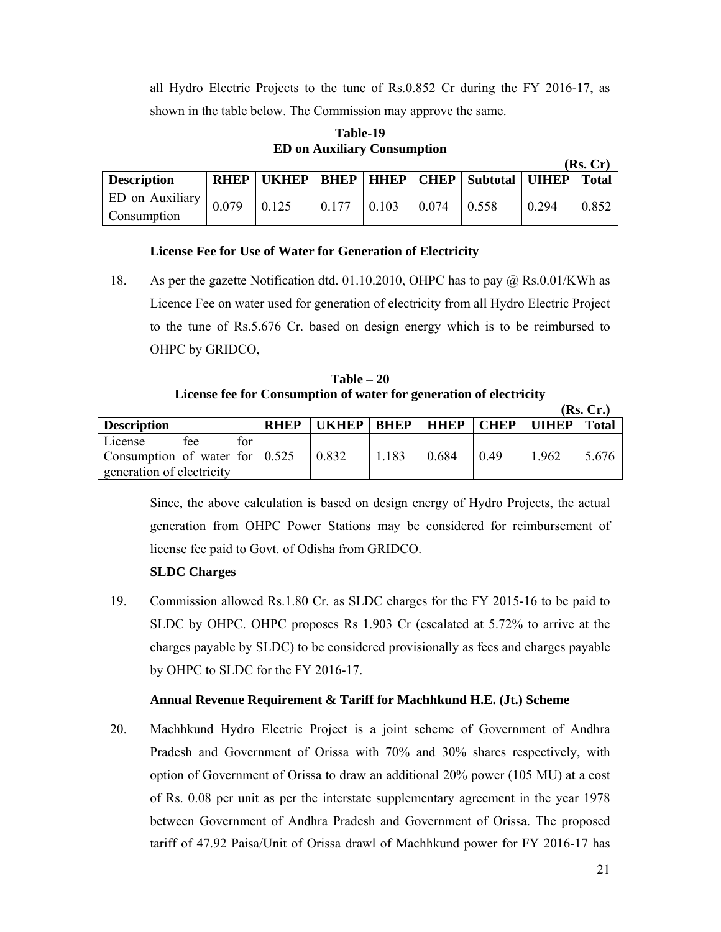all Hydro Electric Projects to the tune of Rs.0.852 Cr during the FY 2016-17, as shown in the table below. The Commission may approve the same.

# **Table-19 ED on Auxiliary Consumption**

|                                               |                                                              |       |       |       |       |       | <b>TTD: CL</b> |
|-----------------------------------------------|--------------------------------------------------------------|-------|-------|-------|-------|-------|----------------|
| <b>Description</b>                            | RHEP   UKHEP   BHEP   HHEP   CHEP   Subtotal   UIHEP   Total |       |       |       |       |       |                |
| $ED$ on Auxiliary $\Big  0.079$ $\Big  \circ$ | 0.125                                                        | 0.177 | 0.103 | 0.074 | 0.558 | 0.294 | 0.852          |
| <b>Consumption</b>                            |                                                              |       |       |       |       |       |                |

## **License Fee for Use of Water for Generation of Electricity**

18. As per the gazette Notification dtd. 01.10.2010, OHPC has to pay @ Rs.0.01/KWh as Licence Fee on water used for generation of electricity from all Hydro Electric Project to the tune of Rs.5.676 Cr. based on design energy which is to be reimbursed to OHPC by GRIDCO,

**Table – 20 License fee for Consumption of water for generation of electricity** 

|                                              |     |     |             |       |             |             |             |       | (Rs, Cr.)    |
|----------------------------------------------|-----|-----|-------------|-------|-------------|-------------|-------------|-------|--------------|
| <b>Description</b>                           |     |     | <b>RHEP</b> | UKHEP | <b>BHEP</b> | <b>HHEP</b> | <b>CHEP</b> | UIHEP | <b>Total</b> |
| License                                      | fee | for |             |       |             |             |             |       |              |
| Consumption of water for $\vert 0.525 \vert$ |     |     |             | 0.832 | .183        | 0.684       | 0.49        | 1.962 | 5.676        |
| generation of electricity                    |     |     |             |       |             |             |             |       |              |

Since, the above calculation is based on design energy of Hydro Projects, the actual generation from OHPC Power Stations may be considered for reimbursement of license fee paid to Govt. of Odisha from GRIDCO.

#### **SLDC Charges**

19. Commission allowed Rs.1.80 Cr. as SLDC charges for the FY 2015-16 to be paid to SLDC by OHPC. OHPC proposes Rs 1.903 Cr (escalated at 5.72% to arrive at the charges payable by SLDC) to be considered provisionally as fees and charges payable by OHPC to SLDC for the FY 2016-17.

#### **Annual Revenue Requirement & Tariff for Machhkund H.E. (Jt.) Scheme**

20. Machhkund Hydro Electric Project is a joint scheme of Government of Andhra Pradesh and Government of Orissa with 70% and 30% shares respectively, with option of Government of Orissa to draw an additional 20% power (105 MU) at a cost of Rs. 0.08 per unit as per the interstate supplementary agreement in the year 1978 between Government of Andhra Pradesh and Government of Orissa. The proposed tariff of 47.92 Paisa/Unit of Orissa drawl of Machhkund power for FY 2016-17 has

 $(\mathbf{D}_c, \mathbf{C}_r)$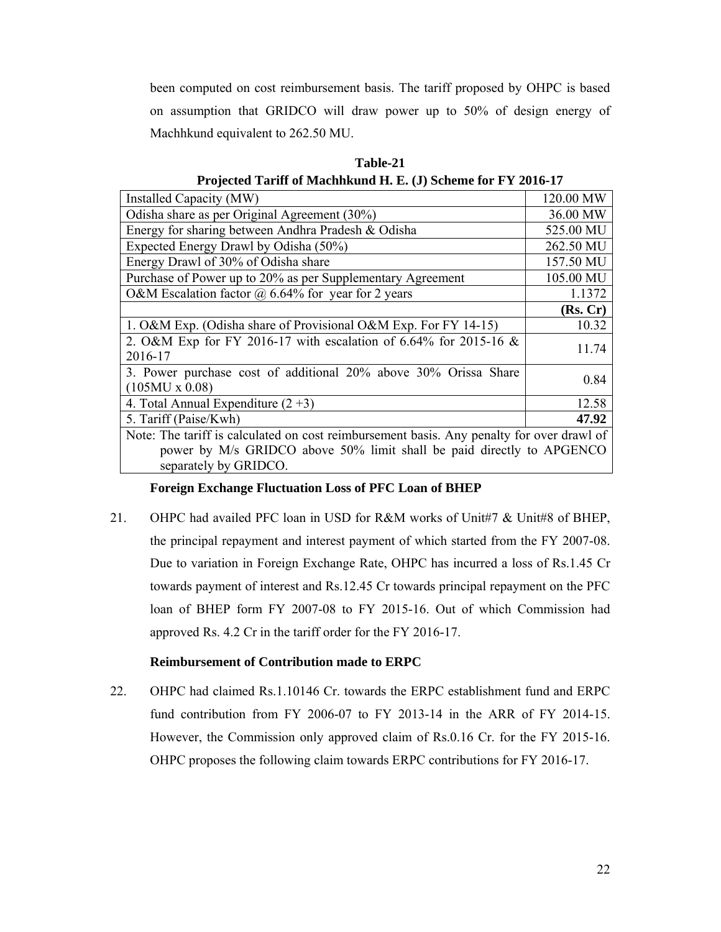been computed on cost reimbursement basis. The tariff proposed by OHPC is based on assumption that GRIDCO will draw power up to 50% of design energy of Machhkund equivalent to 262.50 MU.

| Projected Tariff of Machhkund H. E. (J) Scheme for FY 2016-17 |  |
|---------------------------------------------------------------|--|
|---------------------------------------------------------------|--|

| Installed Capacity (MW)                                                                   | 120.00 MW |  |  |  |
|-------------------------------------------------------------------------------------------|-----------|--|--|--|
| Odisha share as per Original Agreement (30%)                                              | 36.00 MW  |  |  |  |
| Energy for sharing between Andhra Pradesh & Odisha                                        | 525.00 MU |  |  |  |
| Expected Energy Drawl by Odisha (50%)                                                     | 262.50 MU |  |  |  |
| Energy Drawl of 30% of Odisha share                                                       | 157.50 MU |  |  |  |
| Purchase of Power up to 20% as per Supplementary Agreement                                | 105.00 MU |  |  |  |
| O&M Escalation factor $\omega$ 6.64% for year for 2 years                                 | 1.1372    |  |  |  |
|                                                                                           | (Rs, Cr)  |  |  |  |
| 1. O&M Exp. (Odisha share of Provisional O&M Exp. For FY 14-15)                           | 10.32     |  |  |  |
| 2. O&M Exp for FY 2016-17 with escalation of $6.64\%$ for 2015-16 &                       | 11.74     |  |  |  |
| 2016-17                                                                                   |           |  |  |  |
| 3. Power purchase cost of additional 20% above 30% Orissa Share                           | 0.84      |  |  |  |
| $(105MU \times 0.08)$                                                                     |           |  |  |  |
| 4. Total Annual Expenditure $(2+3)$                                                       | 12.58     |  |  |  |
| 5. Tariff (Paise/Kwh)                                                                     | 47.92     |  |  |  |
| Note: The tariff is calculated on cost reimbursement basis. Any penalty for over drawl of |           |  |  |  |
| power by M/s GRIDCO above 50% limit shall be paid directly to APGENCO                     |           |  |  |  |
| separately by GRIDCO.                                                                     |           |  |  |  |

#### **Foreign Exchange Fluctuation Loss of PFC Loan of BHEP**

21. OHPC had availed PFC loan in USD for R&M works of Unit#7 & Unit#8 of BHEP, the principal repayment and interest payment of which started from the FY 2007-08. Due to variation in Foreign Exchange Rate, OHPC has incurred a loss of Rs.1.45 Cr towards payment of interest and Rs.12.45 Cr towards principal repayment on the PFC loan of BHEP form FY 2007-08 to FY 2015-16. Out of which Commission had approved Rs. 4.2 Cr in the tariff order for the FY 2016-17.

#### **Reimbursement of Contribution made to ERPC**

22. OHPC had claimed Rs.1.10146 Cr. towards the ERPC establishment fund and ERPC fund contribution from FY 2006-07 to FY 2013-14 in the ARR of FY 2014-15. However, the Commission only approved claim of Rs.0.16 Cr. for the FY 2015-16. OHPC proposes the following claim towards ERPC contributions for FY 2016-17.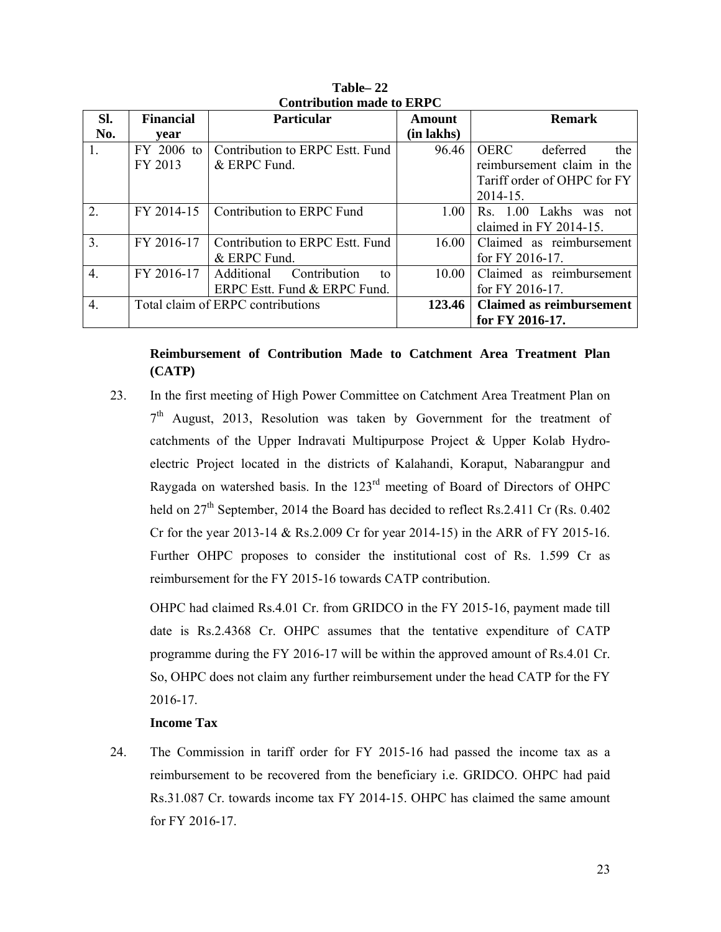| SI.              | <b>Financial</b>      | <b>Particular</b>                                                | Amount     | <b>Remark</b>                                                                                           |
|------------------|-----------------------|------------------------------------------------------------------|------------|---------------------------------------------------------------------------------------------------------|
| No.              | vear                  |                                                                  | (in lakhs) |                                                                                                         |
| 1.               | FY 2006 to<br>FY 2013 | Contribution to ERPC Estt. Fund<br>& ERPC Fund.                  | 96.46      | <b>OERC</b><br>deferred<br>the<br>reimbursement claim in the<br>Tariff order of OHPC for FY<br>2014-15. |
| $\overline{2}$ . | FY 2014-15            | Contribution to ERPC Fund                                        | 1.00       | Rs. 1.00 Lakhs was not<br>claimed in FY 2014-15.                                                        |
| 3.               | FY 2016-17            | Contribution to ERPC Estt. Fund<br>& ERPC Fund.                  | 16.00      | Claimed as reimbursement<br>for FY 2016-17.                                                             |
| $\overline{4}$ . | FY 2016-17            | Additional<br>Contribution<br>tο<br>ERPC Estt. Fund & ERPC Fund. | 10.00      | Claimed as reimbursement<br>for FY 2016-17.                                                             |
| $\overline{4}$ . |                       | Total claim of ERPC contributions                                | 123.46     | <b>Claimed as reimbursement</b><br>for FY 2016-17.                                                      |

**Table– 22 Contribution made to ERPC**

# **Reimbursement of Contribution Made to Catchment Area Treatment Plan (CATP)**

23. In the first meeting of High Power Committee on Catchment Area Treatment Plan on  $7<sup>th</sup>$  August, 2013, Resolution was taken by Government for the treatment of catchments of the Upper Indravati Multipurpose Project & Upper Kolab Hydroelectric Project located in the districts of Kalahandi, Koraput, Nabarangpur and Raygada on watershed basis. In the 123rd meeting of Board of Directors of OHPC held on  $27<sup>th</sup>$  September, 2014 the Board has decided to reflect Rs.2.411 Cr (Rs. 0.402) Cr for the year 2013-14 & Rs.2.009 Cr for year 2014-15) in the ARR of FY 2015-16. Further OHPC proposes to consider the institutional cost of Rs. 1.599 Cr as reimbursement for the FY 2015-16 towards CATP contribution.

OHPC had claimed Rs.4.01 Cr. from GRIDCO in the FY 2015-16, payment made till date is Rs.2.4368 Cr. OHPC assumes that the tentative expenditure of CATP programme during the FY 2016-17 will be within the approved amount of Rs.4.01 Cr. So, OHPC does not claim any further reimbursement under the head CATP for the FY 2016-17.

## **Income Tax**

24. The Commission in tariff order for FY 2015-16 had passed the income tax as a reimbursement to be recovered from the beneficiary i.e. GRIDCO. OHPC had paid Rs.31.087 Cr. towards income tax FY 2014-15. OHPC has claimed the same amount for FY 2016-17.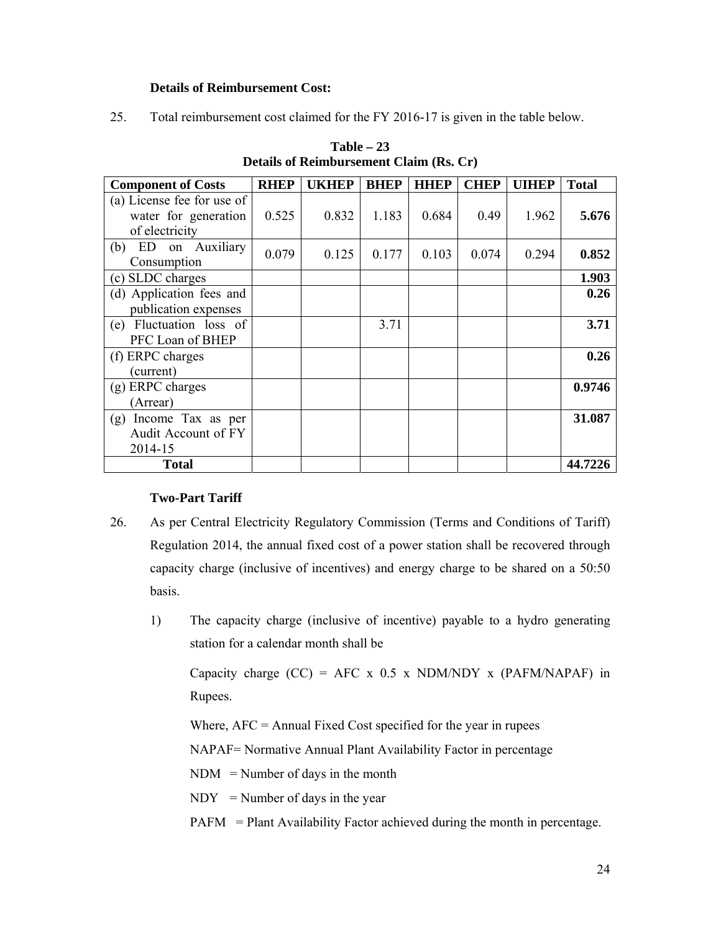## **Details of Reimbursement Cost:**

25. Total reimbursement cost claimed for the FY 2016-17 is given in the table below.

| <b>Component of Costs</b>                                            | <b>RHEP</b> | <b>UKHEP</b> | <b>BHEP</b> | <b>HHEP</b> | <b>CHEP</b> | <b>UIHEP</b> | <b>Total</b> |
|----------------------------------------------------------------------|-------------|--------------|-------------|-------------|-------------|--------------|--------------|
| (a) License fee for use of<br>water for generation<br>of electricity | 0.525       | 0.832        | 1.183       | 0.684       | 0.49        | 1.962        | 5.676        |
| ED on Auxiliary<br>(b)<br>Consumption                                | 0.079       | 0.125        | 0.177       | 0.103       | 0.074       | 0.294        | 0.852        |
| (c) SLDC charges                                                     |             |              |             |             |             |              | 1.903        |
| (d) Application fees and<br>publication expenses                     |             |              |             |             |             |              | 0.26         |
| Fluctuation loss of<br>(e)<br>PFC Loan of BHEP                       |             |              | 3.71        |             |             |              | 3.71         |
| (f) ERPC charges<br>(current)                                        |             |              |             |             |             |              | 0.26         |
| (g) ERPC charges<br>(Arrear)                                         |             |              |             |             |             |              | 0.9746       |
| Income Tax as per<br>(g)<br>Audit Account of FY<br>2014-15           |             |              |             |             |             |              | 31.087       |
| <b>Total</b>                                                         |             |              |             |             |             |              | 44.7226      |

**Table – 23 Details of Reimbursement Claim (Rs. Cr)** 

## **Two-Part Tariff**

- 26. As per Central Electricity Regulatory Commission (Terms and Conditions of Tariff) Regulation 2014, the annual fixed cost of a power station shall be recovered through capacity charge (inclusive of incentives) and energy charge to be shared on a 50:50 basis.
	- 1) The capacity charge (inclusive of incentive) payable to a hydro generating station for a calendar month shall be

Capacity charge  $(CC) =$  AFC x 0.5 x NDM/NDY x (PAFM/NAPAF) in Rupees.

Where,  $AFC = Annual Fixed Cost specified for the year in rupees$ 

NAPAF= Normative Annual Plant Availability Factor in percentage

 $NDM = Number of days in the month$ 

 $NDY = Number of days in the year$ 

PAFM = Plant Availability Factor achieved during the month in percentage.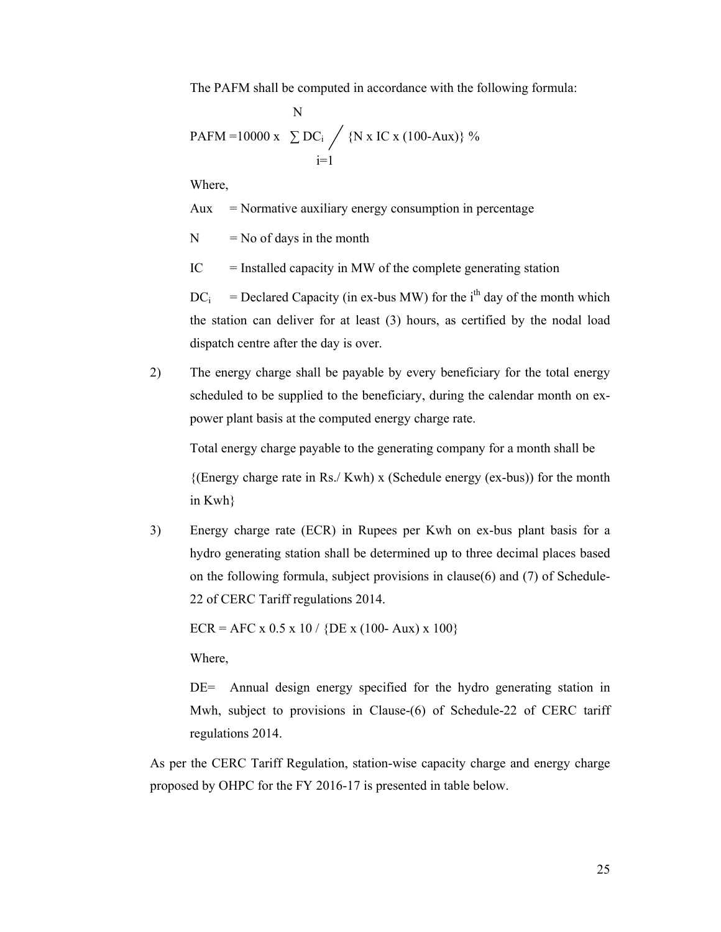The PAFM shall be computed in accordance with the following formula:

$$
N
$$
  
PAFM = 10000 x  $\sum DC_i / \{N x IC x (100-Aux)\}\%$   
i=1

Where,

 $Aux = \text{Normative auxiliary energy consumption in percentage}$ 

 $N = No$  of days in the month

 $IC =$  Installed capacity in MW of the complete generating station

 $DC_i$  = Declared Capacity (in ex-bus MW) for the i<sup>th</sup> day of the month which the station can deliver for at least (3) hours, as certified by the nodal load dispatch centre after the day is over.

2) The energy charge shall be payable by every beneficiary for the total energy scheduled to be supplied to the beneficiary, during the calendar month on expower plant basis at the computed energy charge rate.

Total energy charge payable to the generating company for a month shall be {(Energy charge rate in Rs./ Kwh) x (Schedule energy (ex-bus)) for the month

in Kwh}

3) Energy charge rate (ECR) in Rupees per Kwh on ex-bus plant basis for a hydro generating station shall be determined up to three decimal places based on the following formula, subject provisions in clause(6) and (7) of Schedule-22 of CERC Tariff regulations 2014.

 $ECR = AFC \times 0.5 \times 10 / \{DE \times (100 - Aux) \times 100\}$ 

Where,

DE= Annual design energy specified for the hydro generating station in Mwh, subject to provisions in Clause-(6) of Schedule-22 of CERC tariff regulations 2014.

As per the CERC Tariff Regulation, station-wise capacity charge and energy charge proposed by OHPC for the FY 2016-17 is presented in table below.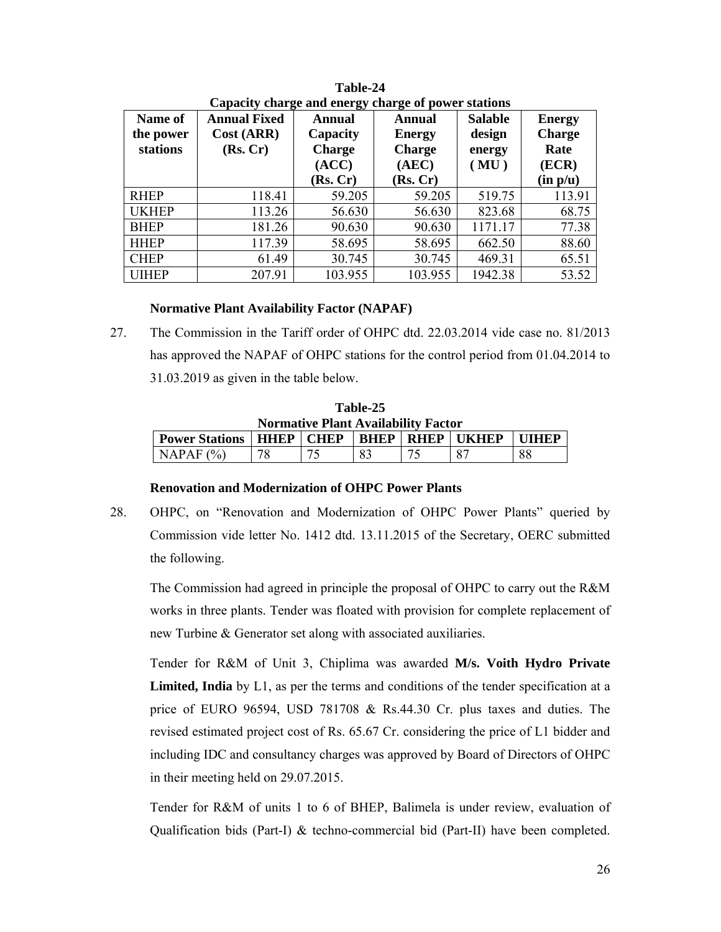| Name of<br>the power<br>stations | <b>Annual Fixed</b><br>Cost (ARR)<br>(Rs, Cr) | <b>Annual</b><br>Capacity<br><b>Charge</b><br>(ACC)<br>(Rs, Cr) | Annual<br><b>Energy</b><br><b>Charge</b><br>(AEC)<br>(Rs, Cr) | <b>Salable</b><br>design<br>energy<br>(MU) | <b>Energy</b><br><b>Charge</b><br>Rate<br>(ECR)<br>(in p/u) |
|----------------------------------|-----------------------------------------------|-----------------------------------------------------------------|---------------------------------------------------------------|--------------------------------------------|-------------------------------------------------------------|
| <b>RHEP</b>                      | 118.41                                        | 59.205                                                          | 59.205                                                        | 519.75                                     | 113.91                                                      |
| <b>UKHEP</b>                     | 113.26                                        | 56.630                                                          | 56.630                                                        | 823.68                                     | 68.75                                                       |
| <b>BHEP</b>                      | 181.26                                        | 90.630                                                          | 90.630                                                        | 1171.17                                    | 77.38                                                       |
| <b>HHEP</b>                      | 117.39                                        | 58.695                                                          | 58.695                                                        | 662.50                                     | 88.60                                                       |
| <b>CHEP</b>                      | 61.49                                         | 30.745                                                          | 30.745                                                        | 469.31                                     | 65.51                                                       |
| <b>UIHEP</b>                     | 207.91                                        | 103.955                                                         | 103.955                                                       | 1942.38                                    | 53.52                                                       |

**Table-24 Capacity charge and energy charge of power stations** 

# **Normative Plant Availability Factor (NAPAF)**

27. The Commission in the Tariff order of OHPC dtd. 22.03.2014 vide case no. 81/2013 has approved the NAPAF of OHPC stations for the control period from 01.04.2014 to 31.03.2019 as given in the table below.

| Table-25                                   |                    |  |    |                  |               |               |  |
|--------------------------------------------|--------------------|--|----|------------------|---------------|---------------|--|
| <b>Normative Plant Availability Factor</b> |                    |  |    |                  |               |               |  |
| <b>Power Stations</b>                      | <b>HHEP   CHEP</b> |  |    | <b>BHEP RHEP</b> | <b>TIKHEP</b> | <b>TITHEP</b> |  |
| NAPAF $(%)$                                | 78                 |  | 83 |                  |               | 88            |  |

# **Renovation and Modernization of OHPC Power Plants**

28. OHPC, on "Renovation and Modernization of OHPC Power Plants" queried by Commission vide letter No. 1412 dtd. 13.11.2015 of the Secretary, OERC submitted the following.

The Commission had agreed in principle the proposal of OHPC to carry out the R&M works in three plants. Tender was floated with provision for complete replacement of new Turbine & Generator set along with associated auxiliaries.

Tender for R&M of Unit 3, Chiplima was awarded **M/s. Voith Hydro Private Limited, India** by L1, as per the terms and conditions of the tender specification at a price of EURO 96594, USD 781708 & Rs.44.30 Cr. plus taxes and duties. The revised estimated project cost of Rs. 65.67 Cr. considering the price of L1 bidder and including IDC and consultancy charges was approved by Board of Directors of OHPC in their meeting held on 29.07.2015.

Tender for R&M of units 1 to 6 of BHEP, Balimela is under review, evaluation of Qualification bids (Part-I) & techno-commercial bid (Part-II) have been completed.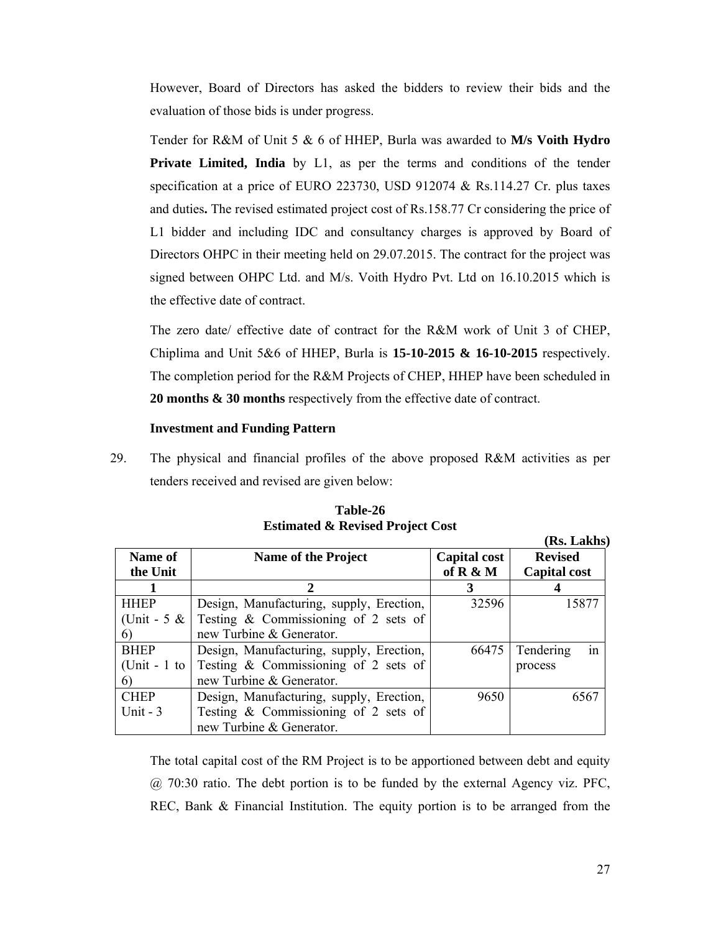However, Board of Directors has asked the bidders to review their bids and the evaluation of those bids is under progress.

Tender for R&M of Unit 5 & 6 of HHEP, Burla was awarded to **M/s Voith Hydro Private Limited, India** by L1, as per the terms and conditions of the tender specification at a price of EURO 223730, USD 912074 & Rs.114.27 Cr. plus taxes and duties**.** The revised estimated project cost of Rs.158.77 Cr considering the price of L1 bidder and including IDC and consultancy charges is approved by Board of Directors OHPC in their meeting held on 29.07.2015. The contract for the project was signed between OHPC Ltd. and M/s. Voith Hydro Pvt. Ltd on 16.10.2015 which is the effective date of contract.

The zero date/ effective date of contract for the R&M work of Unit 3 of CHEP, Chiplima and Unit 5&6 of HHEP, Burla is **15-10-2015 & 16-10-2015** respectively. The completion period for the R&M Projects of CHEP, HHEP have been scheduled in **20 months & 30 months** respectively from the effective date of contract.

#### **Investment and Funding Pattern**

29. The physical and financial profiles of the above proposed R&M activities as per tenders received and revised are given below:

|               |                                          |                     | (Rs. Lakhs)         |
|---------------|------------------------------------------|---------------------|---------------------|
| Name of       | <b>Name of the Project</b>               | <b>Capital cost</b> | <b>Revised</b>      |
| the Unit      |                                          | of R & M            | <b>Capital cost</b> |
|               | ി                                        |                     |                     |
| <b>HHEP</b>   | Design, Manufacturing, supply, Erection, | 32596               | 15877               |
| (Unit - $5 &$ | Testing $&$ Commissioning of 2 sets of   |                     |                     |
| 6)            | new Turbine & Generator.                 |                     |                     |
| <b>BHEP</b>   | Design, Manufacturing, supply, Erection, | 66475               | in<br>Tendering     |
| (Unit - 1 to  | Testing $\&$ Commissioning of 2 sets of  |                     | process             |
| 6)            | new Turbine & Generator.                 |                     |                     |
| <b>CHEP</b>   | Design, Manufacturing, supply, Erection, | 9650                | 6567                |
| Unit $-3$     | Testing $&$ Commissioning of 2 sets of   |                     |                     |
|               | new Turbine & Generator.                 |                     |                     |

**Table-26 Estimated & Revised Project Cost** 

The total capital cost of the RM Project is to be apportioned between debt and equity @ 70:30 ratio. The debt portion is to be funded by the external Agency viz. PFC, REC, Bank & Financial Institution. The equity portion is to be arranged from the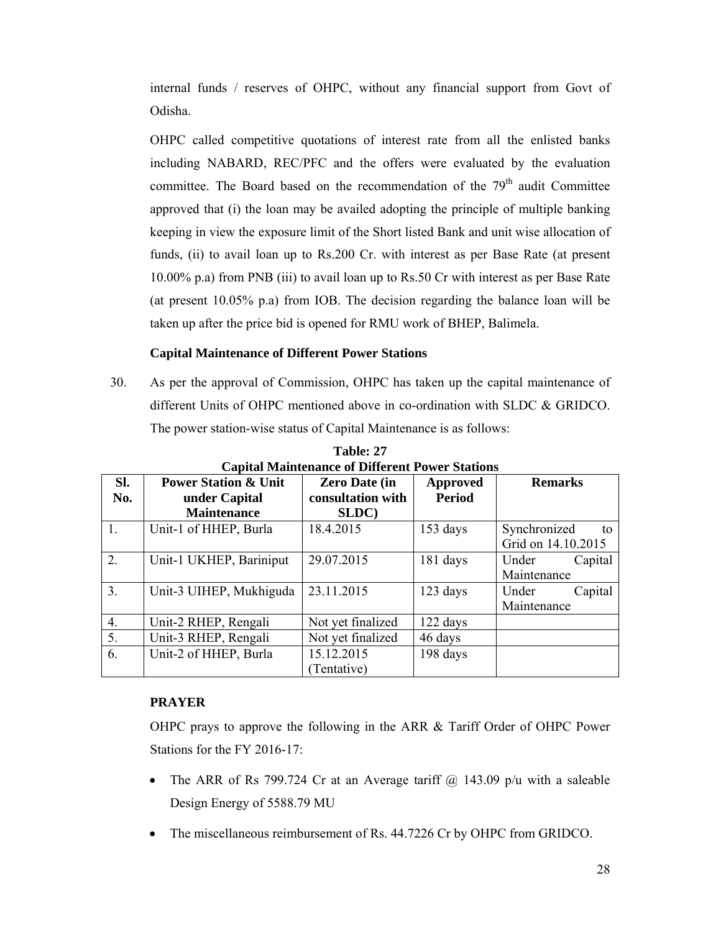internal funds / reserves of OHPC, without any financial support from Govt of Odisha.

OHPC called competitive quotations of interest rate from all the enlisted banks including NABARD, REC/PFC and the offers were evaluated by the evaluation committee. The Board based on the recommendation of the  $79<sup>th</sup>$  audit Committee approved that (i) the loan may be availed adopting the principle of multiple banking keeping in view the exposure limit of the Short listed Bank and unit wise allocation of funds, (ii) to avail loan up to Rs.200 Cr. with interest as per Base Rate (at present 10.00% p.a) from PNB (iii) to avail loan up to Rs.50 Cr with interest as per Base Rate (at present 10.05% p.a) from IOB. The decision regarding the balance loan will be taken up after the price bid is opened for RMU work of BHEP, Balimela.

# **Capital Maintenance of Different Power Stations**

30. As per the approval of Commission, OHPC has taken up the capital maintenance of different Units of OHPC mentioned above in co-ordination with SLDC & GRIDCO. The power station-wise status of Capital Maintenance is as follows:

|                  | Capital Maintenance of Different Power Stations |                      |                 |                    |  |  |  |  |
|------------------|-------------------------------------------------|----------------------|-----------------|--------------------|--|--|--|--|
| Sl.              | <b>Power Station &amp; Unit</b>                 | <b>Zero Date (in</b> | <b>Approved</b> | <b>Remarks</b>     |  |  |  |  |
| No.              | under Capital                                   | consultation with    | <b>Period</b>   |                    |  |  |  |  |
|                  | <b>Maintenance</b>                              | SLDC)                |                 |                    |  |  |  |  |
| 1.               | Unit-1 of HHEP, Burla                           | 18.4.2015            | 153 days        | Synchronized<br>to |  |  |  |  |
|                  |                                                 |                      |                 | Grid on 14.10.2015 |  |  |  |  |
| 2.               | Unit-1 UKHEP, Bariniput                         | 29.07.2015           | 181 days        | Under<br>Capital   |  |  |  |  |
|                  |                                                 |                      |                 | Maintenance        |  |  |  |  |
| 3.               | Unit-3 UIHEP, Mukhiguda                         | 23.11.2015           | 123 days        | Under<br>Capital   |  |  |  |  |
|                  |                                                 |                      |                 | Maintenance        |  |  |  |  |
| $\overline{4}$ . | Unit-2 RHEP, Rengali                            | Not yet finalized    | 122 days        |                    |  |  |  |  |
| 5.               | Unit-3 RHEP, Rengali                            | Not yet finalized    | 46 days         |                    |  |  |  |  |
| 6.               | Unit-2 of HHEP, Burla                           | 15.12.2015           | 198 days        |                    |  |  |  |  |
|                  |                                                 | (Tentative)          |                 |                    |  |  |  |  |

**Table: 27 Capital Maintenance of Different Power Stations** 

# **PRAYER**

OHPC prays to approve the following in the ARR & Tariff Order of OHPC Power Stations for the FY 2016-17:

- The ARR of Rs 799.724 Cr at an Average tariff  $\omega$  143.09 p/u with a saleable Design Energy of 5588.79 MU
- The miscellaneous reimbursement of Rs. 44.7226 Cr by OHPC from GRIDCO.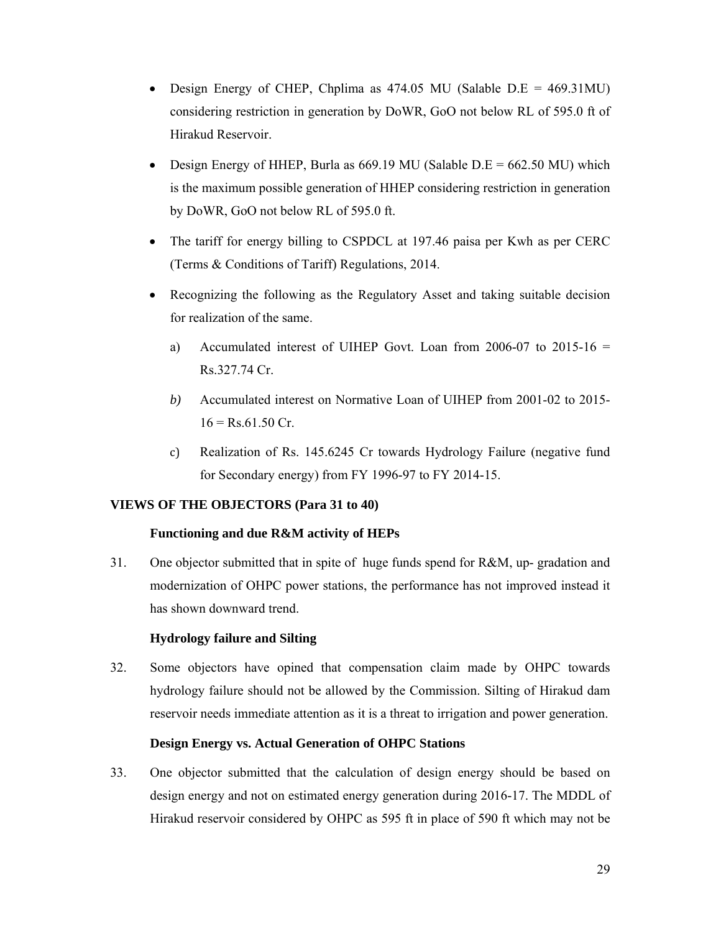- Design Energy of CHEP, Chplima as 474.05 MU (Salable D.E = 469.31MU) considering restriction in generation by DoWR, GoO not below RL of 595.0 ft of Hirakud Reservoir.
- Design Energy of HHEP, Burla as  $669.19$  MU (Salable D.E =  $662.50$  MU) which is the maximum possible generation of HHEP considering restriction in generation by DoWR, GoO not below RL of 595.0 ft.
- The tariff for energy billing to CSPDCL at 197.46 paisa per Kwh as per CERC (Terms & Conditions of Tariff) Regulations, 2014.
- Recognizing the following as the Regulatory Asset and taking suitable decision for realization of the same.
	- a) Accumulated interest of UIHEP Govt. Loan from  $2006-07$  to  $2015-16 =$ Rs.327.74 Cr.
	- *b)* Accumulated interest on Normative Loan of UIHEP from 2001-02 to 2015-  $16 =$  Rs.61.50 Cr.
	- c) Realization of Rs. 145.6245 Cr towards Hydrology Failure (negative fund for Secondary energy) from FY 1996-97 to FY 2014-15.

# **VIEWS OF THE OBJECTORS (Para 31 to 40)**

## **Functioning and due R&M activity of HEPs**

31. One objector submitted that in spite of huge funds spend for R&M, up- gradation and modernization of OHPC power stations, the performance has not improved instead it has shown downward trend.

## **Hydrology failure and Silting**

32. Some objectors have opined that compensation claim made by OHPC towards hydrology failure should not be allowed by the Commission. Silting of Hirakud dam reservoir needs immediate attention as it is a threat to irrigation and power generation.

## **Design Energy vs. Actual Generation of OHPC Stations**

33. One objector submitted that the calculation of design energy should be based on design energy and not on estimated energy generation during 2016-17. The MDDL of Hirakud reservoir considered by OHPC as 595 ft in place of 590 ft which may not be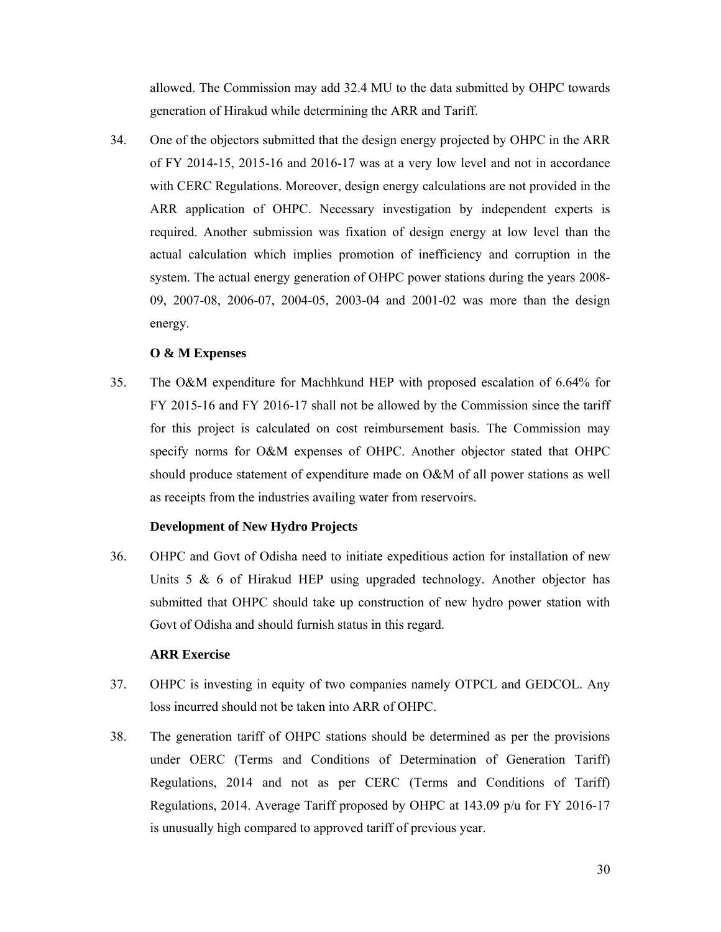allowed. The Commission may add 32.4 MU to the data submitted by OHPC towards generation of Hirakud while determining the ARR and Tariff.

34. One of the objectors submitted that the design energy projected by OHPC in the ARR of FY 2014-15, 2015-16 and 2016-17 was at a very low level and not in accordance with CERC Regulations. Moreover, design energy calculations are not provided in the ARR application of OHPC. Necessary investigation by independent experts is required. Another submission was fixation of design energy at low level than the actual calculation which implies promotion of inefficiency and corruption in the system. The actual energy generation of OHPC power stations during the years 2008- 09, 2007-08, 2006-07, 2004-05, 2003-04 and 2001-02 was more than the design energy.

## **O & M Expenses**

35. The O&M expenditure for Machhkund HEP with proposed escalation of 6.64% for FY 2015-16 and FY 2016-17 shall not be allowed by the Commission since the tariff for this project is calculated on cost reimbursement basis. The Commission may specify norms for O&M expenses of OHPC. Another objector stated that OHPC should produce statement of expenditure made on O&M of all power stations as well as receipts from the industries availing water from reservoirs.

#### **Development of New Hydro Projects**

36. OHPC and Govt of Odisha need to initiate expeditious action for installation of new Units 5 & 6 of Hirakud HEP using upgraded technology. Another objector has submitted that OHPC should take up construction of new hydro power station with Govt of Odisha and should furnish status in this regard.

#### **ARR Exercise**

- 37. OHPC is investing in equity of two companies namely OTPCL and GEDCOL. Any loss incurred should not be taken into ARR of OHPC.
- 38. The generation tariff of OHPC stations should be determined as per the provisions under OERC (Terms and Conditions of Determination of Generation Tariff) Regulations, 2014 and not as per CERC (Terms and Conditions of Tariff) Regulations, 2014. Average Tariff proposed by OHPC at 143.09 p/u for FY 2016-17 is unusually high compared to approved tariff of previous year.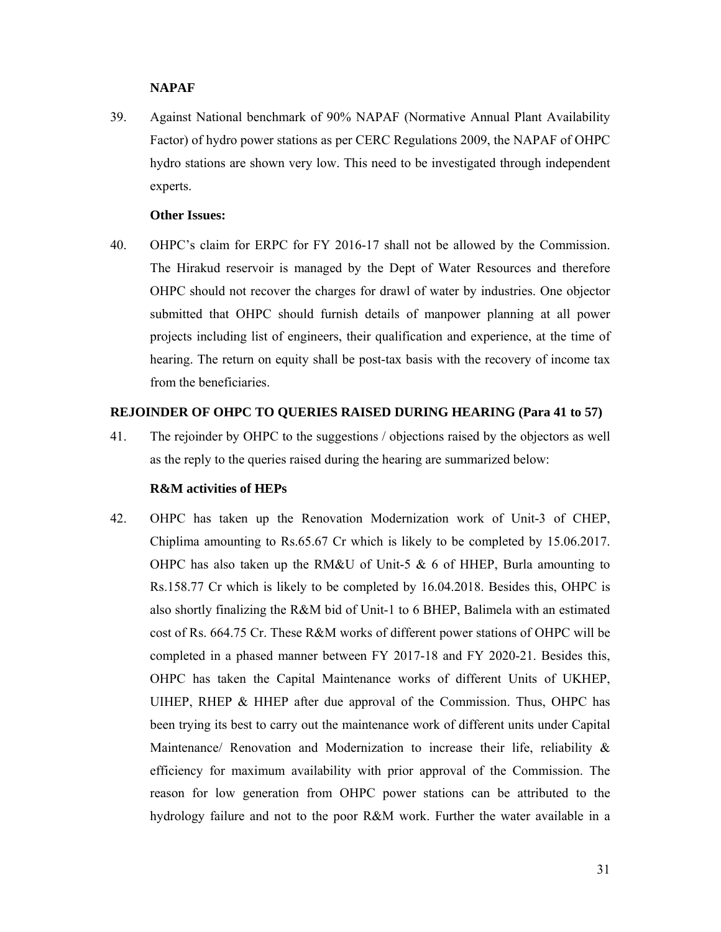## **NAPAF**

39. Against National benchmark of 90% NAPAF (Normative Annual Plant Availability Factor) of hydro power stations as per CERC Regulations 2009, the NAPAF of OHPC hydro stations are shown very low. This need to be investigated through independent experts.

#### **Other Issues:**

40. OHPC's claim for ERPC for FY 2016-17 shall not be allowed by the Commission. The Hirakud reservoir is managed by the Dept of Water Resources and therefore OHPC should not recover the charges for drawl of water by industries. One objector submitted that OHPC should furnish details of manpower planning at all power projects including list of engineers, their qualification and experience, at the time of hearing. The return on equity shall be post-tax basis with the recovery of income tax from the beneficiaries.

#### **REJOINDER OF OHPC TO QUERIES RAISED DURING HEARING (Para 41 to 57)**

41. The rejoinder by OHPC to the suggestions / objections raised by the objectors as well as the reply to the queries raised during the hearing are summarized below:

#### **R&M activities of HEPs**

42. OHPC has taken up the Renovation Modernization work of Unit-3 of CHEP, Chiplima amounting to Rs.65.67 Cr which is likely to be completed by 15.06.2017. OHPC has also taken up the RM&U of Unit-5  $\&$  6 of HHEP, Burla amounting to Rs.158.77 Cr which is likely to be completed by 16.04.2018. Besides this, OHPC is also shortly finalizing the R&M bid of Unit-1 to 6 BHEP, Balimela with an estimated cost of Rs. 664.75 Cr. These R&M works of different power stations of OHPC will be completed in a phased manner between FY 2017-18 and FY 2020-21. Besides this, OHPC has taken the Capital Maintenance works of different Units of UKHEP, UIHEP, RHEP & HHEP after due approval of the Commission. Thus, OHPC has been trying its best to carry out the maintenance work of different units under Capital Maintenance/ Renovation and Modernization to increase their life, reliability & efficiency for maximum availability with prior approval of the Commission. The reason for low generation from OHPC power stations can be attributed to the hydrology failure and not to the poor R&M work. Further the water available in a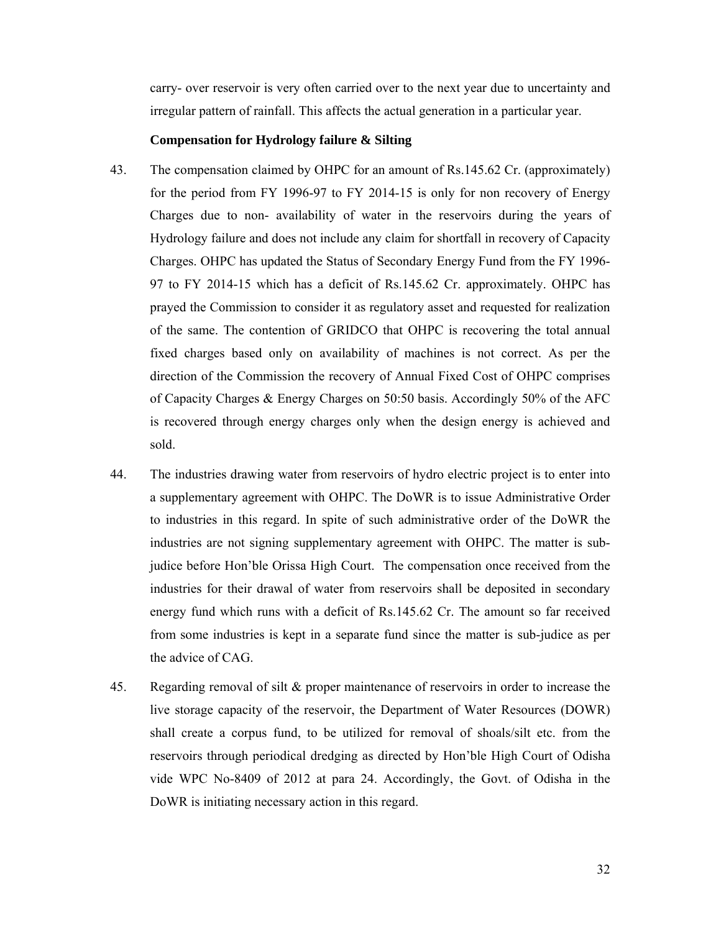carry- over reservoir is very often carried over to the next year due to uncertainty and irregular pattern of rainfall. This affects the actual generation in a particular year.

#### **Compensation for Hydrology failure & Silting**

- 43. The compensation claimed by OHPC for an amount of Rs.145.62 Cr. (approximately) for the period from FY 1996-97 to FY 2014-15 is only for non recovery of Energy Charges due to non- availability of water in the reservoirs during the years of Hydrology failure and does not include any claim for shortfall in recovery of Capacity Charges. OHPC has updated the Status of Secondary Energy Fund from the FY 1996- 97 to FY 2014-15 which has a deficit of Rs.145.62 Cr. approximately. OHPC has prayed the Commission to consider it as regulatory asset and requested for realization of the same. The contention of GRIDCO that OHPC is recovering the total annual fixed charges based only on availability of machines is not correct. As per the direction of the Commission the recovery of Annual Fixed Cost of OHPC comprises of Capacity Charges & Energy Charges on 50:50 basis. Accordingly 50% of the AFC is recovered through energy charges only when the design energy is achieved and sold.
- 44. The industries drawing water from reservoirs of hydro electric project is to enter into a supplementary agreement with OHPC. The DoWR is to issue Administrative Order to industries in this regard. In spite of such administrative order of the DoWR the industries are not signing supplementary agreement with OHPC. The matter is subjudice before Hon'ble Orissa High Court. The compensation once received from the industries for their drawal of water from reservoirs shall be deposited in secondary energy fund which runs with a deficit of Rs.145.62 Cr. The amount so far received from some industries is kept in a separate fund since the matter is sub-judice as per the advice of CAG.
- 45. Regarding removal of silt & proper maintenance of reservoirs in order to increase the live storage capacity of the reservoir, the Department of Water Resources (DOWR) shall create a corpus fund, to be utilized for removal of shoals/silt etc. from the reservoirs through periodical dredging as directed by Hon'ble High Court of Odisha vide WPC No-8409 of 2012 at para 24. Accordingly, the Govt. of Odisha in the DoWR is initiating necessary action in this regard.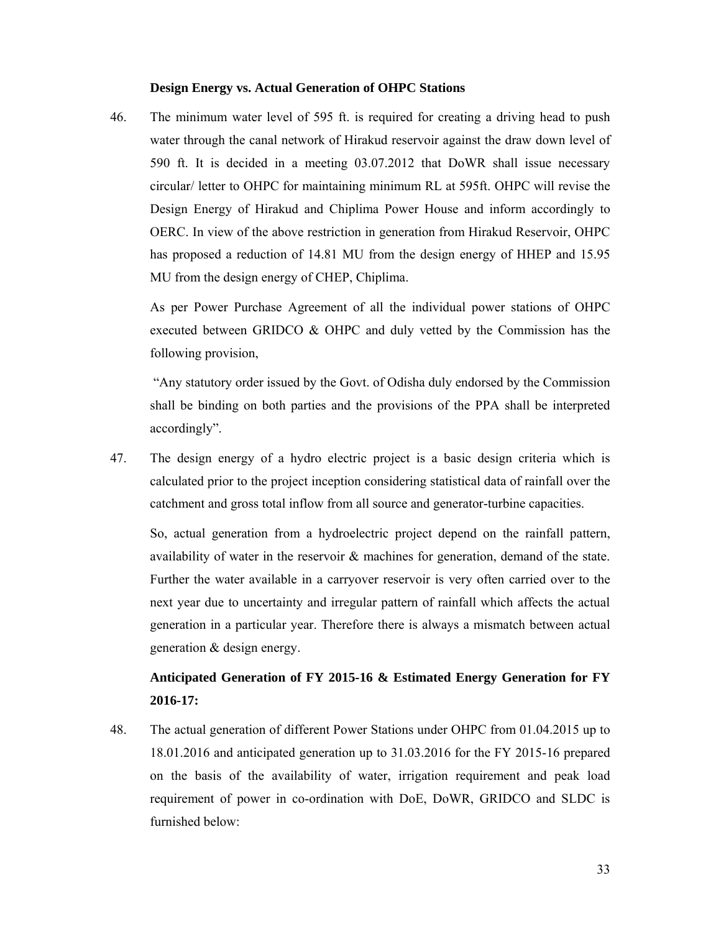#### **Design Energy vs. Actual Generation of OHPC Stations**

46. The minimum water level of 595 ft. is required for creating a driving head to push water through the canal network of Hirakud reservoir against the draw down level of 590 ft. It is decided in a meeting 03.07.2012 that DoWR shall issue necessary circular/ letter to OHPC for maintaining minimum RL at 595ft. OHPC will revise the Design Energy of Hirakud and Chiplima Power House and inform accordingly to OERC. In view of the above restriction in generation from Hirakud Reservoir, OHPC has proposed a reduction of 14.81 MU from the design energy of HHEP and 15.95 MU from the design energy of CHEP, Chiplima.

As per Power Purchase Agreement of all the individual power stations of OHPC executed between GRIDCO & OHPC and duly vetted by the Commission has the following provision,

 "Any statutory order issued by the Govt. of Odisha duly endorsed by the Commission shall be binding on both parties and the provisions of the PPA shall be interpreted accordingly".

47. The design energy of a hydro electric project is a basic design criteria which is calculated prior to the project inception considering statistical data of rainfall over the catchment and gross total inflow from all source and generator-turbine capacities.

So, actual generation from a hydroelectric project depend on the rainfall pattern, availability of water in the reservoir & machines for generation, demand of the state. Further the water available in a carryover reservoir is very often carried over to the next year due to uncertainty and irregular pattern of rainfall which affects the actual generation in a particular year. Therefore there is always a mismatch between actual generation & design energy.

# **Anticipated Generation of FY 2015-16 & Estimated Energy Generation for FY 2016-17:**

48. The actual generation of different Power Stations under OHPC from 01.04.2015 up to 18.01.2016 and anticipated generation up to 31.03.2016 for the FY 2015-16 prepared on the basis of the availability of water, irrigation requirement and peak load requirement of power in co-ordination with DoE, DoWR, GRIDCO and SLDC is furnished below: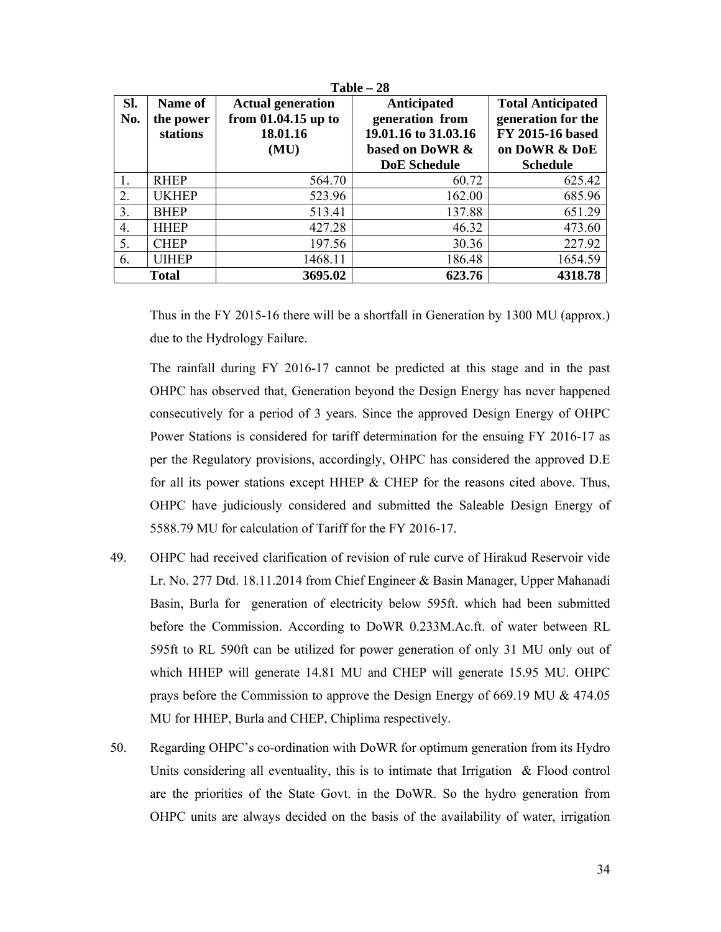| Sl.<br>No. | <b>Name of</b><br>the power<br>stations | <b>Actual generation</b><br>from $01.04.15$ up to<br>18.01.16<br>(MU) | Anticipated<br>generation from<br>19.01.16 to 31.03.16<br>based on DoWR &<br><b>DoE</b> Schedule | <b>Total Anticipated</b><br>generation for the<br>FY 2015-16 based<br>on DoWR & DoE<br><b>Schedule</b> |
|------------|-----------------------------------------|-----------------------------------------------------------------------|--------------------------------------------------------------------------------------------------|--------------------------------------------------------------------------------------------------------|
|            | <b>RHEP</b>                             | 564.70                                                                | 60.72                                                                                            | 625.42                                                                                                 |
| 2.         | <b>UKHEP</b>                            | 523.96                                                                | 162.00                                                                                           | 685.96                                                                                                 |
| 3.         | <b>BHEP</b>                             | 513.41                                                                | 137.88                                                                                           | 651.29                                                                                                 |
| 4.         | <b>HHEP</b>                             | 427.28                                                                | 46.32                                                                                            | 473.60                                                                                                 |
| 5.         | <b>CHEP</b>                             | 197.56                                                                | 30.36                                                                                            | 227.92                                                                                                 |
| 6.         | <b>UIHEP</b>                            | 1468.11                                                               | 186.48                                                                                           | 1654.59                                                                                                |
|            | <b>Total</b>                            | 3695.02                                                               | 623.76                                                                                           | 4318.78                                                                                                |

**Table – 28** 

Thus in the FY 2015-16 there will be a shortfall in Generation by 1300 MU (approx.) due to the Hydrology Failure.

The rainfall during FY 2016-17 cannot be predicted at this stage and in the past OHPC has observed that, Generation beyond the Design Energy has never happened consecutively for a period of 3 years. Since the approved Design Energy of OHPC Power Stations is considered for tariff determination for the ensuing FY 2016-17 as per the Regulatory provisions, accordingly, OHPC has considered the approved D.E for all its power stations except HHEP & CHEP for the reasons cited above. Thus, OHPC have judiciously considered and submitted the Saleable Design Energy of 5588.79 MU for calculation of Tariff for the FY 2016-17.

- 49. OHPC had received clarification of revision of rule curve of Hirakud Reservoir vide Lr. No. 277 Dtd. 18.11.2014 from Chief Engineer & Basin Manager, Upper Mahanadi Basin, Burla for generation of electricity below 595ft. which had been submitted before the Commission. According to DoWR 0.233M.Ac.ft. of water between RL 595ft to RL 590ft can be utilized for power generation of only 31 MU only out of which HHEP will generate 14.81 MU and CHEP will generate 15.95 MU. OHPC prays before the Commission to approve the Design Energy of 669.19 MU & 474.05 MU for HHEP, Burla and CHEP, Chiplima respectively.
- 50. Regarding OHPC's co-ordination with DoWR for optimum generation from its Hydro Units considering all eventuality, this is to intimate that Irrigation  $\&$  Flood control are the priorities of the State Govt. in the DoWR. So the hydro generation from OHPC units are always decided on the basis of the availability of water, irrigation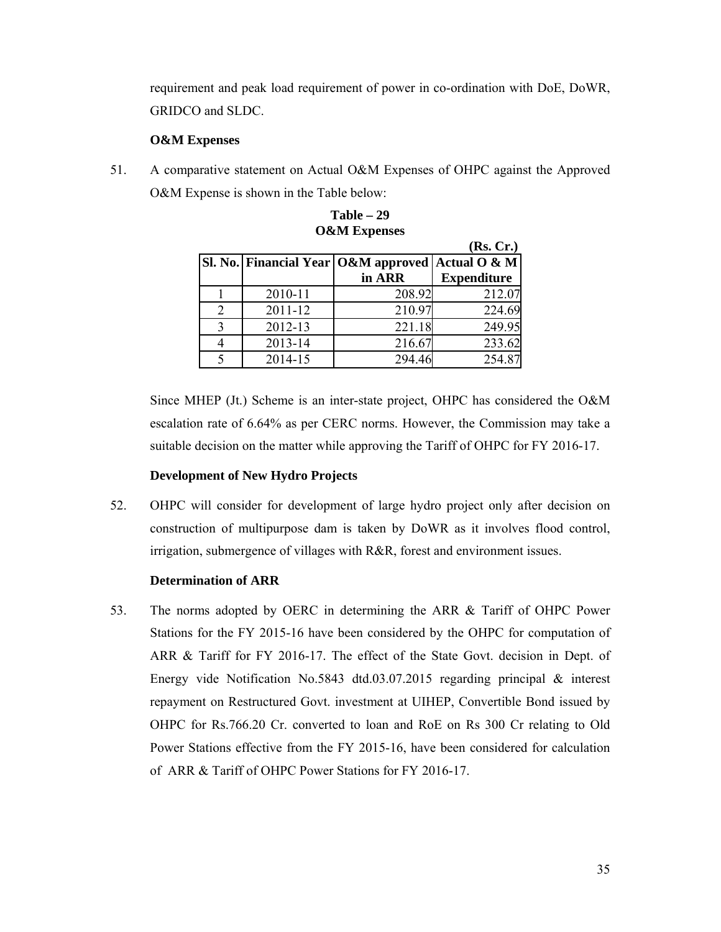requirement and peak load requirement of power in co-ordination with DoE, DoWR, GRIDCO and SLDC.

## **O&M Expenses**

51. A comparative statement on Actual O&M Expenses of OHPC against the Approved O&M Expense is shown in the Table below:

|         |                                                      | (Rs, Cr.)          |
|---------|------------------------------------------------------|--------------------|
|         | Sl. No. Financial Year   O&M approved   Actual O & M |                    |
|         | in ARR                                               | <b>Expenditure</b> |
| 2010-11 | 208.92                                               | 212.07             |
| 2011-12 | 210.97                                               | 224.69             |
| 2012-13 | 221.18                                               | 249.95             |
| 2013-14 | 216.67                                               | 233.62             |
| 2014-15 | 294.46                                               | 254.87             |

**Table – 29 O&M Expenses** 

Since MHEP (Jt.) Scheme is an inter-state project, OHPC has considered the O&M escalation rate of 6.64% as per CERC norms. However, the Commission may take a suitable decision on the matter while approving the Tariff of OHPC for FY 2016-17.

## **Development of New Hydro Projects**

52. OHPC will consider for development of large hydro project only after decision on construction of multipurpose dam is taken by DoWR as it involves flood control, irrigation, submergence of villages with R&R, forest and environment issues.

# **Determination of ARR**

53. The norms adopted by OERC in determining the ARR & Tariff of OHPC Power Stations for the FY 2015-16 have been considered by the OHPC for computation of ARR & Tariff for FY 2016-17. The effect of the State Govt. decision in Dept. of Energy vide Notification No.5843 dtd.03.07.2015 regarding principal & interest repayment on Restructured Govt. investment at UIHEP, Convertible Bond issued by OHPC for Rs.766.20 Cr. converted to loan and RoE on Rs 300 Cr relating to Old Power Stations effective from the FY 2015-16, have been considered for calculation of ARR & Tariff of OHPC Power Stations for FY 2016-17.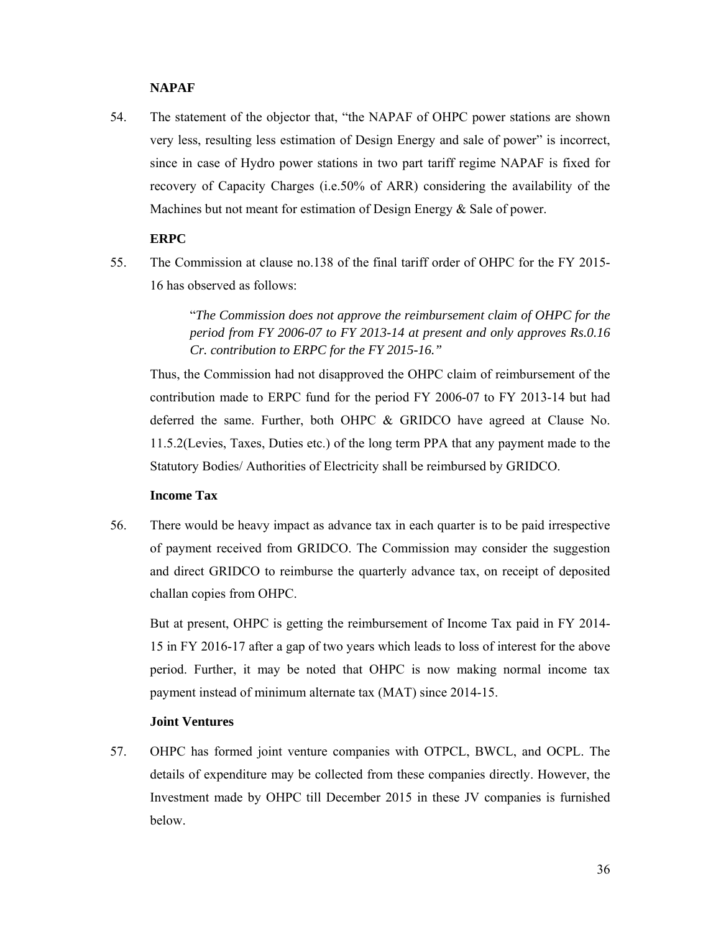# **NAPAF**

54. The statement of the objector that, "the NAPAF of OHPC power stations are shown very less, resulting less estimation of Design Energy and sale of power" is incorrect, since in case of Hydro power stations in two part tariff regime NAPAF is fixed for recovery of Capacity Charges (i.e.50% of ARR) considering the availability of the Machines but not meant for estimation of Design Energy & Sale of power.

# **ERPC**

55. The Commission at clause no.138 of the final tariff order of OHPC for the FY 2015- 16 has observed as follows:

> "*The Commission does not approve the reimbursement claim of OHPC for the period from FY 2006-07 to FY 2013-14 at present and only approves Rs.0.16 Cr. contribution to ERPC for the FY 2015-16."*

Thus, the Commission had not disapproved the OHPC claim of reimbursement of the contribution made to ERPC fund for the period FY 2006-07 to FY 2013-14 but had deferred the same. Further, both OHPC & GRIDCO have agreed at Clause No. 11.5.2(Levies, Taxes, Duties etc.) of the long term PPA that any payment made to the Statutory Bodies/ Authorities of Electricity shall be reimbursed by GRIDCO.

## **Income Tax**

56. There would be heavy impact as advance tax in each quarter is to be paid irrespective of payment received from GRIDCO. The Commission may consider the suggestion and direct GRIDCO to reimburse the quarterly advance tax, on receipt of deposited challan copies from OHPC.

But at present, OHPC is getting the reimbursement of Income Tax paid in FY 2014- 15 in FY 2016-17 after a gap of two years which leads to loss of interest for the above period. Further, it may be noted that OHPC is now making normal income tax payment instead of minimum alternate tax (MAT) since 2014-15.

## **Joint Ventures**

57. OHPC has formed joint venture companies with OTPCL, BWCL, and OCPL. The details of expenditure may be collected from these companies directly. However, the Investment made by OHPC till December 2015 in these JV companies is furnished below.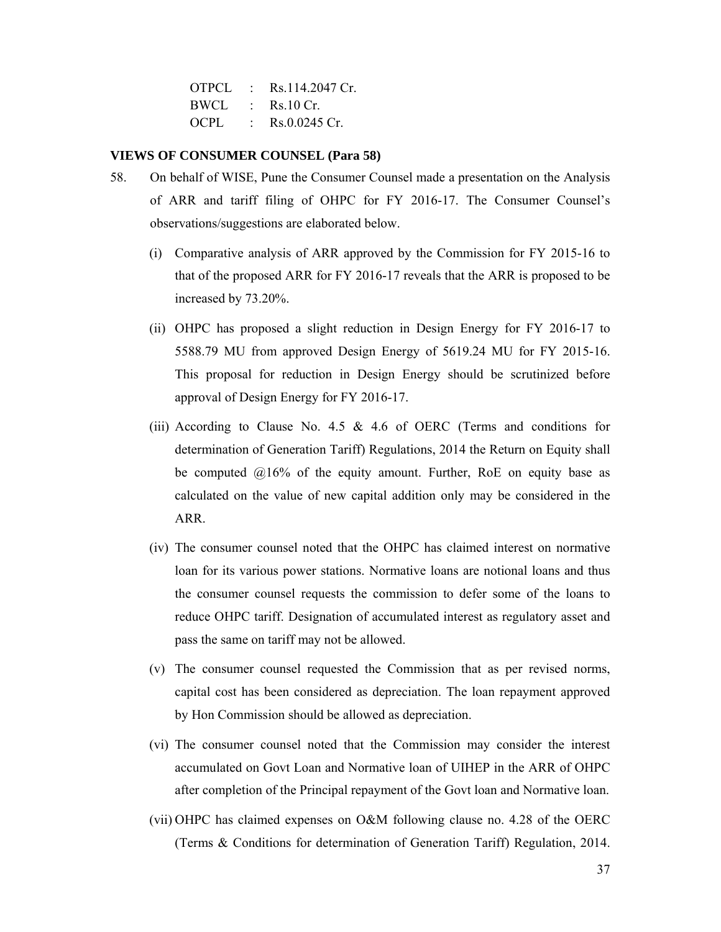OTPCL : Rs.114.2047 Cr. BWCL : Rs.10 Cr. OCPL : Rs.0.0245 Cr.

#### **VIEWS OF CONSUMER COUNSEL (Para 58)**

- 58. On behalf of WISE, Pune the Consumer Counsel made a presentation on the Analysis of ARR and tariff filing of OHPC for FY 2016-17. The Consumer Counsel's observations/suggestions are elaborated below.
	- (i) Comparative analysis of ARR approved by the Commission for FY 2015-16 to that of the proposed ARR for FY 2016-17 reveals that the ARR is proposed to be increased by 73.20%.
	- (ii) OHPC has proposed a slight reduction in Design Energy for FY 2016-17 to 5588.79 MU from approved Design Energy of 5619.24 MU for FY 2015-16. This proposal for reduction in Design Energy should be scrutinized before approval of Design Energy for FY 2016-17.
	- (iii) According to Clause No. 4.5  $&$  4.6 of OERC (Terms and conditions for determination of Generation Tariff) Regulations, 2014 the Return on Equity shall be computed  $@16%$  of the equity amount. Further, RoE on equity base as calculated on the value of new capital addition only may be considered in the ARR.
	- (iv) The consumer counsel noted that the OHPC has claimed interest on normative loan for its various power stations. Normative loans are notional loans and thus the consumer counsel requests the commission to defer some of the loans to reduce OHPC tariff. Designation of accumulated interest as regulatory asset and pass the same on tariff may not be allowed.
	- (v) The consumer counsel requested the Commission that as per revised norms, capital cost has been considered as depreciation. The loan repayment approved by Hon Commission should be allowed as depreciation.
	- (vi) The consumer counsel noted that the Commission may consider the interest accumulated on Govt Loan and Normative loan of UIHEP in the ARR of OHPC after completion of the Principal repayment of the Govt loan and Normative loan.
	- (vii) OHPC has claimed expenses on O&M following clause no. 4.28 of the OERC (Terms & Conditions for determination of Generation Tariff) Regulation, 2014.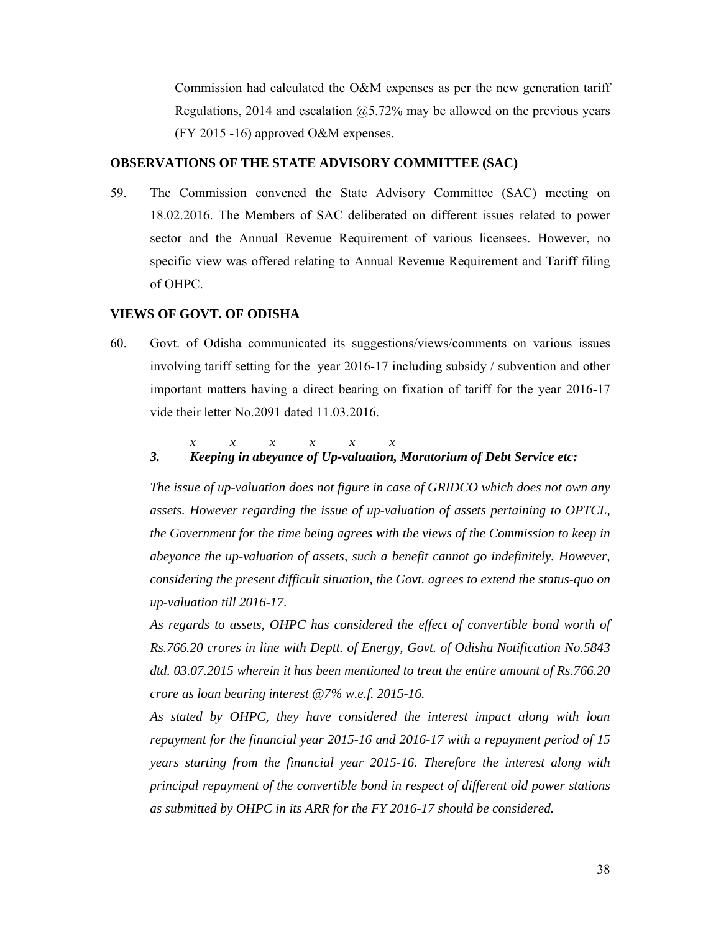Commission had calculated the O&M expenses as per the new generation tariff Regulations, 2014 and escalation  $(2)$ 5.72% may be allowed on the previous years (FY 2015 -16) approved O&M expenses.

#### **OBSERVATIONS OF THE STATE ADVISORY COMMITTEE (SAC)**

59. The Commission convened the State Advisory Committee (SAC) meeting on 18.02.2016. The Members of SAC deliberated on different issues related to power sector and the Annual Revenue Requirement of various licensees. However, no specific view was offered relating to Annual Revenue Requirement and Tariff filing of OHPC.

#### **VIEWS OF GOVT. OF ODISHA**

60. Govt. of Odisha communicated its suggestions/views/comments on various issues involving tariff setting for the year 2016-17 including subsidy / subvention and other important matters having a direct bearing on fixation of tariff for the year 2016-17 vide their letter No.2091 dated 11.03.2016.

#### *x x x x x x 3. Keeping in abeyance of Up-valuation, Moratorium of Debt Service etc:*

*The issue of up-valuation does not figure in case of GRIDCO which does not own any assets. However regarding the issue of up-valuation of assets pertaining to OPTCL, the Government for the time being agrees with the views of the Commission to keep in abeyance the up-valuation of assets, such a benefit cannot go indefinitely. However, considering the present difficult situation, the Govt. agrees to extend the status-quo on up-valuation till 2016-17.* 

*As regards to assets, OHPC has considered the effect of convertible bond worth of Rs.766.20 crores in line with Deptt. of Energy, Govt. of Odisha Notification No.5843 dtd. 03.07.2015 wherein it has been mentioned to treat the entire amount of Rs.766.20 crore as loan bearing interest @7% w.e.f. 2015-16.* 

*As stated by OHPC, they have considered the interest impact along with loan repayment for the financial year 2015-16 and 2016-17 with a repayment period of 15 years starting from the financial year 2015-16. Therefore the interest along with principal repayment of the convertible bond in respect of different old power stations as submitted by OHPC in its ARR for the FY 2016-17 should be considered.*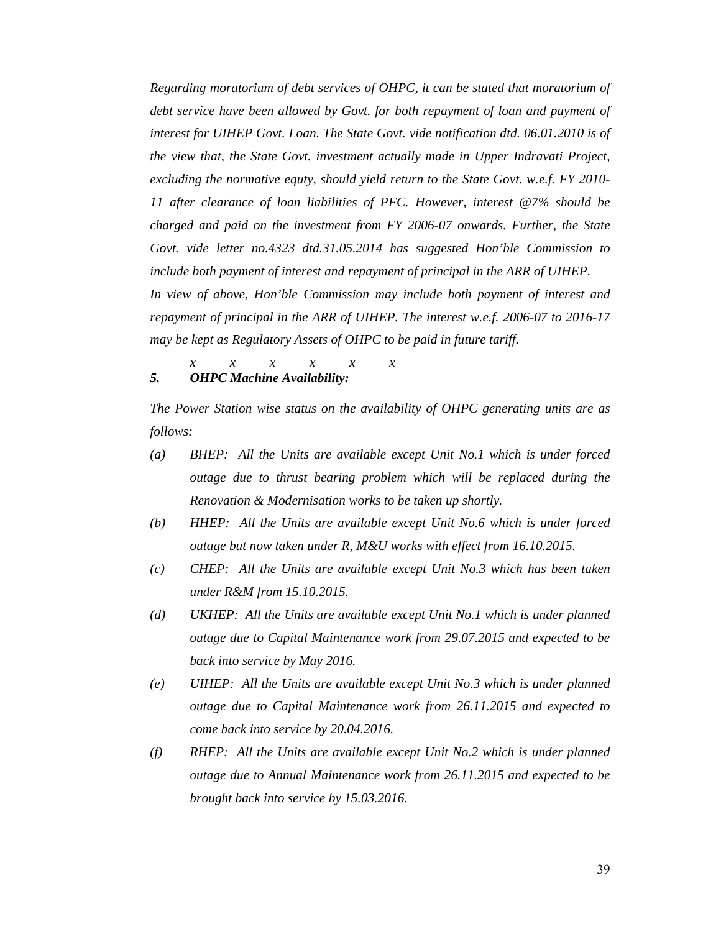*Regarding moratorium of debt services of OHPC, it can be stated that moratorium of debt service have been allowed by Govt. for both repayment of loan and payment of interest for UIHEP Govt. Loan. The State Govt. vide notification dtd. 06.01.2010 is of the view that, the State Govt. investment actually made in Upper Indravati Project, excluding the normative equty, should yield return to the State Govt. w.e.f. FY 2010- 11 after clearance of loan liabilities of PFC. However, interest @7% should be charged and paid on the investment from FY 2006-07 onwards. Further, the State Govt. vide letter no.4323 dtd.31.05.2014 has suggested Hon'ble Commission to include both payment of interest and repayment of principal in the ARR of UIHEP. In view of above, Hon'ble Commission may include both payment of interest and repayment of principal in the ARR of UIHEP. The interest w.e.f. 2006-07 to 2016-17 may be kept as Regulatory Assets of OHPC to be paid in future tariff.* 

*x x x x x x 5. OHPC Machine Availability:* 

*The Power Station wise status on the availability of OHPC generating units are as follows:* 

- *(a) BHEP: All the Units are available except Unit No.1 which is under forced outage due to thrust bearing problem which will be replaced during the Renovation & Modernisation works to be taken up shortly.*
- *(b) HHEP: All the Units are available except Unit No.6 which is under forced outage but now taken under R, M&U works with effect from 16.10.2015.*
- *(c) CHEP: All the Units are available except Unit No.3 which has been taken under R&M from 15.10.2015.*
- *(d) UKHEP: All the Units are available except Unit No.1 which is under planned outage due to Capital Maintenance work from 29.07.2015 and expected to be back into service by May 2016.*
- *(e) UIHEP: All the Units are available except Unit No.3 which is under planned outage due to Capital Maintenance work from 26.11.2015 and expected to come back into service by 20.04.2016.*
- *(f) RHEP: All the Units are available except Unit No.2 which is under planned outage due to Annual Maintenance work from 26.11.2015 and expected to be brought back into service by 15.03.2016.*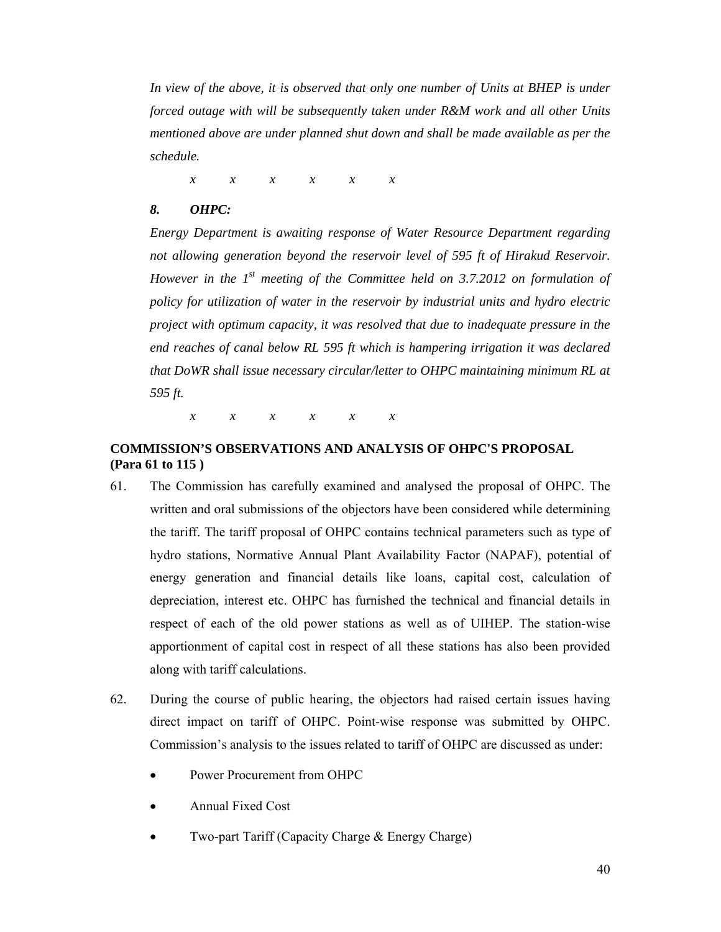*In view of the above, it is observed that only one number of Units at BHEP is under forced outage with will be subsequently taken under R&M work and all other Units mentioned above are under planned shut down and shall be made available as per the schedule.* 

*x x x x x x* 

## *8. OHPC:*

*Energy Department is awaiting response of Water Resource Department regarding not allowing generation beyond the reservoir level of 595 ft of Hirakud Reservoir. However in the 1st meeting of the Committee held on 3.7.2012 on formulation of policy for utilization of water in the reservoir by industrial units and hydro electric project with optimum capacity, it was resolved that due to inadequate pressure in the end reaches of canal below RL 595 ft which is hampering irrigation it was declared that DoWR shall issue necessary circular/letter to OHPC maintaining minimum RL at 595 ft.* 

*x x x x x x* 

# **COMMISSION'S OBSERVATIONS AND ANALYSIS OF OHPC'S PROPOSAL (Para 61 to 115 )**

- 61. The Commission has carefully examined and analysed the proposal of OHPC. The written and oral submissions of the objectors have been considered while determining the tariff. The tariff proposal of OHPC contains technical parameters such as type of hydro stations, Normative Annual Plant Availability Factor (NAPAF), potential of energy generation and financial details like loans, capital cost, calculation of depreciation, interest etc. OHPC has furnished the technical and financial details in respect of each of the old power stations as well as of UIHEP. The station-wise apportionment of capital cost in respect of all these stations has also been provided along with tariff calculations.
- 62. During the course of public hearing, the objectors had raised certain issues having direct impact on tariff of OHPC. Point-wise response was submitted by OHPC. Commission's analysis to the issues related to tariff of OHPC are discussed as under:
	- Power Procurement from OHPC
	- Annual Fixed Cost
	- Two-part Tariff (Capacity Charge & Energy Charge)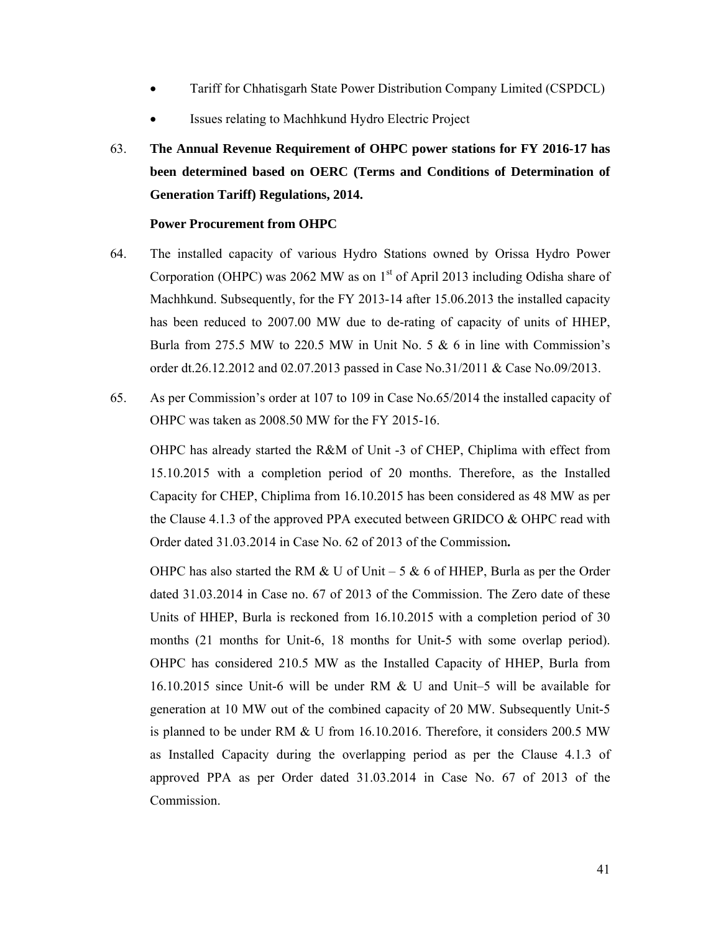- Tariff for Chhatisgarh State Power Distribution Company Limited (CSPDCL)
- Issues relating to Machhkund Hydro Electric Project
- 63. **The Annual Revenue Requirement of OHPC power stations for FY 2016-17 has been determined based on OERC (Terms and Conditions of Determination of Generation Tariff) Regulations, 2014.**

#### **Power Procurement from OHPC**

- 64. The installed capacity of various Hydro Stations owned by Orissa Hydro Power Corporation (OHPC) was 2062 MW as on  $1<sup>st</sup>$  of April 2013 including Odisha share of Machhkund. Subsequently, for the FY 2013-14 after 15.06.2013 the installed capacity has been reduced to 2007.00 MW due to de-rating of capacity of units of HHEP, Burla from 275.5 MW to 220.5 MW in Unit No. 5 & 6 in line with Commission's order dt.26.12.2012 and 02.07.2013 passed in Case No.31/2011 & Case No.09/2013.
- 65. As per Commission's order at 107 to 109 in Case No.65/2014 the installed capacity of OHPC was taken as 2008.50 MW for the FY 2015-16.

OHPC has already started the R&M of Unit -3 of CHEP, Chiplima with effect from 15.10.2015 with a completion period of 20 months. Therefore, as the Installed Capacity for CHEP, Chiplima from 16.10.2015 has been considered as 48 MW as per the Clause 4.1.3 of the approved PPA executed between GRIDCO  $\&$  OHPC read with Order dated 31.03.2014 in Case No. 62 of 2013 of the Commission**.**

OHPC has also started the RM & U of Unit – 5 & 6 of HHEP, Burla as per the Order dated 31.03.2014 in Case no. 67 of 2013 of the Commission. The Zero date of these Units of HHEP, Burla is reckoned from 16.10.2015 with a completion period of 30 months (21 months for Unit-6, 18 months for Unit-5 with some overlap period). OHPC has considered 210.5 MW as the Installed Capacity of HHEP, Burla from 16.10.2015 since Unit-6 will be under RM & U and Unit–5 will be available for generation at 10 MW out of the combined capacity of 20 MW. Subsequently Unit-5 is planned to be under RM & U from 16.10.2016. Therefore, it considers 200.5 MW as Installed Capacity during the overlapping period as per the Clause 4.1.3 of approved PPA as per Order dated 31.03.2014 in Case No. 67 of 2013 of the Commission.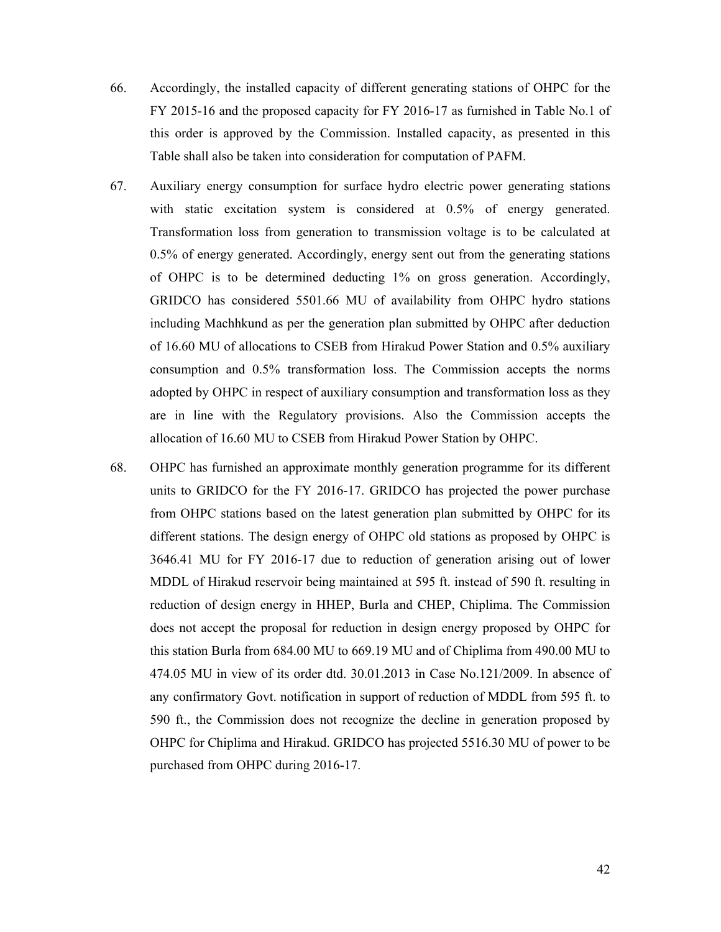- 66. Accordingly, the installed capacity of different generating stations of OHPC for the FY 2015-16 and the proposed capacity for FY 2016-17 as furnished in Table No.1 of this order is approved by the Commission. Installed capacity, as presented in this Table shall also be taken into consideration for computation of PAFM.
- 67. Auxiliary energy consumption for surface hydro electric power generating stations with static excitation system is considered at 0.5% of energy generated. Transformation loss from generation to transmission voltage is to be calculated at 0.5% of energy generated. Accordingly, energy sent out from the generating stations of OHPC is to be determined deducting 1% on gross generation. Accordingly, GRIDCO has considered 5501.66 MU of availability from OHPC hydro stations including Machhkund as per the generation plan submitted by OHPC after deduction of 16.60 MU of allocations to CSEB from Hirakud Power Station and 0.5% auxiliary consumption and 0.5% transformation loss. The Commission accepts the norms adopted by OHPC in respect of auxiliary consumption and transformation loss as they are in line with the Regulatory provisions. Also the Commission accepts the allocation of 16.60 MU to CSEB from Hirakud Power Station by OHPC.
- 68. OHPC has furnished an approximate monthly generation programme for its different units to GRIDCO for the FY 2016-17. GRIDCO has projected the power purchase from OHPC stations based on the latest generation plan submitted by OHPC for its different stations. The design energy of OHPC old stations as proposed by OHPC is 3646.41 MU for FY 2016-17 due to reduction of generation arising out of lower MDDL of Hirakud reservoir being maintained at 595 ft. instead of 590 ft. resulting in reduction of design energy in HHEP, Burla and CHEP, Chiplima. The Commission does not accept the proposal for reduction in design energy proposed by OHPC for this station Burla from 684.00 MU to 669.19 MU and of Chiplima from 490.00 MU to 474.05 MU in view of its order dtd. 30.01.2013 in Case No.121/2009. In absence of any confirmatory Govt. notification in support of reduction of MDDL from 595 ft. to 590 ft., the Commission does not recognize the decline in generation proposed by OHPC for Chiplima and Hirakud. GRIDCO has projected 5516.30 MU of power to be purchased from OHPC during 2016-17.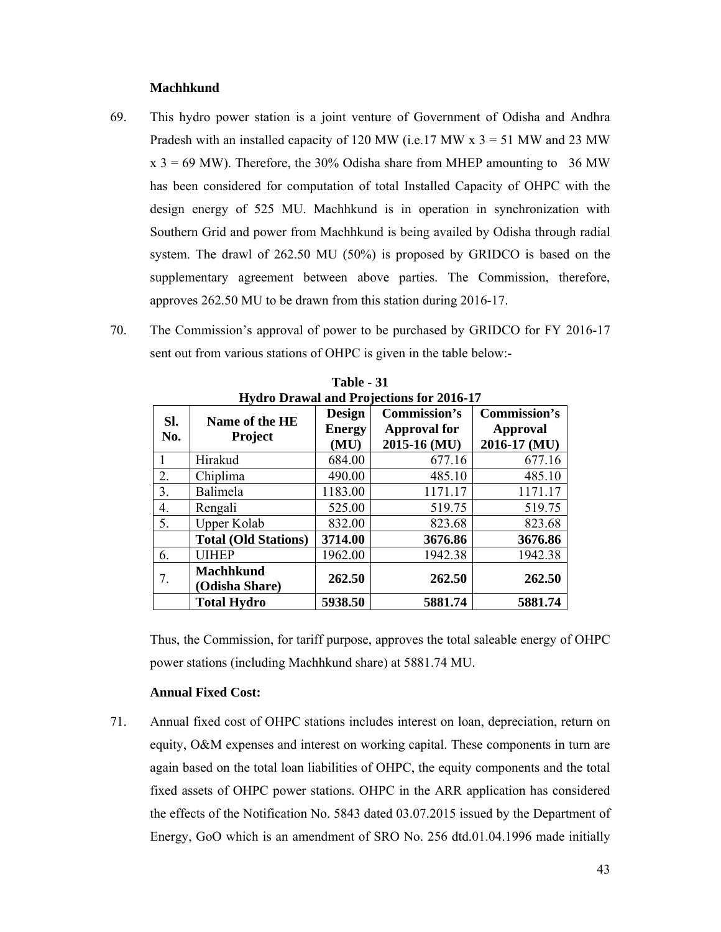#### **Machhkund**

- 69. This hydro power station is a joint venture of Government of Odisha and Andhra Pradesh with an installed capacity of 120 MW (i.e.17 MW  $x$  3 = 51 MW and 23 MW  $x$  3 = 69 MW). Therefore, the 30% Odisha share from MHEP amounting to 36 MW has been considered for computation of total Installed Capacity of OHPC with the design energy of 525 MU. Machhkund is in operation in synchronization with Southern Grid and power from Machhkund is being availed by Odisha through radial system. The drawl of 262.50 MU (50%) is proposed by GRIDCO is based on the supplementary agreement between above parties. The Commission, therefore, approves 262.50 MU to be drawn from this station during 2016-17.
- 70. The Commission's approval of power to be purchased by GRIDCO for FY 2016-17 sent out from various stations of OHPC is given in the table below:-

| <b>Hydro Drawal and Projections for 2016-17</b> |                                    |                                        |                                                            |                                                 |  |  |  |  |  |
|-------------------------------------------------|------------------------------------|----------------------------------------|------------------------------------------------------------|-------------------------------------------------|--|--|--|--|--|
| Sl.<br>No.                                      | Name of the HE<br><b>Project</b>   | <b>Design</b><br><b>Energy</b><br>(MU) | <b>Commission's</b><br><b>Approval for</b><br>2015-16 (MU) | <b>Commission's</b><br>Approval<br>2016-17 (MU) |  |  |  |  |  |
|                                                 | Hirakud                            | 684.00                                 | 677.16                                                     | 677.16                                          |  |  |  |  |  |
| 2.                                              | Chiplima                           | 490.00                                 | 485.10                                                     | 485.10                                          |  |  |  |  |  |
| 3.                                              | Balimela                           | 1183.00                                | 1171.17                                                    | 1171.17                                         |  |  |  |  |  |
| 4.                                              | Rengali                            | 525.00                                 | 519.75                                                     | 519.75                                          |  |  |  |  |  |
| 5.                                              | <b>Upper Kolab</b>                 | 832.00                                 | 823.68                                                     | 823.68                                          |  |  |  |  |  |
|                                                 | <b>Total (Old Stations)</b>        | 3714.00                                | 3676.86                                                    | 3676.86                                         |  |  |  |  |  |
| 6.                                              | <b>UIHEP</b>                       | 1962.00                                | 1942.38                                                    | 1942.38                                         |  |  |  |  |  |
| 7.                                              | <b>Machhkund</b><br>(Odisha Share) | 262.50                                 | 262.50                                                     | 262.50                                          |  |  |  |  |  |
|                                                 | <b>Total Hydro</b>                 | 5938.50                                | 5881.74                                                    | 5881.74                                         |  |  |  |  |  |

**Table - 31** 

Thus, the Commission, for tariff purpose, approves the total saleable energy of OHPC power stations (including Machhkund share) at 5881.74 MU.

## **Annual Fixed Cost:**

71. Annual fixed cost of OHPC stations includes interest on loan, depreciation, return on equity, O&M expenses and interest on working capital. These components in turn are again based on the total loan liabilities of OHPC, the equity components and the total fixed assets of OHPC power stations. OHPC in the ARR application has considered the effects of the Notification No. 5843 dated 03.07.2015 issued by the Department of Energy, GoO which is an amendment of SRO No. 256 dtd.01.04.1996 made initially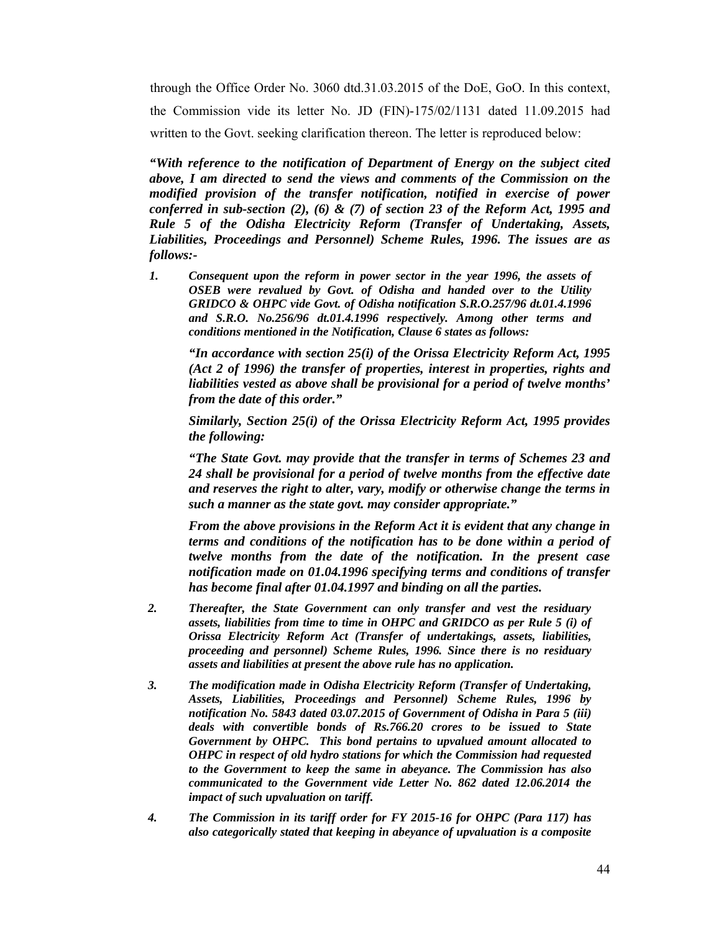through the Office Order No. 3060 dtd.31.03.2015 of the DoE, GoO. In this context, the Commission vide its letter No. JD (FIN)-175/02/1131 dated 11.09.2015 had written to the Govt. seeking clarification thereon. The letter is reproduced below:

*"With reference to the notification of Department of Energy on the subject cited above, I am directed to send the views and comments of the Commission on the modified provision of the transfer notification, notified in exercise of power conferred in sub-section (2), (6) & (7) of section 23 of the Reform Act, 1995 and Rule 5 of the Odisha Electricity Reform (Transfer of Undertaking, Assets, Liabilities, Proceedings and Personnel) Scheme Rules, 1996. The issues are as follows:-* 

*1. Consequent upon the reform in power sector in the year 1996, the assets of OSEB were revalued by Govt. of Odisha and handed over to the Utility GRIDCO & OHPC vide Govt. of Odisha notification S.R.O.257/96 dt.01.4.1996 and S.R.O. No.256/96 dt.01.4.1996 respectively. Among other terms and conditions mentioned in the Notification, Clause 6 states as follows:* 

*"In accordance with section 25(i) of the Orissa Electricity Reform Act, 1995 (Act 2 of 1996) the transfer of properties, interest in properties, rights and liabilities vested as above shall be provisional for a period of twelve months' from the date of this order."* 

*Similarly, Section 25(i) of the Orissa Electricity Reform Act, 1995 provides the following:* 

*"The State Govt. may provide that the transfer in terms of Schemes 23 and 24 shall be provisional for a period of twelve months from the effective date and reserves the right to alter, vary, modify or otherwise change the terms in such a manner as the state govt. may consider appropriate."* 

*From the above provisions in the Reform Act it is evident that any change in terms and conditions of the notification has to be done within a period of twelve months from the date of the notification. In the present case notification made on 01.04.1996 specifying terms and conditions of transfer has become final after 01.04.1997 and binding on all the parties.* 

- *2. Thereafter, the State Government can only transfer and vest the residuary assets, liabilities from time to time in OHPC and GRIDCO as per Rule 5 (i) of Orissa Electricity Reform Act (Transfer of undertakings, assets, liabilities, proceeding and personnel) Scheme Rules, 1996. Since there is no residuary assets and liabilities at present the above rule has no application.*
- *3. The modification made in Odisha Electricity Reform (Transfer of Undertaking, Assets, Liabilities, Proceedings and Personnel) Scheme Rules, 1996 by notification No. 5843 dated 03.07.2015 of Government of Odisha in Para 5 (iii) deals with convertible bonds of Rs.766.20 crores to be issued to State Government by OHPC. This bond pertains to upvalued amount allocated to OHPC in respect of old hydro stations for which the Commission had requested to the Government to keep the same in abeyance. The Commission has also communicated to the Government vide Letter No. 862 dated 12.06.2014 the impact of such upvaluation on tariff.*
- *4. The Commission in its tariff order for FY 2015-16 for OHPC (Para 117) has also categorically stated that keeping in abeyance of upvaluation is a composite*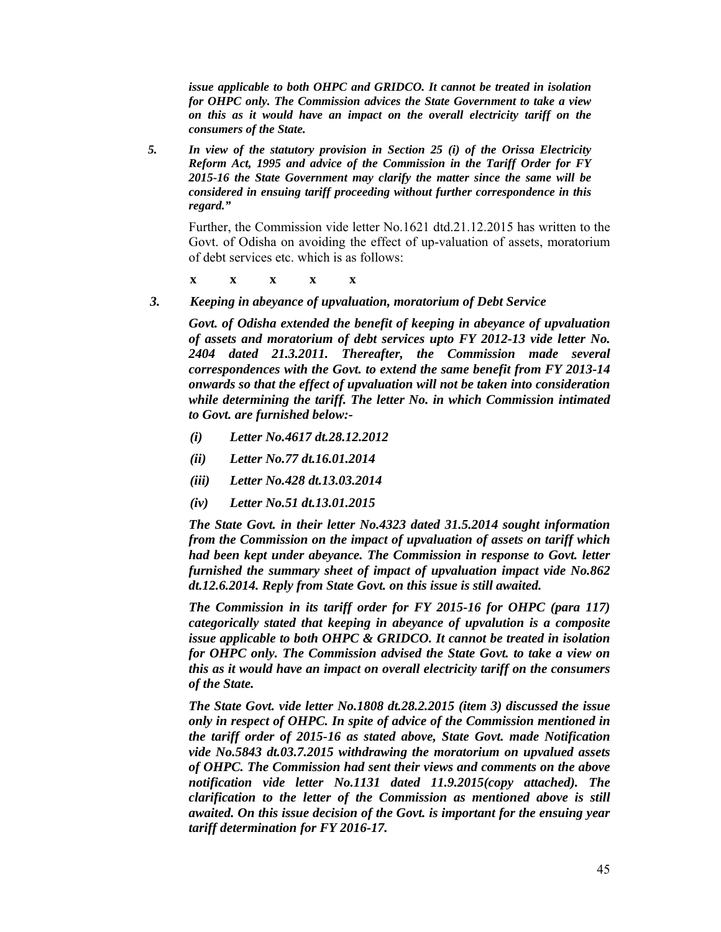*issue applicable to both OHPC and GRIDCO. It cannot be treated in isolation for OHPC only. The Commission advices the State Government to take a view on this as it would have an impact on the overall electricity tariff on the consumers of the State.* 

*5. In view of the statutory provision in Section 25 (i) of the Orissa Electricity Reform Act, 1995 and advice of the Commission in the Tariff Order for FY 2015-16 the State Government may clarify the matter since the same will be considered in ensuing tariff proceeding without further correspondence in this regard."* 

Further, the Commission vide letter No.1621 dtd.21.12.2015 has written to the Govt. of Odisha on avoiding the effect of up-valuation of assets, moratorium of debt services etc. which is as follows:

**x x x x x x** 

*3. Keeping in abeyance of upvaluation, moratorium of Debt Service* 

*Govt. of Odisha extended the benefit of keeping in abeyance of upvaluation of assets and moratorium of debt services upto FY 2012-13 vide letter No. 2404 dated 21.3.2011. Thereafter, the Commission made several correspondences with the Govt. to extend the same benefit from FY 2013-14 onwards so that the effect of upvaluation will not be taken into consideration while determining the tariff. The letter No. in which Commission intimated to Govt. are furnished below:-* 

- *(i) Letter No.4617 dt.28.12.2012*
- *(ii) Letter No.77 dt.16.01.2014*
- *(iii) Letter No.428 dt.13.03.2014*
- *(iv) Letter No.51 dt.13.01.2015*

*The State Govt. in their letter No.4323 dated 31.5.2014 sought information from the Commission on the impact of upvaluation of assets on tariff which had been kept under abeyance. The Commission in response to Govt. letter furnished the summary sheet of impact of upvaluation impact vide No.862 dt.12.6.2014. Reply from State Govt. on this issue is still awaited.* 

*The Commission in its tariff order for FY 2015-16 for OHPC (para 117) categorically stated that keeping in abeyance of upvalution is a composite issue applicable to both OHPC & GRIDCO. It cannot be treated in isolation for OHPC only. The Commission advised the State Govt. to take a view on this as it would have an impact on overall electricity tariff on the consumers of the State.* 

*The State Govt. vide letter No.1808 dt.28.2.2015 (item 3) discussed the issue only in respect of OHPC. In spite of advice of the Commission mentioned in the tariff order of 2015-16 as stated above, State Govt. made Notification vide No.5843 dt.03.7.2015 withdrawing the moratorium on upvalued assets of OHPC. The Commission had sent their views and comments on the above notification vide letter No.1131 dated 11.9.2015(copy attached). The clarification to the letter of the Commission as mentioned above is still awaited. On this issue decision of the Govt. is important for the ensuing year tariff determination for FY 2016-17.*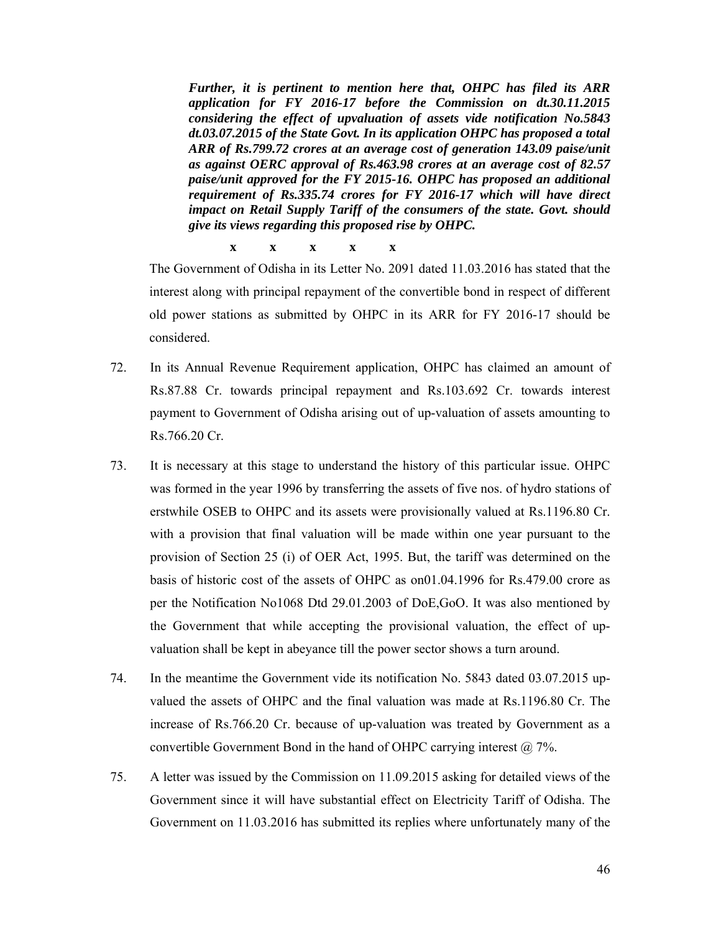*Further, it is pertinent to mention here that, OHPC has filed its ARR application for FY 2016-17 before the Commission on dt.30.11.2015 considering the effect of upvaluation of assets vide notification No.5843 dt.03.07.2015 of the State Govt. In its application OHPC has proposed a total ARR of Rs.799.72 crores at an average cost of generation 143.09 paise/unit as against OERC approval of Rs.463.98 crores at an average cost of 82.57 paise/unit approved for the FY 2015-16. OHPC has proposed an additional requirement of Rs.335.74 crores for FY 2016-17 which will have direct impact on Retail Supply Tariff of the consumers of the state. Govt. should give its views regarding this proposed rise by OHPC.*

**x x x x x x** 

The Government of Odisha in its Letter No. 2091 dated 11.03.2016 has stated that the interest along with principal repayment of the convertible bond in respect of different old power stations as submitted by OHPC in its ARR for FY 2016-17 should be considered.

- 72. In its Annual Revenue Requirement application, OHPC has claimed an amount of Rs.87.88 Cr. towards principal repayment and Rs.103.692 Cr. towards interest payment to Government of Odisha arising out of up-valuation of assets amounting to Rs.766.20 Cr.
- 73. It is necessary at this stage to understand the history of this particular issue. OHPC was formed in the year 1996 by transferring the assets of five nos. of hydro stations of erstwhile OSEB to OHPC and its assets were provisionally valued at Rs.1196.80 Cr. with a provision that final valuation will be made within one year pursuant to the provision of Section 25 (i) of OER Act, 1995. But, the tariff was determined on the basis of historic cost of the assets of OHPC as on01.04.1996 for Rs.479.00 crore as per the Notification No1068 Dtd 29.01.2003 of DoE,GoO. It was also mentioned by the Government that while accepting the provisional valuation, the effect of upvaluation shall be kept in abeyance till the power sector shows a turn around.
- 74. In the meantime the Government vide its notification No. 5843 dated 03.07.2015 upvalued the assets of OHPC and the final valuation was made at Rs.1196.80 Cr. The increase of Rs.766.20 Cr. because of up-valuation was treated by Government as a convertible Government Bond in the hand of OHPC carrying interest @ 7%.
- 75. A letter was issued by the Commission on 11.09.2015 asking for detailed views of the Government since it will have substantial effect on Electricity Tariff of Odisha. The Government on 11.03.2016 has submitted its replies where unfortunately many of the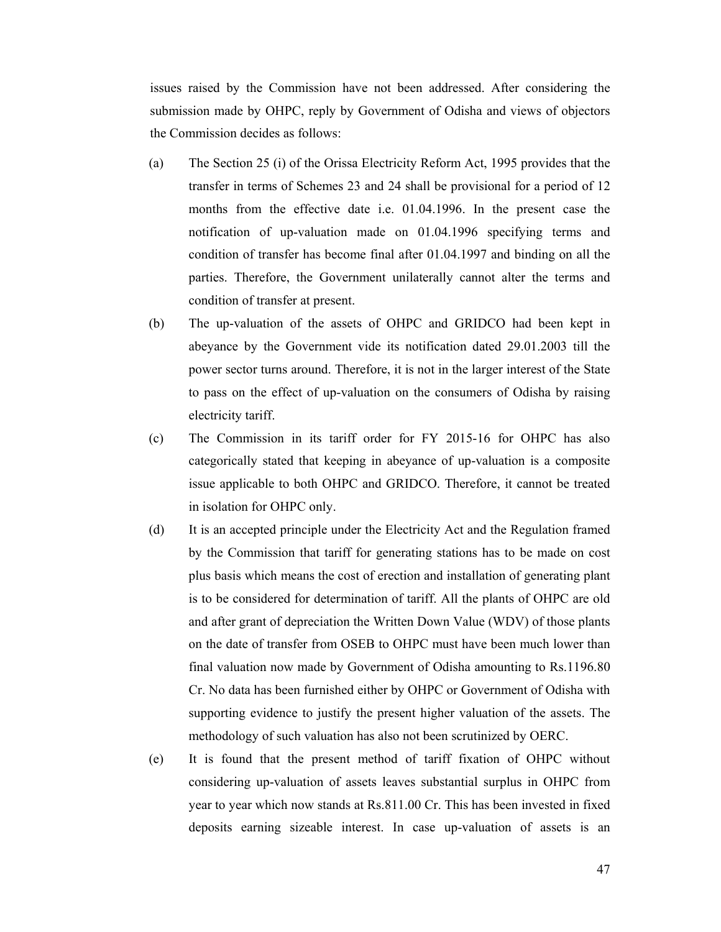issues raised by the Commission have not been addressed. After considering the submission made by OHPC, reply by Government of Odisha and views of objectors the Commission decides as follows:

- (a) The Section 25 (i) of the Orissa Electricity Reform Act, 1995 provides that the transfer in terms of Schemes 23 and 24 shall be provisional for a period of 12 months from the effective date i.e. 01.04.1996. In the present case the notification of up-valuation made on 01.04.1996 specifying terms and condition of transfer has become final after 01.04.1997 and binding on all the parties. Therefore, the Government unilaterally cannot alter the terms and condition of transfer at present.
- (b) The up-valuation of the assets of OHPC and GRIDCO had been kept in abeyance by the Government vide its notification dated 29.01.2003 till the power sector turns around. Therefore, it is not in the larger interest of the State to pass on the effect of up-valuation on the consumers of Odisha by raising electricity tariff.
- (c) The Commission in its tariff order for FY 2015-16 for OHPC has also categorically stated that keeping in abeyance of up-valuation is a composite issue applicable to both OHPC and GRIDCO. Therefore, it cannot be treated in isolation for OHPC only.
- (d) It is an accepted principle under the Electricity Act and the Regulation framed by the Commission that tariff for generating stations has to be made on cost plus basis which means the cost of erection and installation of generating plant is to be considered for determination of tariff. All the plants of OHPC are old and after grant of depreciation the Written Down Value (WDV) of those plants on the date of transfer from OSEB to OHPC must have been much lower than final valuation now made by Government of Odisha amounting to Rs.1196.80 Cr. No data has been furnished either by OHPC or Government of Odisha with supporting evidence to justify the present higher valuation of the assets. The methodology of such valuation has also not been scrutinized by OERC.
- (e) It is found that the present method of tariff fixation of OHPC without considering up-valuation of assets leaves substantial surplus in OHPC from year to year which now stands at Rs.811.00 Cr. This has been invested in fixed deposits earning sizeable interest. In case up-valuation of assets is an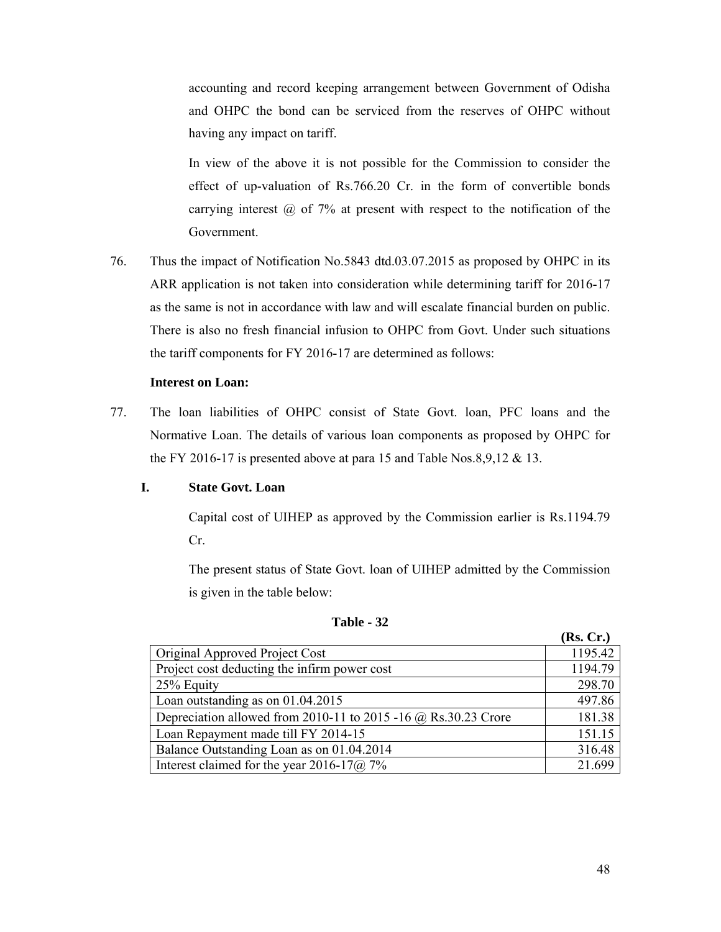accounting and record keeping arrangement between Government of Odisha and OHPC the bond can be serviced from the reserves of OHPC without having any impact on tariff.

In view of the above it is not possible for the Commission to consider the effect of up-valuation of Rs.766.20 Cr. in the form of convertible bonds carrying interest  $\omega$  of 7% at present with respect to the notification of the Government.

76. Thus the impact of Notification No.5843 dtd.03.07.2015 as proposed by OHPC in its ARR application is not taken into consideration while determining tariff for 2016-17 as the same is not in accordance with law and will escalate financial burden on public. There is also no fresh financial infusion to OHPC from Govt. Under such situations the tariff components for FY 2016-17 are determined as follows:

# **Interest on Loan:**

77. The loan liabilities of OHPC consist of State Govt. loan, PFC loans and the Normative Loan. The details of various loan components as proposed by OHPC for the FY 2016-17 is presented above at para 15 and Table Nos.8,9,12 & 13.

# **I. State Govt. Loan**

Capital cost of UIHEP as approved by the Commission earlier is Rs.1194.79 Cr.

The present status of State Govt. loan of UIHEP admitted by the Commission is given in the table below:

|                                                                       | ------  |
|-----------------------------------------------------------------------|---------|
| Original Approved Project Cost                                        | 1195.42 |
| Project cost deducting the infirm power cost                          | 1194.79 |
| 25% Equity                                                            | 298.70  |
| Loan outstanding as on $01.04.2015$                                   | 497.86  |
| Depreciation allowed from 2010-11 to 2015 -16 $\omega$ Rs.30.23 Crore | 181.38  |
| Loan Repayment made till FY 2014-15                                   | 151.15  |
| Balance Outstanding Loan as on 01.04.2014                             | 316.48  |
| Interest claimed for the year 2016-17@, 7%                            | 21.699  |
|                                                                       |         |

**Table - 32**

 **(Rs. Cr.)**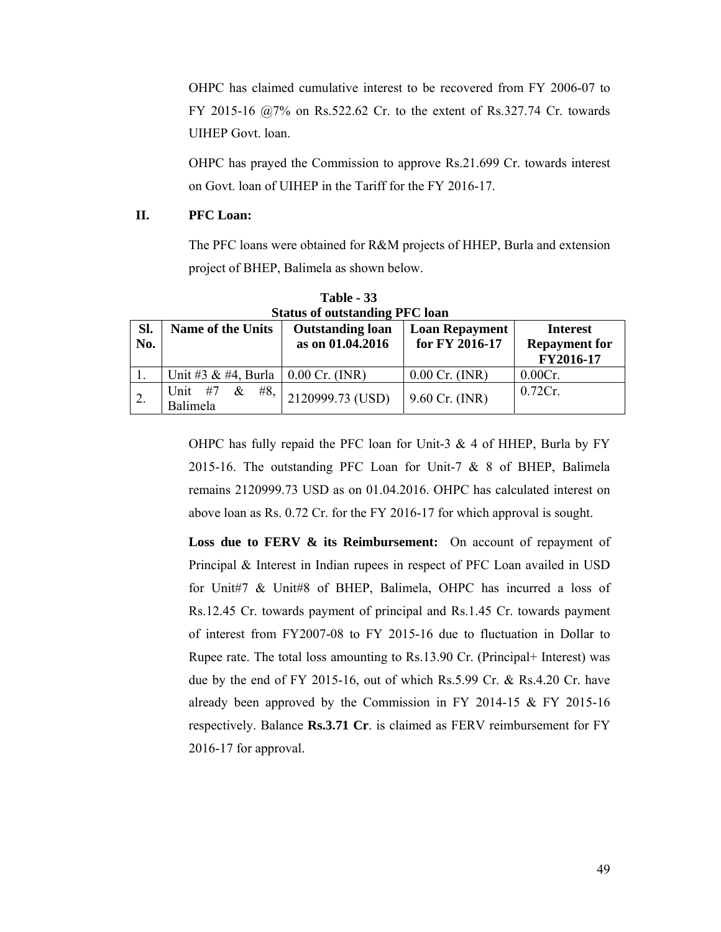OHPC has claimed cumulative interest to be recovered from FY 2006-07 to FY 2015-16 @7% on Rs.522.62 Cr. to the extent of Rs.327.74 Cr. towards UIHEP Govt. loan.

OHPC has prayed the Commission to approve Rs.21.699 Cr. towards interest on Govt. loan of UIHEP in the Tariff for the FY 2016-17.

## **II. PFC Loan:**

The PFC loans were obtained for R&M projects of HHEP, Burla and extension project of BHEP, Balimela as shown below.

| Sl.<br>No. | <b>Name of the Units</b>               | <b>Outstanding loan</b><br>as on 01.04.2016 | <b>Loan Repayment</b><br>for FY 2016-17 | <b>Interest</b><br><b>Repayment for</b><br>FY2016-17 |
|------------|----------------------------------------|---------------------------------------------|-----------------------------------------|------------------------------------------------------|
|            | Unit #3 & #4, Burla   $0.00$ Cr. (INR) |                                             | $0.00 \, \text{Cr. (INR)}$              | 0.00Cr.                                              |
|            | Unit #7 $\&$<br>#8,<br>Balimela        | 2120999.73 (USD)                            | 9.60 Cr. (INR)                          | 0.72Cr.                                              |

**Table - 33 Status of outstanding PFC loan**

OHPC has fully repaid the PFC loan for Unit-3  $\&$  4 of HHEP, Burla by FY 2015-16. The outstanding PFC Loan for Unit-7 & 8 of BHEP, Balimela remains 2120999.73 USD as on 01.04.2016. OHPC has calculated interest on above loan as Rs. 0.72 Cr. for the FY 2016-17 for which approval is sought.

Loss due to FERV & its Reimbursement: On account of repayment of Principal & Interest in Indian rupees in respect of PFC Loan availed in USD for Unit#7 & Unit#8 of BHEP, Balimela, OHPC has incurred a loss of Rs.12.45 Cr. towards payment of principal and Rs.1.45 Cr. towards payment of interest from FY2007-08 to FY 2015-16 due to fluctuation in Dollar to Rupee rate. The total loss amounting to Rs.13.90 Cr. (Principal+ Interest) was due by the end of FY 2015-16, out of which Rs.5.99 Cr. & Rs.4.20 Cr. have already been approved by the Commission in FY 2014-15 & FY 2015-16 respectively. Balance **Rs.3.71 Cr**. is claimed as FERV reimbursement for FY 2016-17 for approval.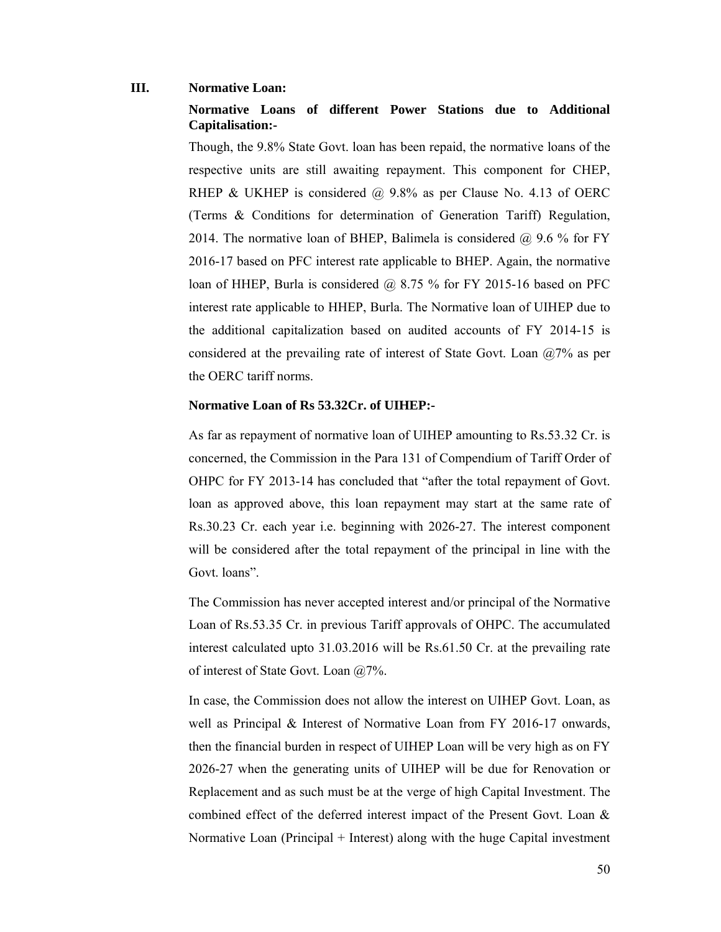#### **III. Normative Loan:**

## **Normative Loans of different Power Stations due to Additional Capitalisation:-**

Though, the 9.8% State Govt. loan has been repaid, the normative loans of the respective units are still awaiting repayment. This component for CHEP, RHEP & UKHEP is considered  $\omega$  9.8% as per Clause No. 4.13 of OERC (Terms & Conditions for determination of Generation Tariff) Regulation, 2014. The normative loan of BHEP, Balimela is considered  $\omega$  9.6 % for FY 2016-17 based on PFC interest rate applicable to BHEP. Again, the normative loan of HHEP, Burla is considered @ 8.75 % for FY 2015-16 based on PFC interest rate applicable to HHEP, Burla. The Normative loan of UIHEP due to the additional capitalization based on audited accounts of FY 2014-15 is considered at the prevailing rate of interest of State Govt. Loan  $\omega$ 7% as per the OERC tariff norms.

#### **Normative Loan of Rs 53.32Cr. of UIHEP:-**

As far as repayment of normative loan of UIHEP amounting to Rs.53.32 Cr. is concerned, the Commission in the Para 131 of Compendium of Tariff Order of OHPC for FY 2013-14 has concluded that "after the total repayment of Govt. loan as approved above, this loan repayment may start at the same rate of Rs.30.23 Cr. each year i.e. beginning with 2026-27. The interest component will be considered after the total repayment of the principal in line with the Govt. loans".

The Commission has never accepted interest and/or principal of the Normative Loan of Rs.53.35 Cr. in previous Tariff approvals of OHPC. The accumulated interest calculated upto 31.03.2016 will be Rs.61.50 Cr. at the prevailing rate of interest of State Govt. Loan @7%.

In case, the Commission does not allow the interest on UIHEP Govt. Loan, as well as Principal & Interest of Normative Loan from FY 2016-17 onwards, then the financial burden in respect of UIHEP Loan will be very high as on FY 2026-27 when the generating units of UIHEP will be due for Renovation or Replacement and as such must be at the verge of high Capital Investment. The combined effect of the deferred interest impact of the Present Govt. Loan & Normative Loan (Principal + Interest) along with the huge Capital investment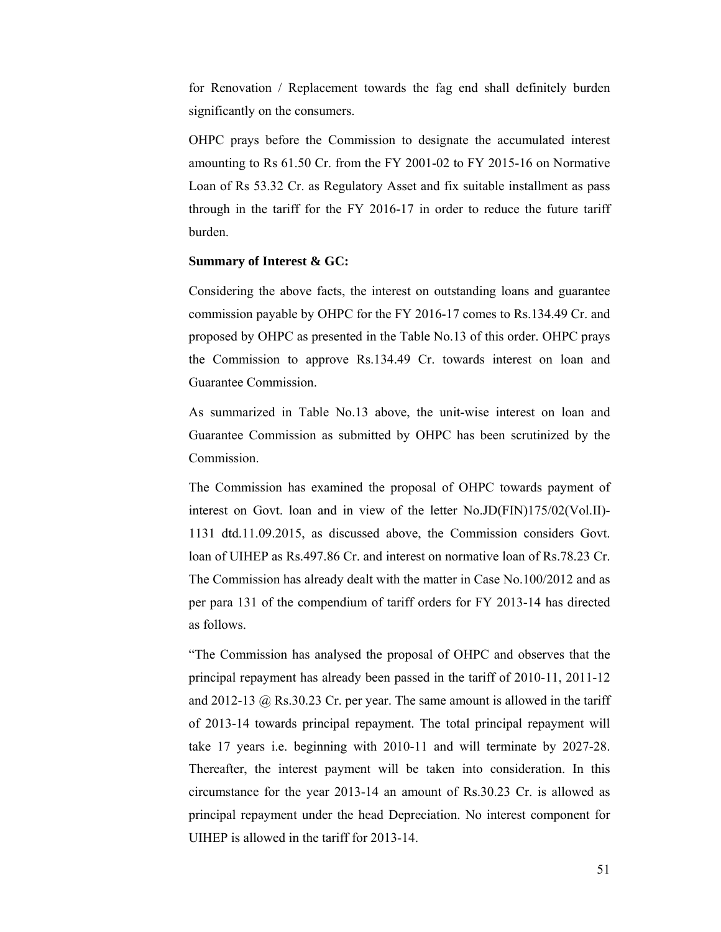for Renovation / Replacement towards the fag end shall definitely burden significantly on the consumers.

OHPC prays before the Commission to designate the accumulated interest amounting to Rs 61.50 Cr. from the FY 2001-02 to FY 2015-16 on Normative Loan of Rs 53.32 Cr. as Regulatory Asset and fix suitable installment as pass through in the tariff for the FY 2016-17 in order to reduce the future tariff burden.

#### **Summary of Interest & GC:**

Considering the above facts, the interest on outstanding loans and guarantee commission payable by OHPC for the FY 2016-17 comes to Rs.134.49 Cr. and proposed by OHPC as presented in the Table No.13 of this order. OHPC prays the Commission to approve Rs.134.49 Cr. towards interest on loan and Guarantee Commission.

As summarized in Table No.13 above, the unit-wise interest on loan and Guarantee Commission as submitted by OHPC has been scrutinized by the **Commission** 

The Commission has examined the proposal of OHPC towards payment of interest on Govt. loan and in view of the letter No.JD(FIN)175/02(Vol.II)- 1131 dtd.11.09.2015, as discussed above, the Commission considers Govt. loan of UIHEP as Rs.497.86 Cr. and interest on normative loan of Rs.78.23 Cr. The Commission has already dealt with the matter in Case No.100/2012 and as per para 131 of the compendium of tariff orders for FY 2013-14 has directed as follows.

"The Commission has analysed the proposal of OHPC and observes that the principal repayment has already been passed in the tariff of 2010-11, 2011-12 and 2012-13 @ Rs.30.23 Cr. per year. The same amount is allowed in the tariff of 2013-14 towards principal repayment. The total principal repayment will take 17 years i.e. beginning with 2010-11 and will terminate by 2027-28. Thereafter, the interest payment will be taken into consideration. In this circumstance for the year 2013-14 an amount of Rs.30.23 Cr. is allowed as principal repayment under the head Depreciation. No interest component for UIHEP is allowed in the tariff for 2013-14.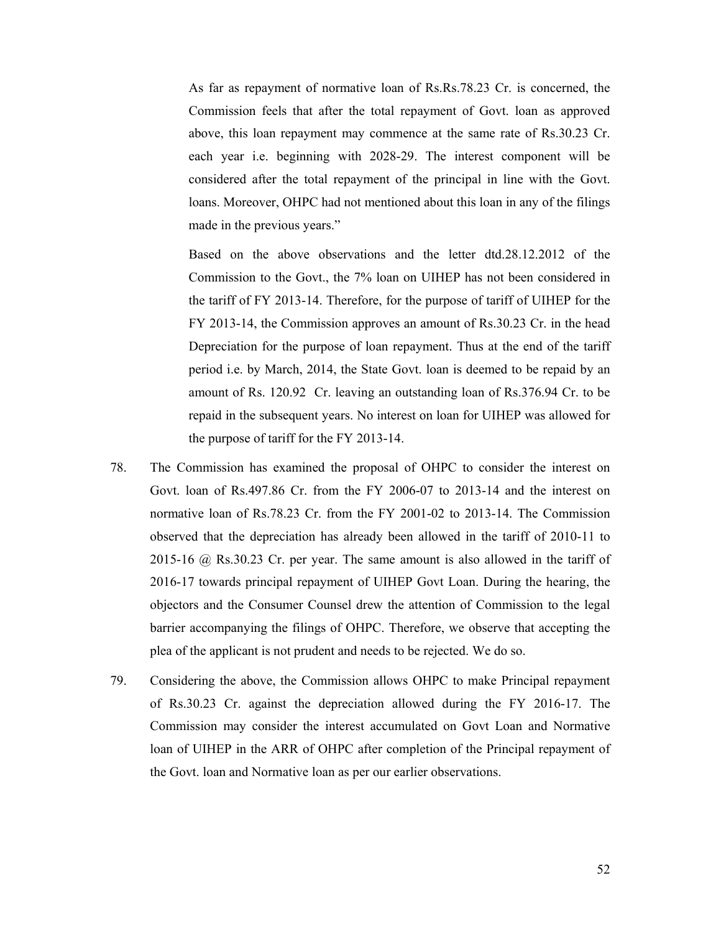As far as repayment of normative loan of Rs.Rs.78.23 Cr. is concerned, the Commission feels that after the total repayment of Govt. loan as approved above, this loan repayment may commence at the same rate of Rs.30.23 Cr. each year i.e. beginning with 2028-29. The interest component will be considered after the total repayment of the principal in line with the Govt. loans. Moreover, OHPC had not mentioned about this loan in any of the filings made in the previous years."

Based on the above observations and the letter dtd.28.12.2012 of the Commission to the Govt., the 7% loan on UIHEP has not been considered in the tariff of FY 2013-14. Therefore, for the purpose of tariff of UIHEP for the FY 2013-14, the Commission approves an amount of Rs.30.23 Cr. in the head Depreciation for the purpose of loan repayment. Thus at the end of the tariff period i.e. by March, 2014, the State Govt. loan is deemed to be repaid by an amount of Rs. 120.92 Cr. leaving an outstanding loan of Rs.376.94 Cr. to be repaid in the subsequent years. No interest on loan for UIHEP was allowed for the purpose of tariff for the FY 2013-14.

- 78. The Commission has examined the proposal of OHPC to consider the interest on Govt. loan of Rs.497.86 Cr. from the FY 2006-07 to 2013-14 and the interest on normative loan of Rs.78.23 Cr. from the FY 2001-02 to 2013-14. The Commission observed that the depreciation has already been allowed in the tariff of 2010-11 to 2015-16 @ Rs.30.23 Cr. per year. The same amount is also allowed in the tariff of 2016-17 towards principal repayment of UIHEP Govt Loan. During the hearing, the objectors and the Consumer Counsel drew the attention of Commission to the legal barrier accompanying the filings of OHPC. Therefore, we observe that accepting the plea of the applicant is not prudent and needs to be rejected. We do so.
- 79. Considering the above, the Commission allows OHPC to make Principal repayment of Rs.30.23 Cr. against the depreciation allowed during the FY 2016-17. The Commission may consider the interest accumulated on Govt Loan and Normative loan of UIHEP in the ARR of OHPC after completion of the Principal repayment of the Govt. loan and Normative loan as per our earlier observations.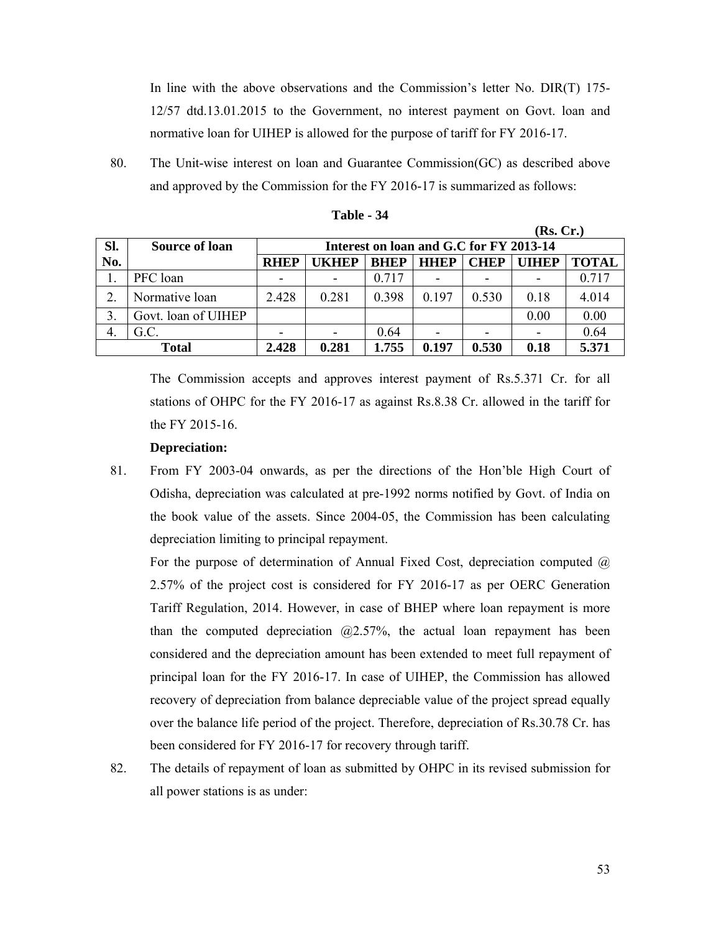In line with the above observations and the Commission's letter No. DIR(T) 175- 12/57 dtd.13.01.2015 to the Government, no interest payment on Govt. loan and normative loan for UIHEP is allowed for the purpose of tariff for FY 2016-17.

80. The Unit-wise interest on loan and Guarantee Commission(GC) as described above and approved by the Commission for the FY 2016-17 is summarized as follows:

|     | (INS. UI.)            |             |                                         |             |             |             |                          |              |  |  |
|-----|-----------------------|-------------|-----------------------------------------|-------------|-------------|-------------|--------------------------|--------------|--|--|
| SI. | <b>Source of loan</b> |             | Interest on loan and G.C for FY 2013-14 |             |             |             |                          |              |  |  |
| No. |                       | <b>RHEP</b> | <b>UKHEP</b>                            | <b>BHEP</b> | <b>HHEP</b> | <b>CHEP</b> | <b>UIHEP</b>             | <b>TOTAL</b> |  |  |
|     | PFC loan              |             |                                         | 0.717       |             |             |                          | 0.717        |  |  |
|     | Normative loan        | 2.428       | 0.281                                   | 0.398       | 0.197       | 0.530       | 0.18                     | 4.014        |  |  |
|     | Govt. loan of UIHEP   |             |                                         |             |             |             | 0.00                     | 0.00         |  |  |
| 4.  | G.C.                  |             |                                         | 0.64        |             |             | $\overline{\phantom{a}}$ | 0.64         |  |  |
|     | Total                 | 2.428       | 0.281                                   | 1.755       | 0.197       | 0.530       | 0.18                     | 5.371        |  |  |

#### **Table - 34**

The Commission accepts and approves interest payment of Rs.5.371 Cr. for all stations of OHPC for the FY 2016-17 as against Rs.8.38 Cr. allowed in the tariff for the FY 2015-16.

#### **Depreciation:**

81. From FY 2003-04 onwards, as per the directions of the Hon'ble High Court of Odisha, depreciation was calculated at pre-1992 norms notified by Govt. of India on the book value of the assets. Since 2004-05, the Commission has been calculating depreciation limiting to principal repayment.

For the purpose of determination of Annual Fixed Cost, depreciation computed  $\omega$ 2.57% of the project cost is considered for FY 2016-17 as per OERC Generation Tariff Regulation, 2014. However, in case of BHEP where loan repayment is more than the computed depreciation  $(22.57\%)$ , the actual loan repayment has been considered and the depreciation amount has been extended to meet full repayment of principal loan for the FY 2016-17. In case of UIHEP, the Commission has allowed recovery of depreciation from balance depreciable value of the project spread equally over the balance life period of the project. Therefore, depreciation of Rs.30.78 Cr. has been considered for FY 2016-17 for recovery through tariff.

82. The details of repayment of loan as submitted by OHPC in its revised submission for all power stations is as under:

 $(\mathbf{D}_\alpha, \mathbf{C}_\alpha)$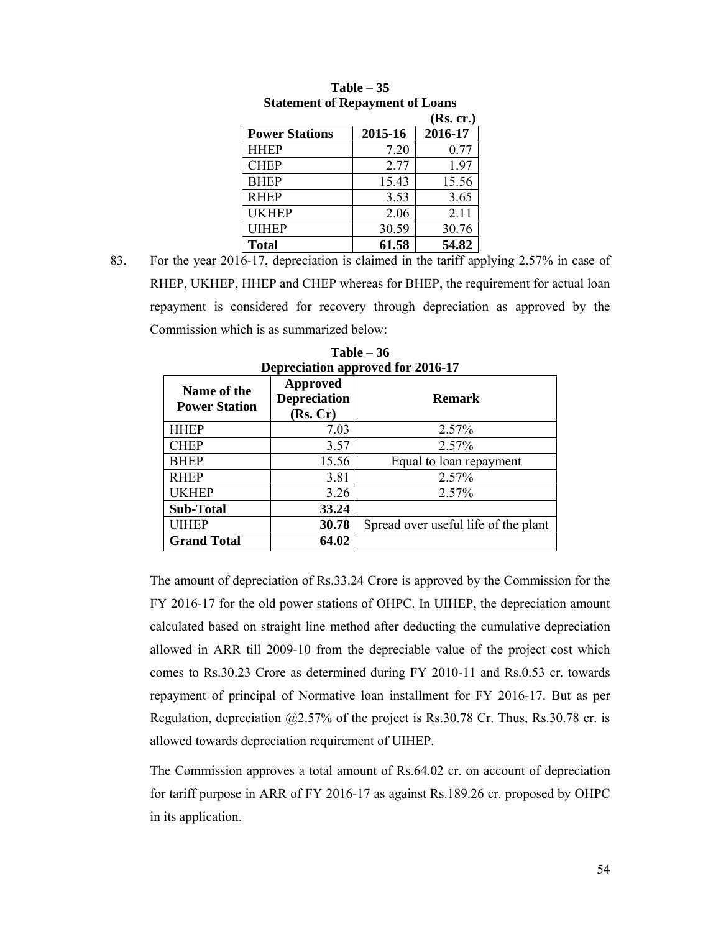|                       |         | (Rs. cr.) |
|-----------------------|---------|-----------|
| <b>Power Stations</b> | 2015-16 | 2016-17   |
| <b>HHEP</b>           | 7.20    | 0.77      |
| <b>CHEP</b>           | 2.77    | 1.97      |
| <b>BHEP</b>           | 15.43   | 15.56     |
| <b>RHEP</b>           | 3.53    | 3.65      |
| <b>UKHEP</b>          | 2.06    | 2.11      |
| <b>UIHEP</b>          | 30.59   | 30.76     |
| <b>Total</b>          | 61.58   | 54.82     |

**Table – 35 Statement of Repayment of Loans** 

83. For the year 2016-17, depreciation is claimed in the tariff applying 2.57% in case of RHEP, UKHEP, HHEP and CHEP whereas for BHEP, the requirement for actual loan repayment is considered for recovery through depreciation as approved by the Commission which is as summarized below:

| Name of the<br><b>Power Station</b> | <b>Approved</b><br><b>Depreciation</b><br>(Rs, Cr) | <b>Remark</b>                        |
|-------------------------------------|----------------------------------------------------|--------------------------------------|
| <b>HHEP</b>                         | 7.03                                               | 2.57%                                |
| <b>CHEP</b>                         | 3.57                                               | 2.57%                                |
| <b>BHEP</b>                         | 15.56                                              | Equal to loan repayment              |
| <b>RHEP</b>                         | 3.81                                               | 2.57%                                |
| <b>UKHEP</b>                        | 3.26                                               | 2.57%                                |
| <b>Sub-Total</b>                    | 33.24                                              |                                      |
| <b>UIHEP</b>                        | 30.78                                              | Spread over useful life of the plant |
| <b>Grand Total</b>                  | 64.02                                              |                                      |

**Table – 36 Depreciation approved for 2016-17** 

The amount of depreciation of Rs.33.24 Crore is approved by the Commission for the FY 2016-17 for the old power stations of OHPC. In UIHEP, the depreciation amount calculated based on straight line method after deducting the cumulative depreciation allowed in ARR till 2009-10 from the depreciable value of the project cost which comes to Rs.30.23 Crore as determined during FY 2010-11 and Rs.0.53 cr. towards repayment of principal of Normative loan installment for FY 2016-17. But as per Regulation, depreciation @2.57% of the project is Rs.30.78 Cr. Thus, Rs.30.78 cr. is allowed towards depreciation requirement of UIHEP.

The Commission approves a total amount of Rs.64.02 cr. on account of depreciation for tariff purpose in ARR of FY 2016-17 as against Rs.189.26 cr. proposed by OHPC in its application.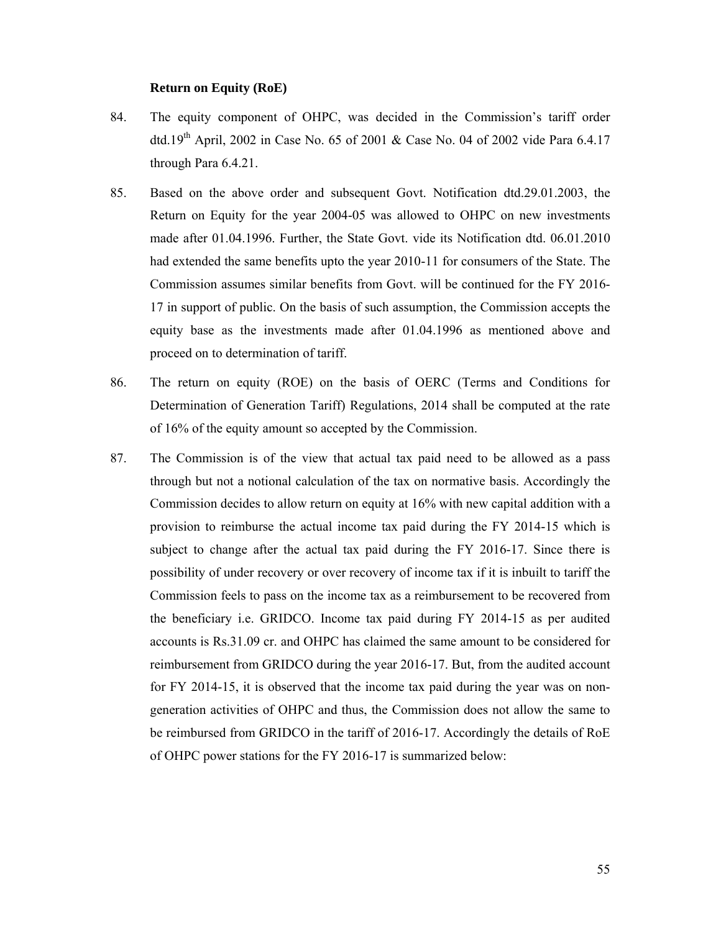#### **Return on Equity (RoE)**

- 84. The equity component of OHPC, was decided in the Commission's tariff order dtd.19<sup>th</sup> April, 2002 in Case No. 65 of 2001 & Case No. 04 of 2002 vide Para 6.4.17 through Para 6.4.21.
- 85. Based on the above order and subsequent Govt. Notification dtd.29.01.2003, the Return on Equity for the year 2004-05 was allowed to OHPC on new investments made after 01.04.1996. Further, the State Govt. vide its Notification dtd. 06.01.2010 had extended the same benefits upto the year 2010-11 for consumers of the State. The Commission assumes similar benefits from Govt. will be continued for the FY 2016- 17 in support of public. On the basis of such assumption, the Commission accepts the equity base as the investments made after 01.04.1996 as mentioned above and proceed on to determination of tariff.
- 86. The return on equity (ROE) on the basis of OERC (Terms and Conditions for Determination of Generation Tariff) Regulations, 2014 shall be computed at the rate of 16% of the equity amount so accepted by the Commission.
- 87. The Commission is of the view that actual tax paid need to be allowed as a pass through but not a notional calculation of the tax on normative basis. Accordingly the Commission decides to allow return on equity at 16% with new capital addition with a provision to reimburse the actual income tax paid during the FY 2014-15 which is subject to change after the actual tax paid during the FY 2016-17. Since there is possibility of under recovery or over recovery of income tax if it is inbuilt to tariff the Commission feels to pass on the income tax as a reimbursement to be recovered from the beneficiary i.e. GRIDCO. Income tax paid during FY 2014-15 as per audited accounts is Rs.31.09 cr. and OHPC has claimed the same amount to be considered for reimbursement from GRIDCO during the year 2016-17. But, from the audited account for FY 2014-15, it is observed that the income tax paid during the year was on nongeneration activities of OHPC and thus, the Commission does not allow the same to be reimbursed from GRIDCO in the tariff of 2016-17. Accordingly the details of RoE of OHPC power stations for the FY 2016-17 is summarized below: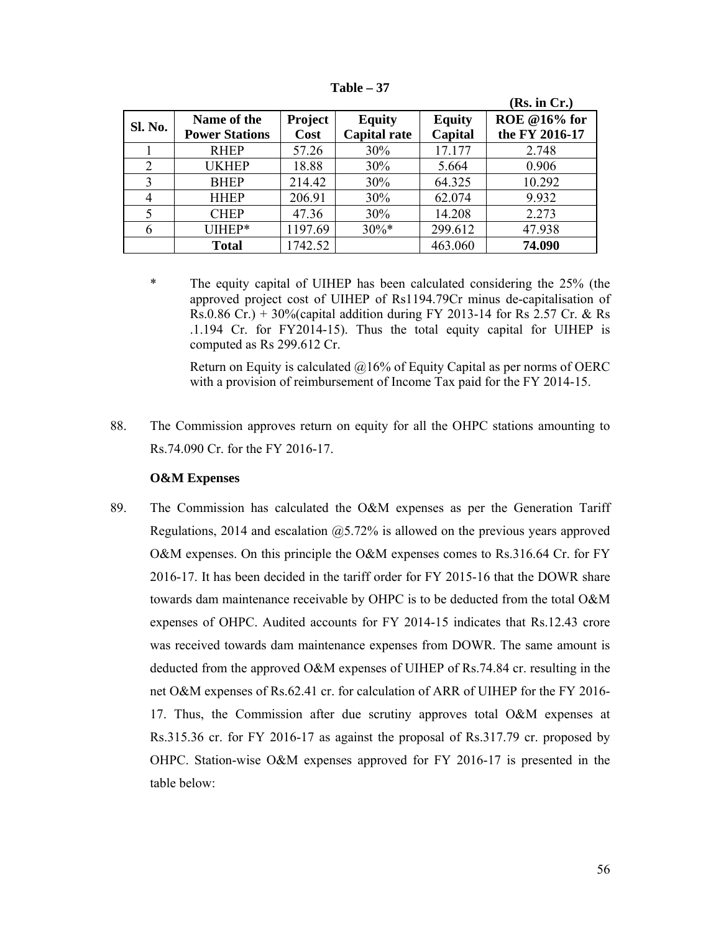|         |                       |         |                     |               | (Rs. in Cr.)        |
|---------|-----------------------|---------|---------------------|---------------|---------------------|
| Sl. No. | Name of the           | Project | <b>Equity</b>       | <b>Equity</b> | <b>ROE</b> @16% for |
|         | <b>Power Stations</b> | Cost    | <b>Capital rate</b> | Capital       | the FY 2016-17      |
|         | <b>RHEP</b>           | 57.26   | 30%                 | 17.177        | 2.748               |
| 2       | <b>UKHEP</b>          | 18.88   | 30%                 | 5.664         | 0.906               |
|         | <b>BHEP</b>           | 214.42  | 30%                 | 64.325        | 10.292              |
| 4       | <b>HHEP</b>           | 206.91  | 30%                 | 62.074        | 9.932               |
| 5       | <b>CHEP</b>           | 47.36   | 30%                 | 14.208        | 2.273               |
| 6       | UIHEP*                | 1197.69 | $30\%*$             | 299.612       | 47.938              |
|         | <b>Total</b>          | 1742.52 |                     | 463.060       | 74.090              |

**Table – 37** 

\* The equity capital of UIHEP has been calculated considering the 25% (the approved project cost of UIHEP of Rs1194.79Cr minus de-capitalisation of Rs.0.86 Cr.) + 30% (capital addition during FY 2013-14 for Rs 2.57 Cr. & Rs .1.194 Cr. for FY2014-15). Thus the total equity capital for UIHEP is computed as Rs 299.612 Cr.

Return on Equity is calculated  $@16%$  of Equity Capital as per norms of OERC with a provision of reimbursement of Income Tax paid for the FY 2014-15.

88. The Commission approves return on equity for all the OHPC stations amounting to Rs.74.090 Cr. for the FY 2016-17.

#### **O&M Expenses**

89. The Commission has calculated the O&M expenses as per the Generation Tariff Regulations, 2014 and escalation  $(20.5.72\%$  is allowed on the previous years approved O&M expenses. On this principle the O&M expenses comes to Rs.316.64 Cr. for FY 2016-17. It has been decided in the tariff order for FY 2015-16 that the DOWR share towards dam maintenance receivable by OHPC is to be deducted from the total O&M expenses of OHPC. Audited accounts for FY 2014-15 indicates that Rs.12.43 crore was received towards dam maintenance expenses from DOWR. The same amount is deducted from the approved O&M expenses of UIHEP of Rs.74.84 cr. resulting in the net O&M expenses of Rs.62.41 cr. for calculation of ARR of UIHEP for the FY 2016- 17. Thus, the Commission after due scrutiny approves total O&M expenses at Rs.315.36 cr. for FY 2016-17 as against the proposal of Rs.317.79 cr. proposed by OHPC. Station-wise O&M expenses approved for FY 2016-17 is presented in the table below: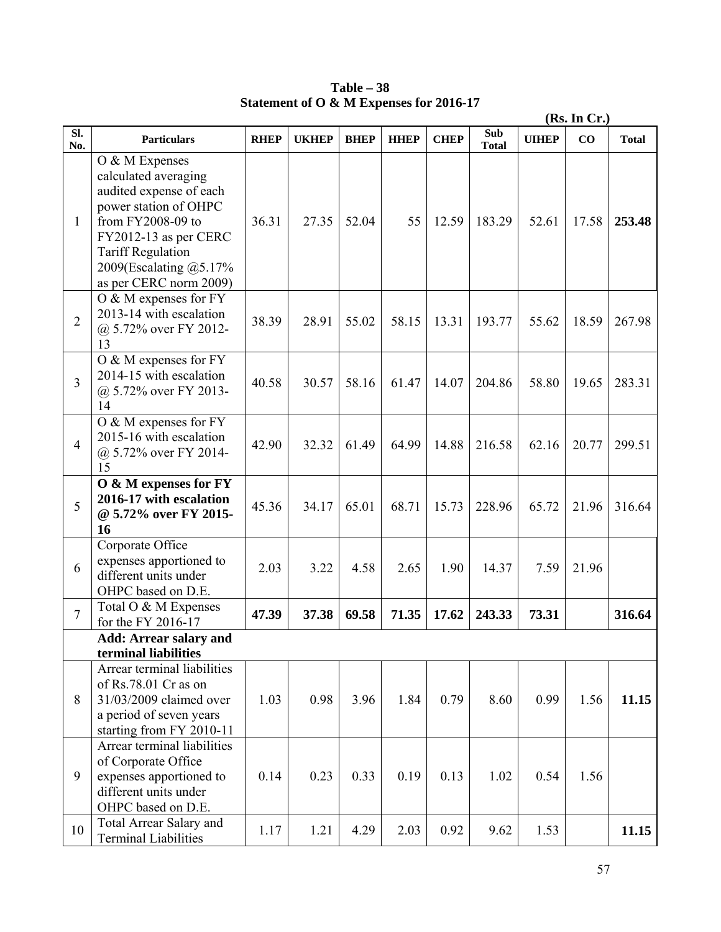**(Rs. In Cr.) Sl. No. Particulars RHEP** UKHEP **BHEP HHEP** CHEP **Sub** Total  $\begin{array}{c|c|c}\nSub & UHEP & CO & Total\n\end{array}$ 1 O & M Expenses calculated averaging audited expense of each power station of OHPC from FY2008-09 to FY2012-13 as per CERC Tariff Regulation 2009(Escalating @5.17% as per CERC norm 2009) 36.31 27.35 52.04 55 12.59 183.29 52.61 17.58 **253.48** 2 O & M expenses for FY 2013-14 with escalation @ 5.72% over FY 2012- 13 38.39 28.91 55.02 58.15 13.31 193.77 55.62 18.59 267.98 3 O & M expenses for FY 2014-15 with escalation @ 5.72% over FY 2013- 14 40.58 30.57 58.16 61.47 14.07 204.86 58.80 19.65 283.31 4 O & M expenses for FY 2015-16 with escalation @ 5.72% over FY 2014- 15 42.90 32.32 61.49 64.99 14.88 216.58 62.16 20.77 299.51 5 **O & M expenses for FY 2016-17 with escalation @ 5.72% over FY 2015- 16**  45.36 34.17 65.01 68.71 15.73 228.96 65.72 21.96 316.64 6 Corporate Office expenses apportioned to different units under OHPC based on D.E. 2.03 3.22 4.58 2.65 1.90 14.37 7.59 21.96  $7 \int \_0^{\infty} \text{Total O} \& M \xrightarrow{\sim} \text{Cov}(1, 7)$ for the FY 2016-17 **47.39 37.38 69.58 71.35 17.62 243.33 73.31 316.64 Add: Arrear salary and terminal liabilities**  8 Arrear terminal liabilities of Rs.78.01 Cr as on 31/03/2009 claimed over a period of seven years starting from FY 2010-11 1.03 0.98 3.96 1.84 0.79 8.60 0.99 1.56 **11.15** 9 Arrear terminal liabilities of Corporate Office expenses apportioned to different units under OHPC based on D.E. 0.14 | 0.23 | 0.33 | 0.19 | 0.13 | 1.02 | 0.54 | 1.56  $10$  Total Arrear Salary and Total African Salary and 1.17 1.21 4.29 2.03 0.92 9.62 1.53 11.15

**Table – 38 Statement of O & M Expenses for 2016-17**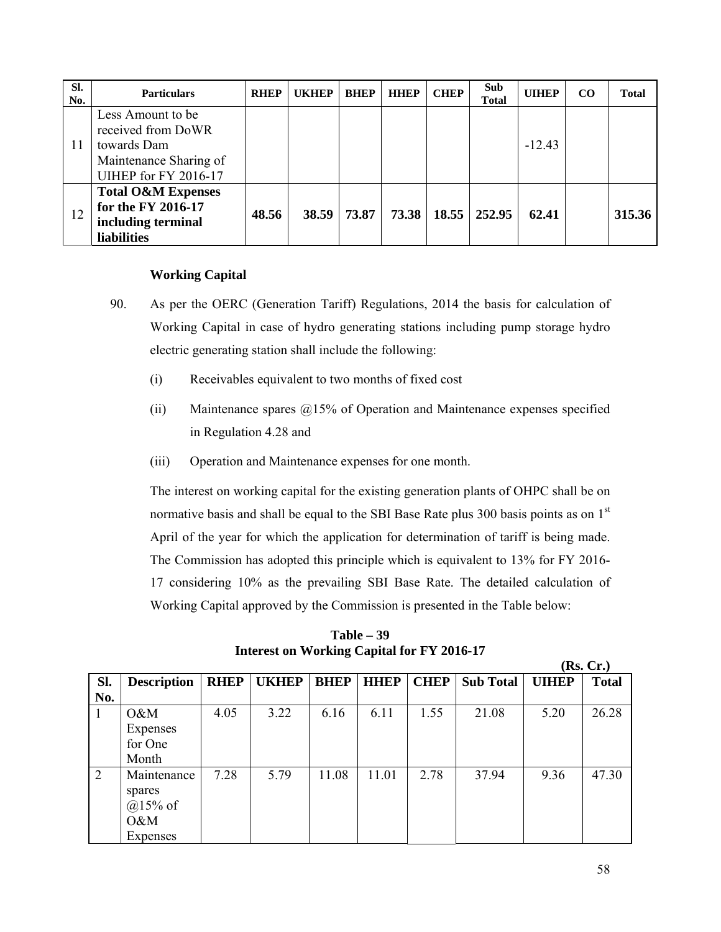| SI.<br>No. | <b>Particulars</b>                                                                                              | <b>RHEP</b> | <b>UKHEP</b> | <b>BHEP</b> | <b>HEEP</b> | <b>CHEP</b> | Sub<br>Total | <b>UIHEP</b> | $\bf CO$ | <b>Total</b> |
|------------|-----------------------------------------------------------------------------------------------------------------|-------------|--------------|-------------|-------------|-------------|--------------|--------------|----------|--------------|
| 11         | Less Amount to be<br>received from DoWR<br>towards Dam<br>Maintenance Sharing of<br><b>UIHEP for FY 2016-17</b> |             |              |             |             |             |              | $-12.43$     |          |              |
| 12         | <b>Total O&amp;M Expenses</b><br>for the FY 2016-17<br>including terminal<br><b>liabilities</b>                 | 48.56       | 38.59        | 73.87       | 73.38       | 18.55       | 252.95       | 62.41        |          | 315.36       |

## **Working Capital**

- 90. As per the OERC (Generation Tariff) Regulations, 2014 the basis for calculation of Working Capital in case of hydro generating stations including pump storage hydro electric generating station shall include the following:
	- (i) Receivables equivalent to two months of fixed cost
	- (ii) Maintenance spares  $\omega$ 15% of Operation and Maintenance expenses specified in Regulation 4.28 and
	- (iii) Operation and Maintenance expenses for one month.

The interest on working capital for the existing generation plants of OHPC shall be on normative basis and shall be equal to the SBI Base Rate plus 300 basis points as on 1<sup>st</sup> April of the year for which the application for determination of tariff is being made. The Commission has adopted this principle which is equivalent to 13% for FY 2016- 17 considering 10% as the prevailing SBI Base Rate. The detailed calculation of Working Capital approved by the Commission is presented in the Table below:

**Table – 39 Interest on Working Capital for FY 2016-17** 

|     |                    |             |              |             |             |             |                  |              | (Rs, Cr.)    |
|-----|--------------------|-------------|--------------|-------------|-------------|-------------|------------------|--------------|--------------|
| SI. | <b>Description</b> | <b>RHEP</b> | <b>UKHEP</b> | <b>BHEP</b> | <b>HHEP</b> | <b>CHEP</b> | <b>Sub Total</b> | <b>UIHEP</b> | <b>Total</b> |
| No. |                    |             |              |             |             |             |                  |              |              |
|     | $O\&M$             | 4.05        | 3.22         | 6.16        | 6.11        | 1.55        | 21.08            | 5.20         | 26.28        |
|     | Expenses           |             |              |             |             |             |                  |              |              |
|     | for One            |             |              |             |             |             |                  |              |              |
|     | Month              |             |              |             |             |             |                  |              |              |
| 2   | Maintenance        | 7.28        | 5.79         | 11.08       | 11.01       | 2.78        | 37.94            | 9.36         | 47.30        |
|     | spares             |             |              |             |             |             |                  |              |              |
|     | $@15\%$ of         |             |              |             |             |             |                  |              |              |
|     | O&M                |             |              |             |             |             |                  |              |              |
|     | Expenses           |             |              |             |             |             |                  |              |              |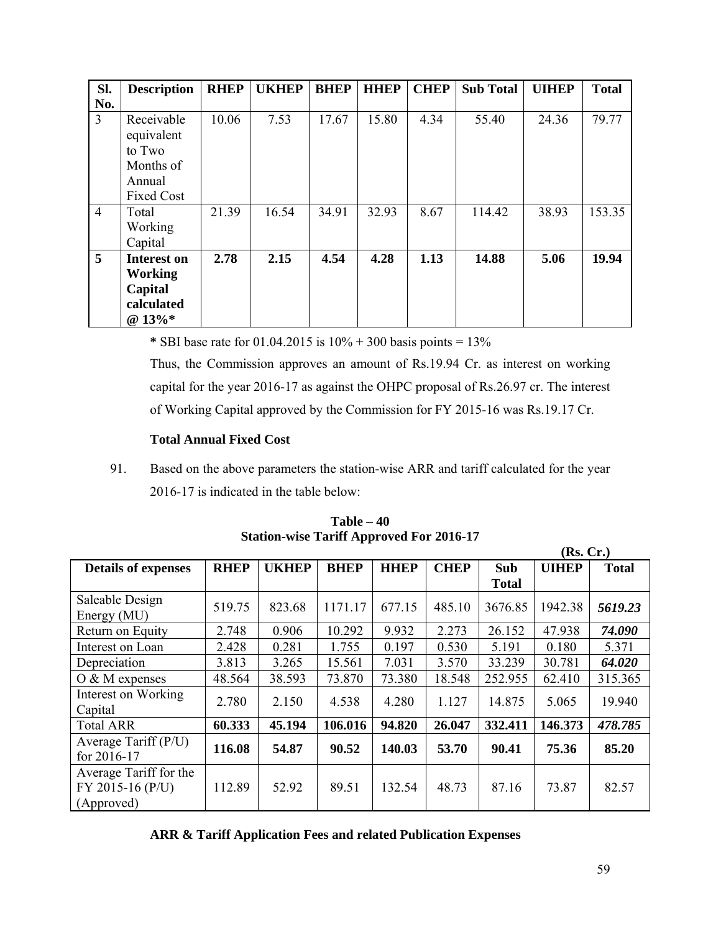| Sl.            | <b>Description</b> | <b>RHEP</b> | <b>UKHEP</b> | <b>BHEP</b> | <b>HHEP</b> | <b>CHEP</b> | <b>Sub Total</b> | <b>UIHEP</b> | <b>Total</b> |
|----------------|--------------------|-------------|--------------|-------------|-------------|-------------|------------------|--------------|--------------|
| No.            |                    |             |              |             |             |             |                  |              |              |
| $\overline{3}$ | Receivable         | 10.06       | 7.53         | 17.67       | 15.80       | 4.34        | 55.40            | 24.36        | 79.77        |
|                | equivalent         |             |              |             |             |             |                  |              |              |
|                | to Two             |             |              |             |             |             |                  |              |              |
|                | Months of          |             |              |             |             |             |                  |              |              |
|                | Annual             |             |              |             |             |             |                  |              |              |
|                | <b>Fixed Cost</b>  |             |              |             |             |             |                  |              |              |
| $\overline{4}$ | Total              | 21.39       | 16.54        | 34.91       | 32.93       | 8.67        | 114.42           | 38.93        | 153.35       |
|                | Working            |             |              |             |             |             |                  |              |              |
|                | Capital            |             |              |             |             |             |                  |              |              |
| 5              | <b>Interest on</b> | 2.78        | 2.15         | 4.54        | 4.28        | 1.13        | 14.88            | 5.06         | 19.94        |
|                | Working            |             |              |             |             |             |                  |              |              |
|                | Capital            |             |              |             |             |             |                  |              |              |
|                | calculated         |             |              |             |             |             |                  |              |              |
|                | @ 13%*             |             |              |             |             |             |                  |              |              |

 **\*** SBI base rate for 01.04.2015 is 10% + 300 basis points = 13%

Thus, the Commission approves an amount of Rs.19.94 Cr. as interest on working capital for the year 2016-17 as against the OHPC proposal of Rs.26.97 cr. The interest of Working Capital approved by the Commission for FY 2015-16 was Rs.19.17 Cr.

# **Total Annual Fixed Cost**

91. Based on the above parameters the station-wise ARR and tariff calculated for the year 2016-17 is indicated in the table below:

|                                                          |             |              |             |             |             |                     | (Rs, Cr.)    |              |  |
|----------------------------------------------------------|-------------|--------------|-------------|-------------|-------------|---------------------|--------------|--------------|--|
| <b>Details of expenses</b>                               | <b>RHEP</b> | <b>UKHEP</b> | <b>BHEP</b> | <b>HHEP</b> | <b>CHEP</b> | Sub<br><b>Total</b> | <b>UIHEP</b> | <b>Total</b> |  |
| Saleable Design<br>Energy (MU)                           | 519.75      | 823.68       | 1171.17     | 677.15      | 485.10      | 3676.85             | 1942.38      | 5619.23      |  |
| Return on Equity                                         | 2.748       | 0.906        | 10.292      | 9.932       | 2.273       | 26.152              | 47.938       | 74.090       |  |
| Interest on Loan                                         | 2.428       | 0.281        | 1.755       | 0.197       | 0.530       | 5.191               | 0.180        | 5.371        |  |
| Depreciation                                             | 3.813       | 3.265        | 15.561      | 7.031       | 3.570       | 33.239              | 30.781       | 64.020       |  |
| $O & M$ expenses                                         | 48.564      | 38.593       | 73.870      | 73.380      | 18.548      | 252.955             | 62.410       | 315.365      |  |
| Interest on Working<br>Capital                           | 2.780       | 2.150        | 4.538       | 4.280       | 1.127       | 14.875              | 5.065        | 19.940       |  |
| <b>Total ARR</b>                                         | 60.333      | 45.194       | 106.016     | 94.820      | 26.047      | 332.411             | 146.373      | 478.785      |  |
| Average Tariff (P/U)<br>for 2016-17                      | 116.08      | 54.87        | 90.52       | 140.03      | 53.70       | 90.41               | 75.36        | 85.20        |  |
| Average Tariff for the<br>FY 2015-16 (P/U)<br>(Approved) | 112.89      | 52.92        | 89.51       | 132.54      | 48.73       | 87.16               | 73.87        | 82.57        |  |

**Table – 40 Station-wise Tariff Approved For 2016-17** 

**ARR & Tariff Application Fees and related Publication Expenses**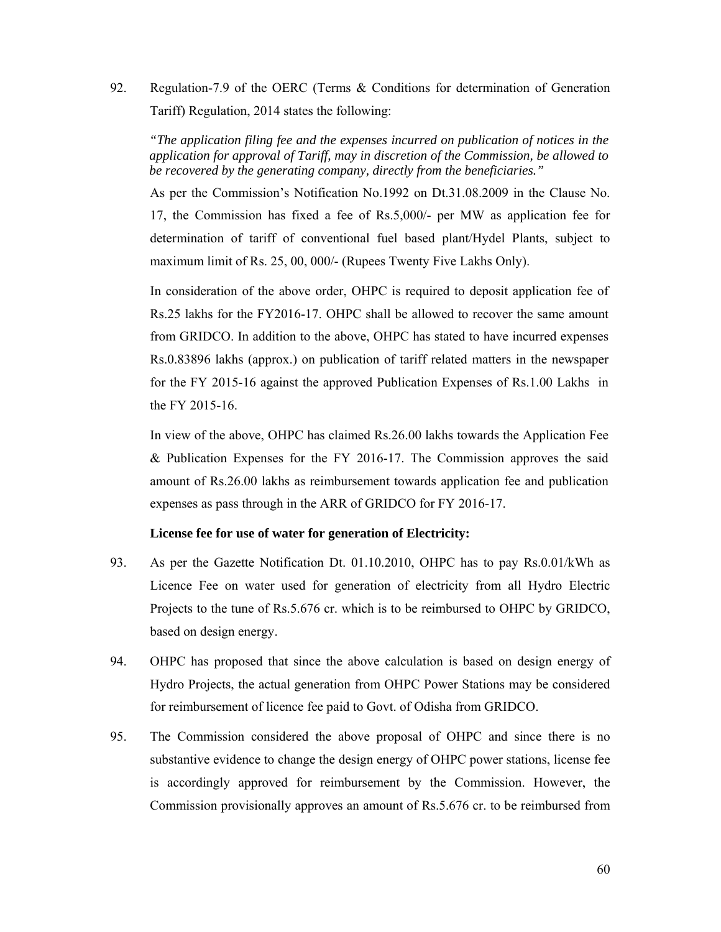92. Regulation-7.9 of the OERC (Terms & Conditions for determination of Generation Tariff) Regulation, 2014 states the following:

*"The application filing fee and the expenses incurred on publication of notices in the application for approval of Tariff, may in discretion of the Commission, be allowed to be recovered by the generating company, directly from the beneficiaries."* 

As per the Commission's Notification No.1992 on Dt.31.08.2009 in the Clause No. 17, the Commission has fixed a fee of Rs.5,000/- per MW as application fee for determination of tariff of conventional fuel based plant/Hydel Plants, subject to maximum limit of Rs. 25, 00, 000/- (Rupees Twenty Five Lakhs Only).

In consideration of the above order, OHPC is required to deposit application fee of Rs.25 lakhs for the FY2016-17. OHPC shall be allowed to recover the same amount from GRIDCO. In addition to the above, OHPC has stated to have incurred expenses Rs.0.83896 lakhs (approx.) on publication of tariff related matters in the newspaper for the FY 2015-16 against the approved Publication Expenses of Rs.1.00 Lakhs in the FY 2015-16.

In view of the above, OHPC has claimed Rs.26.00 lakhs towards the Application Fee & Publication Expenses for the FY 2016-17. The Commission approves the said amount of Rs.26.00 lakhs as reimbursement towards application fee and publication expenses as pass through in the ARR of GRIDCO for FY 2016-17.

## **License fee for use of water for generation of Electricity:**

- 93. As per the Gazette Notification Dt. 01.10.2010, OHPC has to pay Rs.0.01/kWh as Licence Fee on water used for generation of electricity from all Hydro Electric Projects to the tune of Rs.5.676 cr. which is to be reimbursed to OHPC by GRIDCO, based on design energy.
- 94. OHPC has proposed that since the above calculation is based on design energy of Hydro Projects, the actual generation from OHPC Power Stations may be considered for reimbursement of licence fee paid to Govt. of Odisha from GRIDCO.
- 95. The Commission considered the above proposal of OHPC and since there is no substantive evidence to change the design energy of OHPC power stations, license fee is accordingly approved for reimbursement by the Commission. However, the Commission provisionally approves an amount of Rs.5.676 cr. to be reimbursed from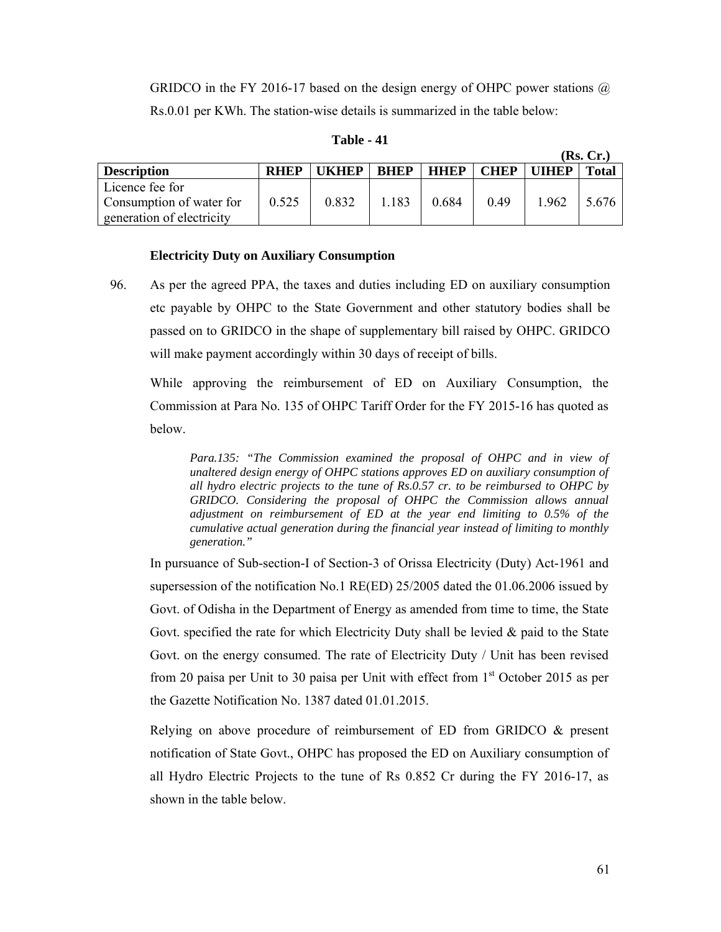GRIDCO in the FY 2016-17 based on the design energy of OHPC power stations  $\omega$ Rs.0.01 per KWh. The station-wise details is summarized in the table below:

#### **Table - 41**

|                           |             |              |             |             |             |              | (Rs. Cr.)    |
|---------------------------|-------------|--------------|-------------|-------------|-------------|--------------|--------------|
| <b>Description</b>        | <b>RHEP</b> | <b>TKHEP</b> | <b>RHEP</b> | <b>HHEP</b> | <b>CHEP</b> | <b>UIHEP</b> | <b>Total</b> |
| Licence fee for           |             |              |             |             |             |              |              |
| Consumption of water for  | 0.525       | 0.832        | 1 183       | 0.684       | 0.49        | 1 962        | 5.676        |
| generation of electricity |             |              |             |             |             |              |              |

#### **Electricity Duty on Auxiliary Consumption**

96. As per the agreed PPA, the taxes and duties including ED on auxiliary consumption etc payable by OHPC to the State Government and other statutory bodies shall be passed on to GRIDCO in the shape of supplementary bill raised by OHPC. GRIDCO will make payment accordingly within 30 days of receipt of bills.

While approving the reimbursement of ED on Auxiliary Consumption, the Commission at Para No. 135 of OHPC Tariff Order for the FY 2015-16 has quoted as below.

*Para.135: "The Commission examined the proposal of OHPC and in view of unaltered design energy of OHPC stations approves ED on auxiliary consumption of all hydro electric projects to the tune of Rs.0.57 cr. to be reimbursed to OHPC by GRIDCO. Considering the proposal of OHPC the Commission allows annual adjustment on reimbursement of ED at the year end limiting to 0.5% of the cumulative actual generation during the financial year instead of limiting to monthly generation."* 

In pursuance of Sub-section-I of Section-3 of Orissa Electricity (Duty) Act-1961 and supersession of the notification No.1 RE(ED) 25/2005 dated the 01.06.2006 issued by Govt. of Odisha in the Department of Energy as amended from time to time, the State Govt. specified the rate for which Electricity Duty shall be levied  $\&$  paid to the State Govt. on the energy consumed. The rate of Electricity Duty / Unit has been revised from 20 paisa per Unit to 30 paisa per Unit with effect from  $1<sup>st</sup>$  October 2015 as per the Gazette Notification No. 1387 dated 01.01.2015.

Relying on above procedure of reimbursement of ED from GRIDCO & present notification of State Govt., OHPC has proposed the ED on Auxiliary consumption of all Hydro Electric Projects to the tune of Rs 0.852 Cr during the FY 2016-17, as shown in the table below.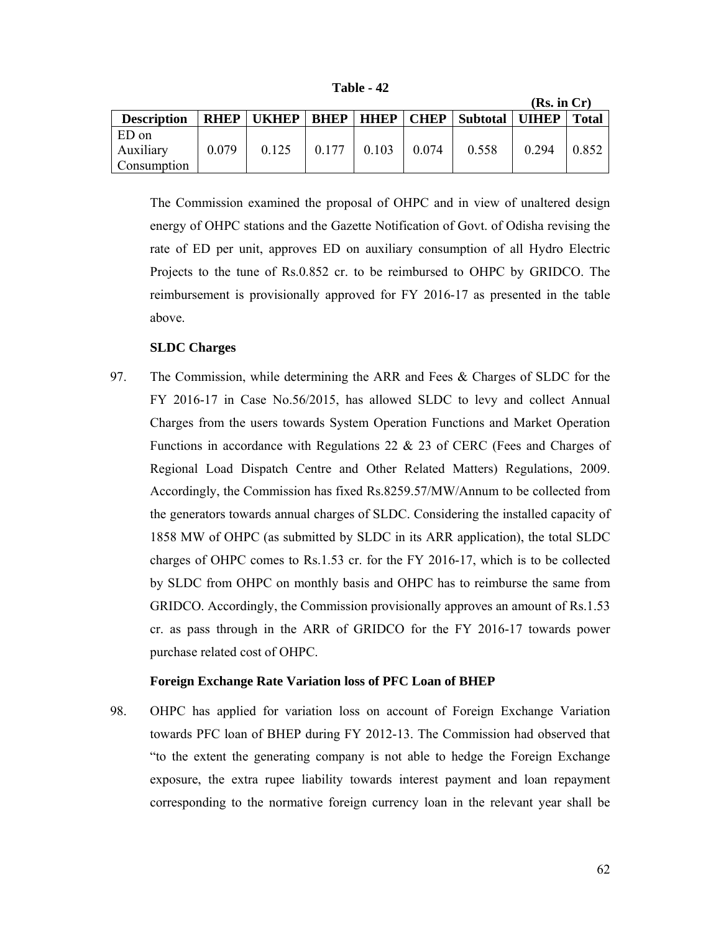**Table - 42** 

|                                          |             |                     |       |       |             |                  | $(KS, III \cup I)$ |              |
|------------------------------------------|-------------|---------------------|-------|-------|-------------|------------------|--------------------|--------------|
| <b>Description</b>                       | <b>RHEP</b> | UKHEP   BHEP   HHEP |       |       | <b>CHEP</b> | Subtotal   UIHEP |                    | <b>Total</b> |
| ED on<br>Auxiliary<br><b>Consumption</b> | 0.079       | 0.125               | 0.177 | 0.103 | 0.074       | 0.558            | 0.294              | 0.852        |

The Commission examined the proposal of OHPC and in view of unaltered design energy of OHPC stations and the Gazette Notification of Govt. of Odisha revising the rate of ED per unit, approves ED on auxiliary consumption of all Hydro Electric Projects to the tune of Rs.0.852 cr. to be reimbursed to OHPC by GRIDCO. The reimbursement is provisionally approved for FY 2016-17 as presented in the table above.

#### **SLDC Charges**

97. The Commission, while determining the ARR and Fees & Charges of SLDC for the FY 2016-17 in Case No.56/2015, has allowed SLDC to levy and collect Annual Charges from the users towards System Operation Functions and Market Operation Functions in accordance with Regulations 22 & 23 of CERC (Fees and Charges of Regional Load Dispatch Centre and Other Related Matters) Regulations, 2009. Accordingly, the Commission has fixed Rs.8259.57/MW/Annum to be collected from the generators towards annual charges of SLDC. Considering the installed capacity of 1858 MW of OHPC (as submitted by SLDC in its ARR application), the total SLDC charges of OHPC comes to Rs.1.53 cr. for the FY 2016-17, which is to be collected by SLDC from OHPC on monthly basis and OHPC has to reimburse the same from GRIDCO. Accordingly, the Commission provisionally approves an amount of Rs.1.53 cr. as pass through in the ARR of GRIDCO for the FY 2016-17 towards power purchase related cost of OHPC.

#### **Foreign Exchange Rate Variation loss of PFC Loan of BHEP**

98. OHPC has applied for variation loss on account of Foreign Exchange Variation towards PFC loan of BHEP during FY 2012-13. The Commission had observed that "to the extent the generating company is not able to hedge the Foreign Exchange exposure, the extra rupee liability towards interest payment and loan repayment corresponding to the normative foreign currency loan in the relevant year shall be

 $(\mathbf{D}_\alpha, \mathbf{L}_\alpha, \mathbf{C}_\alpha)$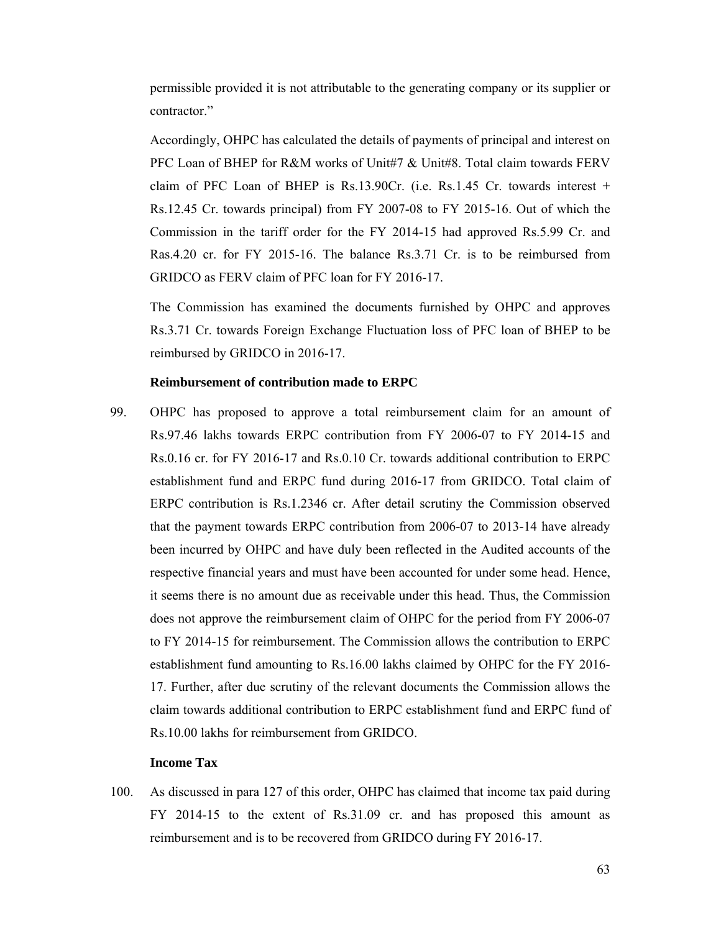permissible provided it is not attributable to the generating company or its supplier or contractor."

Accordingly, OHPC has calculated the details of payments of principal and interest on PFC Loan of BHEP for R&M works of Unit#7 & Unit#8. Total claim towards FERV claim of PFC Loan of BHEP is Rs.13.90Cr. (i.e. Rs.1.45 Cr. towards interest  $+$ Rs.12.45 Cr. towards principal) from FY 2007-08 to FY 2015-16. Out of which the Commission in the tariff order for the FY 2014-15 had approved Rs.5.99 Cr. and Ras.4.20 cr. for FY 2015-16. The balance Rs.3.71 Cr. is to be reimbursed from GRIDCO as FERV claim of PFC loan for FY 2016-17.

 The Commission has examined the documents furnished by OHPC and approves Rs.3.71 Cr. towards Foreign Exchange Fluctuation loss of PFC loan of BHEP to be reimbursed by GRIDCO in 2016-17.

## **Reimbursement of contribution made to ERPC**

99. OHPC has proposed to approve a total reimbursement claim for an amount of Rs.97.46 lakhs towards ERPC contribution from FY 2006-07 to FY 2014-15 and Rs.0.16 cr. for FY 2016-17 and Rs.0.10 Cr. towards additional contribution to ERPC establishment fund and ERPC fund during 2016-17 from GRIDCO. Total claim of ERPC contribution is Rs.1.2346 cr. After detail scrutiny the Commission observed that the payment towards ERPC contribution from 2006-07 to 2013-14 have already been incurred by OHPC and have duly been reflected in the Audited accounts of the respective financial years and must have been accounted for under some head. Hence, it seems there is no amount due as receivable under this head. Thus, the Commission does not approve the reimbursement claim of OHPC for the period from FY 2006-07 to FY 2014-15 for reimbursement. The Commission allows the contribution to ERPC establishment fund amounting to Rs.16.00 lakhs claimed by OHPC for the FY 2016- 17. Further, after due scrutiny of the relevant documents the Commission allows the claim towards additional contribution to ERPC establishment fund and ERPC fund of Rs.10.00 lakhs for reimbursement from GRIDCO.

#### **Income Tax**

100. As discussed in para 127 of this order, OHPC has claimed that income tax paid during FY 2014-15 to the extent of Rs.31.09 cr. and has proposed this amount as reimbursement and is to be recovered from GRIDCO during FY 2016-17.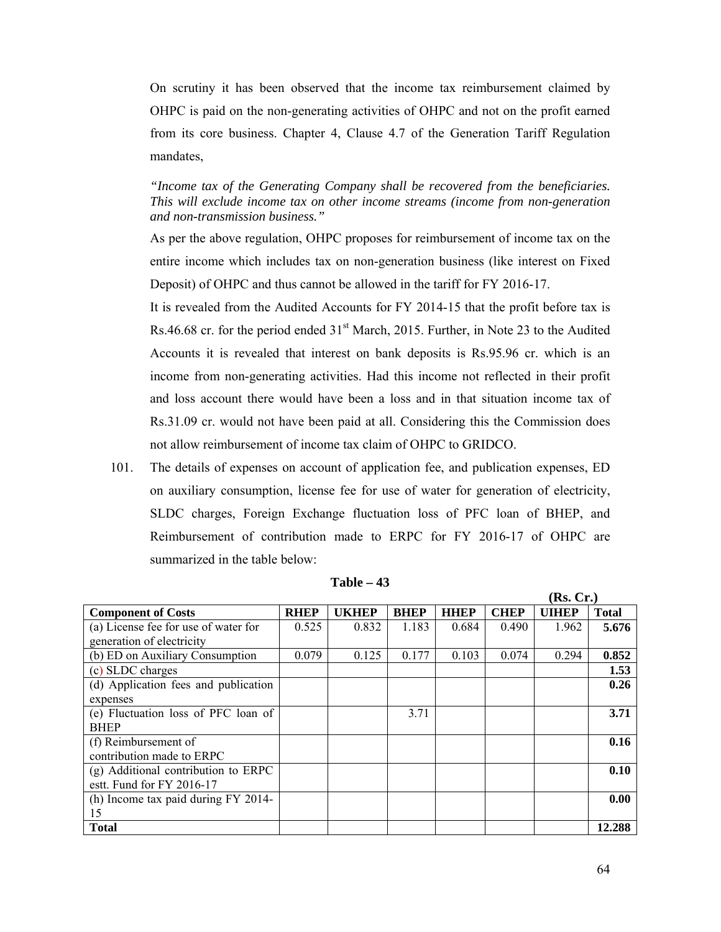On scrutiny it has been observed that the income tax reimbursement claimed by OHPC is paid on the non-generating activities of OHPC and not on the profit earned from its core business. Chapter 4, Clause 4.7 of the Generation Tariff Regulation mandates,

*"Income tax of the Generating Company shall be recovered from the beneficiaries. This will exclude income tax on other income streams (income from non-generation and non-transmission business."* 

As per the above regulation, OHPC proposes for reimbursement of income tax on the entire income which includes tax on non-generation business (like interest on Fixed Deposit) of OHPC and thus cannot be allowed in the tariff for FY 2016-17.

It is revealed from the Audited Accounts for FY 2014-15 that the profit before tax is Rs.46.68 cr. for the period ended  $31<sup>st</sup>$  March, 2015. Further, in Note 23 to the Audited Accounts it is revealed that interest on bank deposits is Rs.95.96 cr. which is an income from non-generating activities. Had this income not reflected in their profit and loss account there would have been a loss and in that situation income tax of Rs.31.09 cr. would not have been paid at all. Considering this the Commission does not allow reimbursement of income tax claim of OHPC to GRIDCO.

101. The details of expenses on account of application fee, and publication expenses, ED on auxiliary consumption, license fee for use of water for generation of electricity, SLDC charges, Foreign Exchange fluctuation loss of PFC loan of BHEP, and Reimbursement of contribution made to ERPC for FY 2016-17 of OHPC are summarized in the table below:

|                                      |             |              |             |             |             | (Rs, Cr.) |              |
|--------------------------------------|-------------|--------------|-------------|-------------|-------------|-----------|--------------|
| <b>Component of Costs</b>            | <b>RHEP</b> | <b>UKHEP</b> | <b>BHEP</b> | <b>HHEP</b> | <b>CHEP</b> | UIHEP     | <b>Total</b> |
| (a) License fee for use of water for | 0.525       | 0.832        | 1.183       | 0.684       | 0.490       | 1.962     | 5.676        |
| generation of electricity            |             |              |             |             |             |           |              |
| (b) ED on Auxiliary Consumption      | 0.079       | 0.125        | 0.177       | 0.103       | 0.074       | 0.294     | 0.852        |
| (c) SLDC charges                     |             |              |             |             |             |           | 1.53         |
| (d) Application fees and publication |             |              |             |             |             |           | 0.26         |
| expenses                             |             |              |             |             |             |           |              |
| (e) Fluctuation loss of PFC loan of  |             |              | 3.71        |             |             |           | 3.71         |
| <b>BHEP</b>                          |             |              |             |             |             |           |              |
| (f) Reimbursement of                 |             |              |             |             |             |           | 0.16         |
| contribution made to ERPC            |             |              |             |             |             |           |              |
| (g) Additional contribution to ERPC  |             |              |             |             |             |           | 0.10         |
| estt. Fund for FY 2016-17            |             |              |             |             |             |           |              |
| (h) Income tax paid during FY 2014-  |             |              |             |             |             |           | 0.00         |
| 15                                   |             |              |             |             |             |           |              |
| <b>Total</b>                         |             |              |             |             |             |           | 12.288       |

**Table – 43**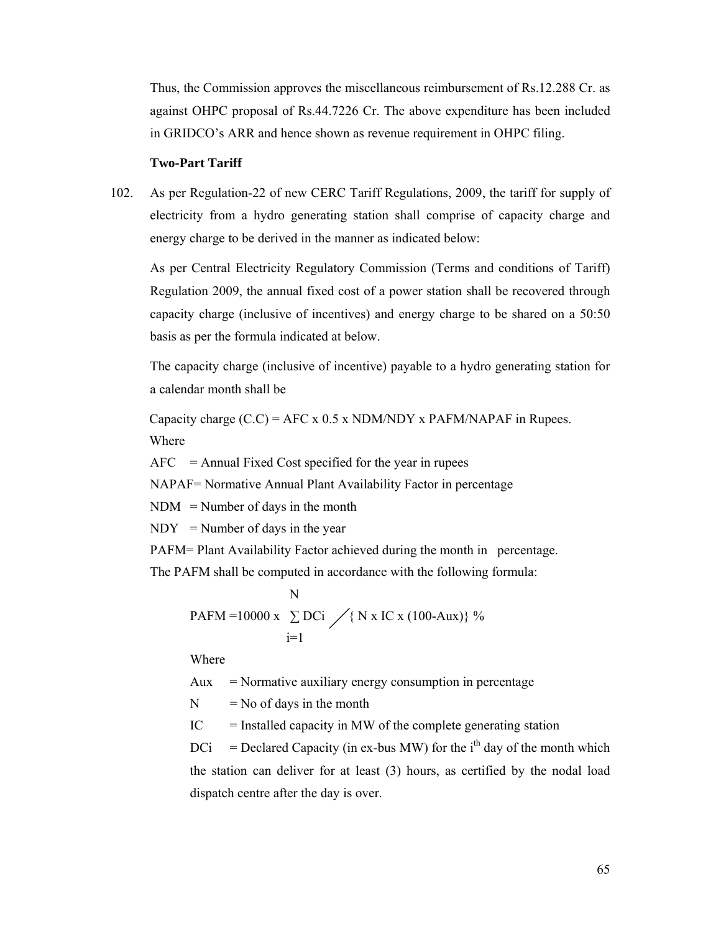Thus, the Commission approves the miscellaneous reimbursement of Rs.12.288 Cr. as against OHPC proposal of Rs.44.7226 Cr. The above expenditure has been included in GRIDCO's ARR and hence shown as revenue requirement in OHPC filing.

#### **Two-Part Tariff**

102. As per Regulation-22 of new CERC Tariff Regulations, 2009, the tariff for supply of electricity from a hydro generating station shall comprise of capacity charge and energy charge to be derived in the manner as indicated below:

As per Central Electricity Regulatory Commission (Terms and conditions of Tariff) Regulation 2009, the annual fixed cost of a power station shall be recovered through capacity charge (inclusive of incentives) and energy charge to be shared on a 50:50 basis as per the formula indicated at below.

The capacity charge (inclusive of incentive) payable to a hydro generating station for a calendar month shall be

Capacity charge  $(C.C) = AFC \times 0.5 \times NDM/NDY \times PAFM/NAPAF$  in Rupees. Where

 $AFC = Annual Fixed Cost specified for the year in rupees$ 

NAPAF= Normative Annual Plant Availability Factor in percentage

 $NDM = Number of days in the month$ 

 $NDY = Number of days in the year$ 

PAFM= Plant Availability Factor achieved during the month in percentage.

The PAFM shall be computed in accordance with the following formula:

$$
N
$$
  
PAFM = 10000 x  $\sum$  DCi  $/$  { N x IC x (100-Aux)} %  
i=1

Where

 $Aux = \text{Normative auxiliary energy consumption in percentage}$ 

 $N = No$  of days in the month

 $IC =$  Installed capacity in MW of the complete generating station

 $DCi = Declared Capacity (in ex-bus MW) for the i<sup>th</sup> day of the month which$ the station can deliver for at least (3) hours, as certified by the nodal load dispatch centre after the day is over.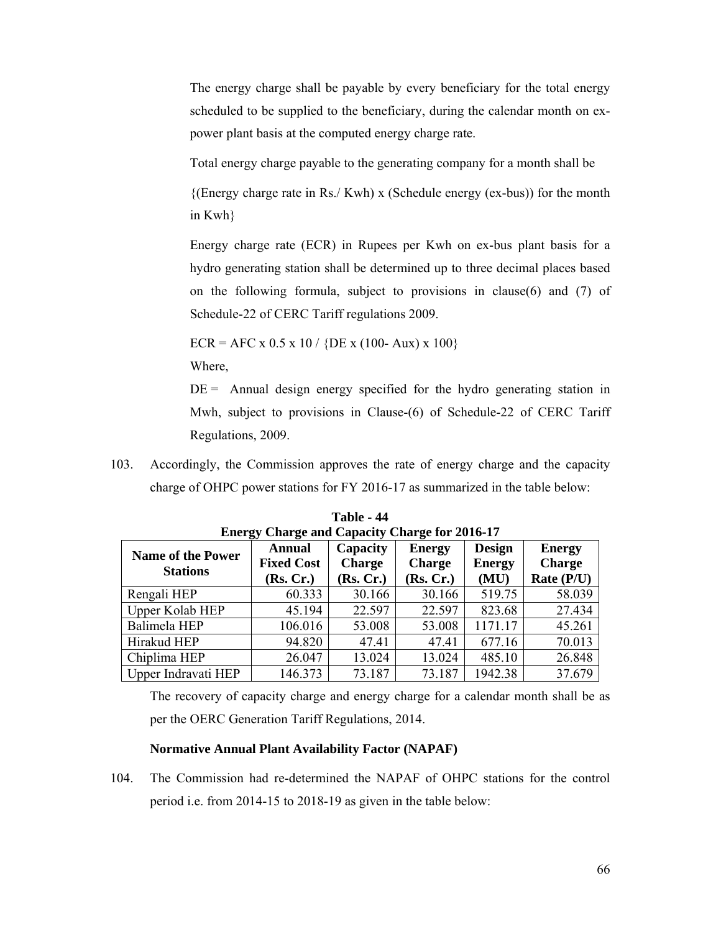The energy charge shall be payable by every beneficiary for the total energy scheduled to be supplied to the beneficiary, during the calendar month on expower plant basis at the computed energy charge rate.

Total energy charge payable to the generating company for a month shall be

{(Energy charge rate in Rs./ Kwh) x (Schedule energy (ex-bus)) for the month in Kwh}

Energy charge rate (ECR) in Rupees per Kwh on ex-bus plant basis for a hydro generating station shall be determined up to three decimal places based on the following formula, subject to provisions in clause(6) and (7) of Schedule-22 of CERC Tariff regulations 2009.

 $ECR = AFC \times 0.5 \times 10 / \{DE \times (100 - Aux) \times 100\}$ 

Where,

 $DE =$  Annual design energy specified for the hydro generating station in Mwh, subject to provisions in Clause-(6) of Schedule-22 of CERC Tariff Regulations, 2009.

103. Accordingly, the Commission approves the rate of energy charge and the capacity charge of OHPC power stations for FY 2016-17 as summarized in the table below:

| <b>Energy Charge and Capacity Charge for 2016-17</b> |                   |               |               |               |               |  |  |  |  |
|------------------------------------------------------|-------------------|---------------|---------------|---------------|---------------|--|--|--|--|
| <b>Name of the Power</b>                             | <b>Annual</b>     | Capacity      | <b>Energy</b> | <b>Design</b> | <b>Energy</b> |  |  |  |  |
| <b>Stations</b>                                      | <b>Fixed Cost</b> | <b>Charge</b> | <b>Charge</b> | <b>Energy</b> | <b>Charge</b> |  |  |  |  |
|                                                      | (Rs, Cr.)         | (Rs, Cr.)     | (Rs, Cr.)     | (MU)          | Rate (P/U)    |  |  |  |  |
| Rengali HEP                                          | 60.333            | 30.166        | 30.166        | 519.75        | 58.039        |  |  |  |  |
| Upper Kolab HEP                                      | 45.194            | 22.597        | 22.597        | 823.68        | 27.434        |  |  |  |  |
| Balimela HEP                                         | 106.016           | 53.008        | 53.008        | 1171.17       | 45.261        |  |  |  |  |
| Hirakud HEP                                          | 94.820            | 47.41         | 47.41         | 677.16        | 70.013        |  |  |  |  |
| Chiplima HEP                                         | 26.047            | 13.024        | 13.024        | 485.10        | 26.848        |  |  |  |  |
| Upper Indravati HEP                                  | 146.373           | 73.187        | 73.187        | 1942.38       | 37.679        |  |  |  |  |

**Table - 44 Energy Charge and Capacity Charge for 2016-17** 

The recovery of capacity charge and energy charge for a calendar month shall be as per the OERC Generation Tariff Regulations, 2014.

#### **Normative Annual Plant Availability Factor (NAPAF)**

104. The Commission had re-determined the NAPAF of OHPC stations for the control period i.e. from 2014-15 to 2018-19 as given in the table below: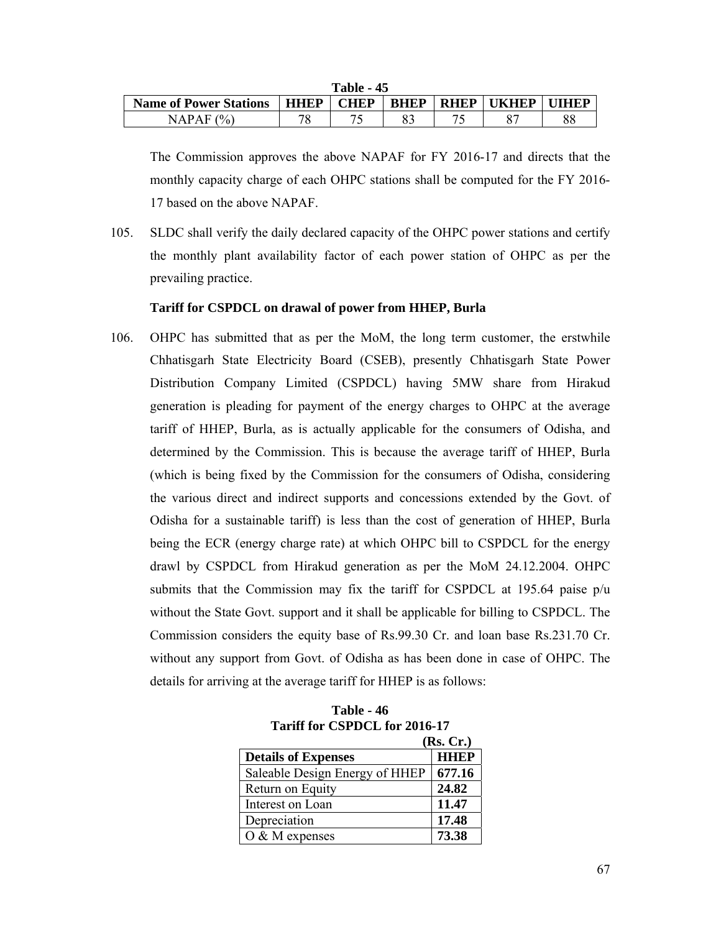| 1 able - 45                   |             |      |             |             |              |    |  |  |
|-------------------------------|-------------|------|-------------|-------------|--------------|----|--|--|
| <b>Name of Power Stations</b> | <b>HHEP</b> | CHEP | <b>BHEP</b> | <b>RHEP</b> | <b>TKHEP</b> |    |  |  |
| $\frac{10}{6}$<br>NAPAF       | ¬റ          | –    | O.          |             |              | 88 |  |  |

**Table - 45** 

The Commission approves the above NAPAF for FY 2016-17 and directs that the

monthly capacity charge of each OHPC stations shall be computed for the FY 2016- 17 based on the above NAPAF.

105. SLDC shall verify the daily declared capacity of the OHPC power stations and certify the monthly plant availability factor of each power station of OHPC as per the prevailing practice.

# **Tariff for CSPDCL on drawal of power from HHEP, Burla**

106. OHPC has submitted that as per the MoM, the long term customer, the erstwhile Chhatisgarh State Electricity Board (CSEB), presently Chhatisgarh State Power Distribution Company Limited (CSPDCL) having 5MW share from Hirakud generation is pleading for payment of the energy charges to OHPC at the average tariff of HHEP, Burla, as is actually applicable for the consumers of Odisha, and determined by the Commission. This is because the average tariff of HHEP, Burla (which is being fixed by the Commission for the consumers of Odisha, considering the various direct and indirect supports and concessions extended by the Govt. of Odisha for a sustainable tariff) is less than the cost of generation of HHEP, Burla being the ECR (energy charge rate) at which OHPC bill to CSPDCL for the energy drawl by CSPDCL from Hirakud generation as per the MoM 24.12.2004. OHPC submits that the Commission may fix the tariff for CSPDCL at 195.64 paise  $p/u$ without the State Govt. support and it shall be applicable for billing to CSPDCL. The Commission considers the equity base of Rs.99.30 Cr. and loan base Rs.231.70 Cr. without any support from Govt. of Odisha as has been done in case of OHPC. The details for arriving at the average tariff for HHEP is as follows:

|                               | Table - 46 |  |
|-------------------------------|------------|--|
| Tariff for CSPDCL for 2016-17 |            |  |

|                                | (Rs, Cr.)   |
|--------------------------------|-------------|
| <b>Details of Expenses</b>     | <b>HHEP</b> |
| Saleable Design Energy of HHEP | 677.16      |
| Return on Equity               | 24.82       |
| Interest on Loan               | 11.47       |
| Depreciation                   | 17.48       |
| $O & M$ expenses               | 73.38       |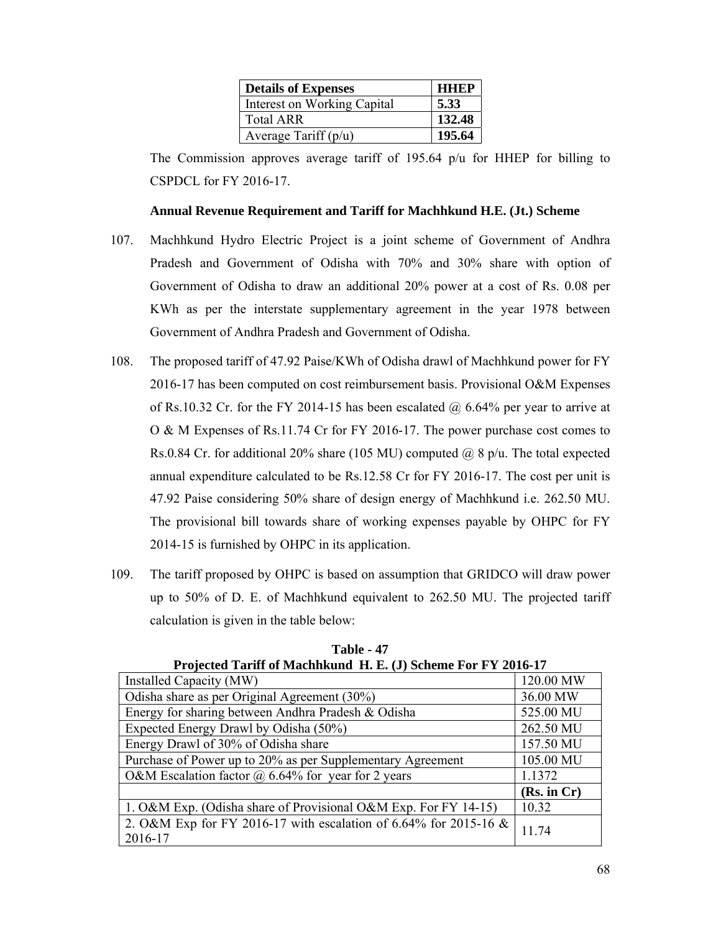| <b>Details of Expenses</b>  | <b>HHEP</b> |
|-----------------------------|-------------|
| Interest on Working Capital | 5.33        |
| <b>Total ARR</b>            | 132.48      |
| Average Tariff $(p/u)$      | 195.64      |

The Commission approves average tariff of 195.64  $p/u$  for HHEP for billing to CSPDCL for FY 2016-17.

## **Annual Revenue Requirement and Tariff for Machhkund H.E. (Jt.) Scheme**

- 107. Machhkund Hydro Electric Project is a joint scheme of Government of Andhra Pradesh and Government of Odisha with 70% and 30% share with option of Government of Odisha to draw an additional 20% power at a cost of Rs. 0.08 per KWh as per the interstate supplementary agreement in the year 1978 between Government of Andhra Pradesh and Government of Odisha.
- 108. The proposed tariff of 47.92 Paise/KWh of Odisha drawl of Machhkund power for FY 2016-17 has been computed on cost reimbursement basis. Provisional O&M Expenses of Rs.10.32 Cr. for the FY 2014-15 has been escalated  $\omega$  6.64% per year to arrive at O & M Expenses of Rs.11.74 Cr for FY 2016-17. The power purchase cost comes to Rs.0.84 Cr. for additional 20% share (105 MU) computed  $\omega$  8 p/u. The total expected annual expenditure calculated to be Rs.12.58 Cr for FY 2016-17. The cost per unit is 47.92 Paise considering 50% share of design energy of Machhkund i.e. 262.50 MU. The provisional bill towards share of working expenses payable by OHPC for FY 2014-15 is furnished by OHPC in its application.
- 109. The tariff proposed by OHPC is based on assumption that GRIDCO will draw power up to 50% of D. E. of Machhkund equivalent to 262.50 MU. The projected tariff calculation is given in the table below:

| I rejected Tariil of Machineum II. E. (J) Scheme For FT 2010-17             |             |
|-----------------------------------------------------------------------------|-------------|
| Installed Capacity (MW)                                                     | 120.00 MW   |
| Odisha share as per Original Agreement (30%)                                | 36.00 MW    |
| Energy for sharing between Andhra Pradesh & Odisha                          | 525.00 MU   |
| Expected Energy Drawl by Odisha (50%)                                       | 262.50 MU   |
| Energy Drawl of 30% of Odisha share                                         | 157.50 MU   |
| Purchase of Power up to 20% as per Supplementary Agreement                  | 105.00 MU   |
| O&M Escalation factor $\omega$ 6.64% for year for 2 years                   | 1.1372      |
|                                                                             | (Rs. in Cr) |
| 1. O&M Exp. (Odisha share of Provisional O&M Exp. For FY 14-15)             | 10.32       |
| 2. O&M Exp for FY 2016-17 with escalation of 6.64% for 2015-16 &<br>2016-17 | 11.74       |

**Table - 47 Projected Tariff of Machhkund H. E. (J) Scheme For FY 2016-17**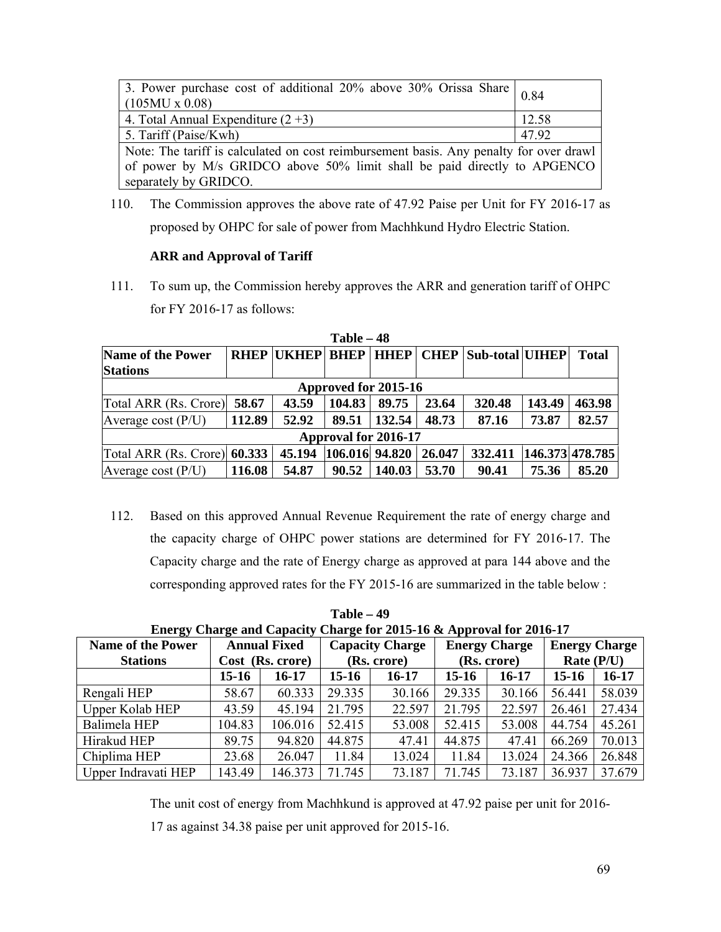| 3. Power purchase cost of additional 20% above 30% Orissa Share $\vert_{0.84}$<br>$(105MU \times 0.08)$ |       |
|---------------------------------------------------------------------------------------------------------|-------|
| 4. Total Annual Expenditure $(2+3)$                                                                     | 12.58 |
| 5. Tariff (Paise/Kwh)                                                                                   | 47.92 |
| Note: The tariff is calculated on cost reimbursement basis. Any penalty for over drawl                  |       |
| of power by M/s GRIDCO above 50% limit shall be paid directly to APGENCO                                |       |
| separately by GRIDCO.                                                                                   |       |

110. The Commission approves the above rate of 47.92 Paise per Unit for FY 2016-17 as proposed by OHPC for sale of power from Machhkund Hydro Electric Station.

# **ARR and Approval of Tariff**

111. To sum up, the Commission hereby approves the ARR and generation tariff of OHPC for FY 2016-17 as follows:

|                                                     |        |        | $1$ and $-$ 70       |        |        |                                                            |        |                 |
|-----------------------------------------------------|--------|--------|----------------------|--------|--------|------------------------------------------------------------|--------|-----------------|
| <b>Name of the Power</b>                            |        |        |                      |        |        | <b>RHEP UKHEP BHEP   HHEP   CHEP   Sub-total   UIHEP  </b> |        | <b>Total</b>    |
| <b>Stations</b>                                     |        |        |                      |        |        |                                                            |        |                 |
|                                                     |        |        | Approved for 2015-16 |        |        |                                                            |        |                 |
| Total ARR $(Rs.$ Crore) $58.67$                     |        | 43.59  | 104.83               | 89.75  | 23.64  | 320.48                                                     | 143.49 | 463.98          |
| Average cost $(P/U)$                                | 112.89 | 52.92  | 89.51                | 132.54 | 48.73  | 87.16                                                      | 73.87  | 82.57           |
|                                                     |        |        | Approval for 2016-17 |        |        |                                                            |        |                 |
| $\left  \text{Total ARR (Rs. Core)} \right $ 60.333 |        | 45.194 | 106.016 94.820       |        | 26.047 | 332.411                                                    |        | 146.373 478.785 |
| Average cost $(P/U)$                                | 116.08 | 54.87  | 90.52                | 140.03 | 53.70  | 90.41                                                      | 75.36  | 85.20           |

**Table – 48** 

112. Based on this approved Annual Revenue Requirement the rate of energy charge and the capacity charge of OHPC power stations are determined for FY 2016-17. The Capacity charge and the rate of Energy charge as approved at para 144 above and the corresponding approved rates for the FY 2015-16 are summarized in the table below :

**Name of the Power Stations Annual Fixed Cost (Rs. crore) Capacity Charge (Rs. crore) Energy Charge (Rs. crore) Energy Charge Rate (P/U) 15-16 16-17 15-16 16-17 15-16 16-17 15-16 16-17**  Rengali HEP 158.67 | 60.333 | 29.335 | 30.166 | 29.335 | 30.166 | 56.441 | 58.039 Upper Kolab HEP 43.59 45.194 21.795 22.597 21.795 22.597 26.461 27.434 Balimela HEP 104.83 | 106.016 | 52.415 | 53.008 | 52.415 | 53.008 | 44.754 | 45.261 Hirakud HEP 89.75 | 94.820 | 44.875 | 47.41 | 44.875 | 47.41 | 66.269 | 70.013 Chiplima HEP 23.68 26.047 11.84 13.024 11.84 13.024 24.366 26.848 Upper Indravati HEP | 143.49 | 146.373 | 71.745 | 73.187 | 71.745 | 73.187 | 36.937 | 37.679

**Table – 49 Energy Charge and Capacity Charge for 2015-16 & Approval for 2016-17** 

The unit cost of energy from Machhkund is approved at 47.92 paise per unit for 2016- 17 as against 34.38 paise per unit approved for 2015-16.